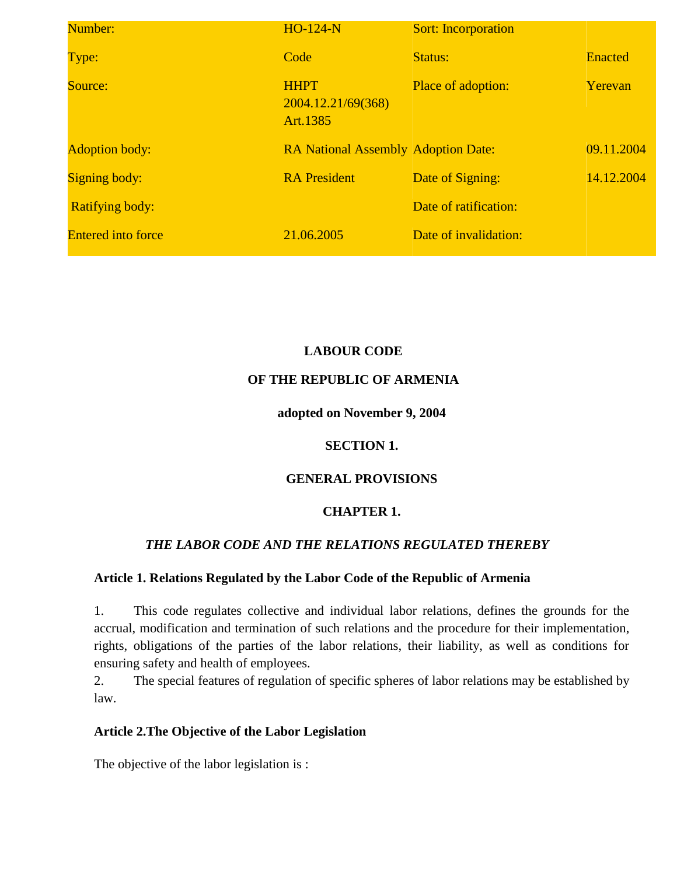| Number:                   | $HO-124-N$                                    | <b>Sort:</b> Incorporation |                |
|---------------------------|-----------------------------------------------|----------------------------|----------------|
| Type:                     | Code                                          | Status:                    | <b>Enacted</b> |
| Source:                   | <b>HHPT</b><br>2004.12.21/69(368)<br>Art.1385 | <b>Place of adoption:</b>  | Yerevan        |
| <b>Adoption body:</b>     | <b>RA National Assembly Adoption Date:</b>    |                            | 09.11.2004     |
| <b>Signing body:</b>      | <b>RA</b> President                           | Date of Signing:           | 14.12.2004     |
| <b>Ratifying body:</b>    |                                               | Date of ratification:      |                |
| <b>Entered into force</b> | 21.06.2005                                    | Date of invalidation:      |                |

# **LABOUR CODE**

### **OF THE REPUBLIC OF ARMENIA**

### **adopted on November 9, 2004**

### **SECTION 1.**

# **GENERAL PROVISIONS**

# **CHAPTER 1.**

# *THE LABOR CODE AND THE RELATIONS REGULATED THEREBY*

### **Article 1. Relations Regulated by the Labor Code of the Republic of Armenia**

1. This code regulates collective and individual labor relations, defines the grounds for the accrual, modification and termination of such relations and the procedure for their implementation, rights, obligations of the parties of the labor relations, their liability, as well as conditions for ensuring safety and health of employees.

2. The special features of regulation of specific spheres of labor relations may be established by law.

### **Article 2.The Objective of the Labor Legislation**

The objective of the labor legislation is :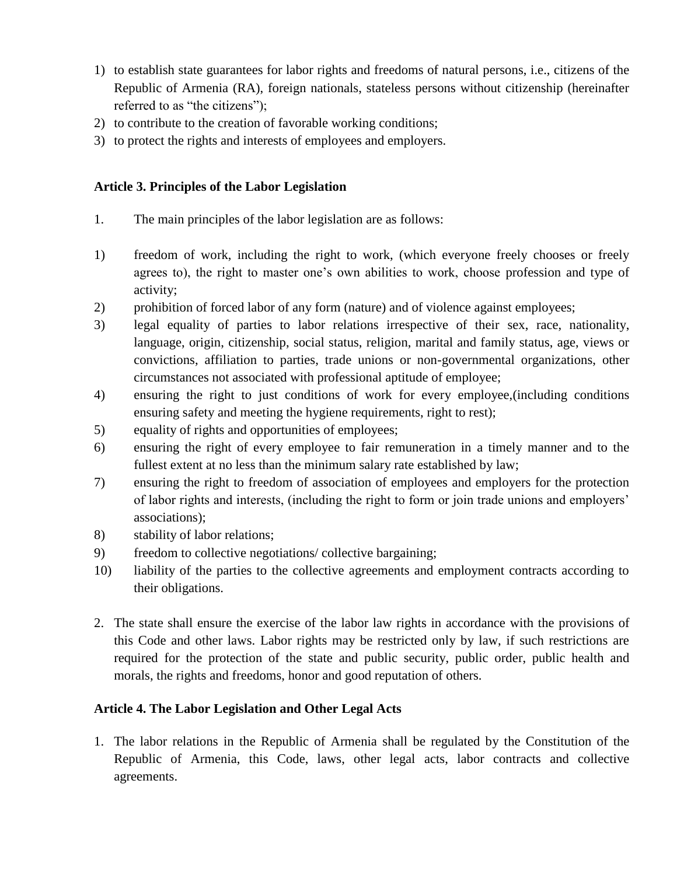- 1) to establish state guarantees for labor rights and freedoms of natural persons, i.e., citizens of the Republic of Armenia (RA), foreign nationals, stateless persons without citizenship (hereinafter referred to as "the citizens");
- 2) to contribute to the creation of favorable working conditions;
- 3) to protect the rights and interests of employees and employers.

### **Article 3. Principles of the Labor Legislation**

- 1. The main principles of the labor legislation are as follows:
- 1) freedom of work, including the right to work, (which everyone freely chooses or freely agrees to), the right to master one's own abilities to work, choose profession and type of activity;
- 2) prohibition of forced labor of any form (nature) and of violence against employees;
- 3) legal equality of parties to labor relations irrespective of their sex, race, nationality, language, origin, citizenship, social status, religion, marital and family status, age, views or convictions, affiliation to parties, trade unions or non-governmental organizations, other circumstances not associated with professional aptitude of employee;
- 4) ensuring the right to just conditions of work for every employee,(including conditions ensuring safety and meeting the hygiene requirements, right to rest);
- 5) equality of rights and opportunities of employees;
- 6) ensuring the right of every employee to fair remuneration in a timely manner and to the fullest extent at no less than the minimum salary rate established by law;
- 7) ensuring the right to freedom of association of employees and employers for the protection of labor rights and interests, (including the right to form or join trade unions and employers' associations);
- 8) stability of labor relations;
- 9) freedom to collective negotiations/ collective bargaining;
- 10) liability of the parties to the collective agreements and employment contracts according to their obligations.
- 2. The state shall ensure the exercise of the labor law rights in accordance with the provisions of this Code and other laws. Labor rights may be restricted only by law, if such restrictions are required for the protection of the state and public security, public order, public health and morals, the rights and freedoms, honor and good reputation of others.

# **Article 4. The Labor Legislation and Other Legal Acts**

1. The labor relations in the Republic of Armenia shall be regulated by the Constitution of the Republic of Armenia, this Code, laws, other legal acts, labor contracts and collective agreements.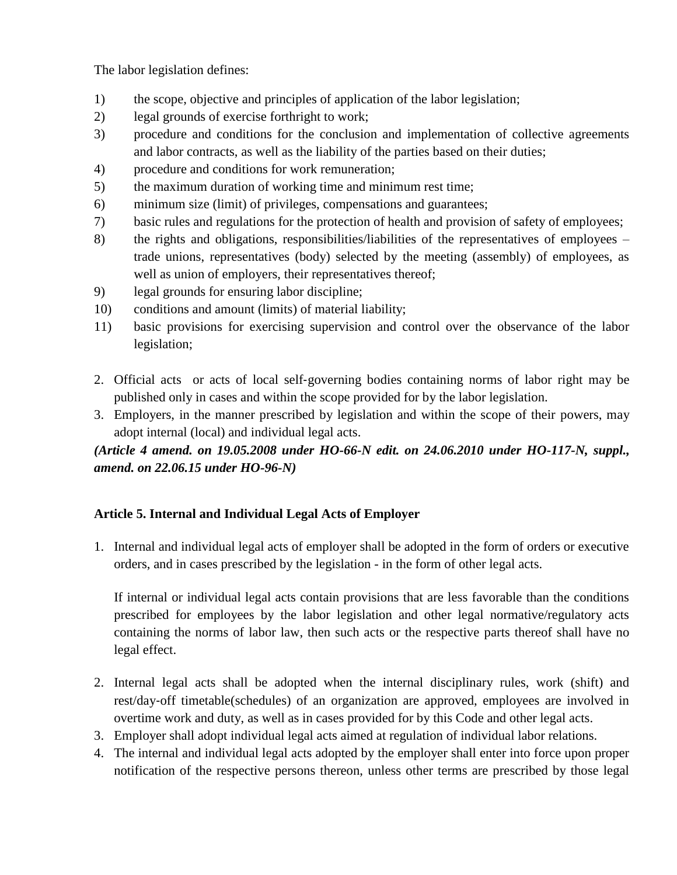The labor legislation defines:

- 1) the scope, objective and principles of application of the labor legislation;
- 2) legal grounds of exercise forthright to work;
- 3) procedure and conditions for the conclusion and implementation of collective agreements and labor contracts, as well as the liability of the parties based on their duties;
- 4) procedure and conditions for work remuneration;
- 5) the maximum duration of working time and minimum rest time;
- 6) minimum size (limit) of privileges, compensations and guarantees;
- 7) basic rules and regulations for the protection of health and provision of safety of employees;
- 8) the rights and obligations, responsibilities/liabilities of the representatives of employees trade unions, representatives (body) selected by the meeting (assembly) of employees, as well as union of employers, their representatives thereof;
- 9) legal grounds for ensuring labor discipline;
- 10) conditions and amount (limits) of material liability;
- 11) basic provisions for exercising supervision and control over the observance of the labor legislation;
- 2. Official acts or acts of local self‐governing bodies containing norms of labor right may be published only in cases and within the scope provided for by the labor legislation.
- 3. Employers, in the manner prescribed by legislation and within the scope of their powers, may adopt internal (local) and individual legal acts.

*(Article 4 amend. on 19.05.2008 under HO-66-N edit. on 24.06.2010 under HO-117-N, suppl., amend. on 22.06.15 under HO-96-N)*

# **Article 5. Internal and Individual Legal Acts of Employer**

1. Internal and individual legal acts of employer shall be adopted in the form of orders or executive orders, and in cases prescribed by the legislation - in the form of other legal acts.

If internal or individual legal acts contain provisions that are less favorable than the conditions prescribed for employees by the labor legislation and other legal normative/regulatory acts containing the norms of labor law, then such acts or the respective parts thereof shall have no legal effect.

- 2. Internal legal acts shall be adopted when the internal disciplinary rules, work (shift) and rest/day‐off timetable(schedules) of an organization are approved, employees are involved in overtime work and duty, as well as in cases provided for by this Code and other legal acts.
- 3. Employer shall adopt individual legal acts aimed at regulation of individual labor relations.
- 4. The internal and individual legal acts adopted by the employer shall enter into force upon proper notification of the respective persons thereon, unless other terms are prescribed by those legal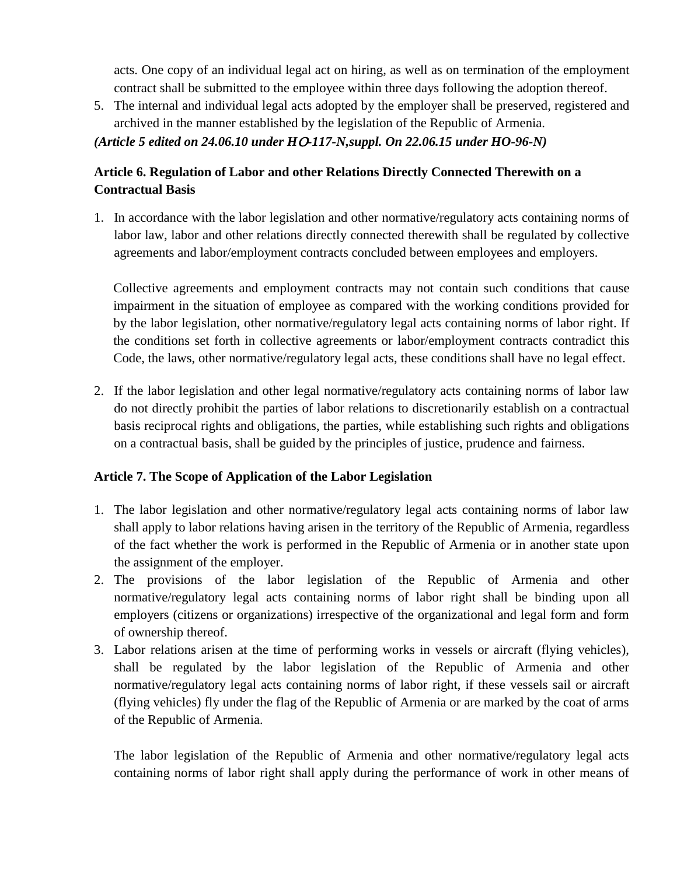acts. One copy of an individual legal act on hiring, as well as on termination of the employment contract shall be submitted to the employee within three days following the adoption thereof.

5. The internal and individual legal acts adopted by the employer shall be preserved, registered and archived in the manner established by the legislation of the Republic of Armenia.

*(Article 5 edited on 24.06.10 under H*Օ*-117-N,suppl. On 22.06.15 under HO-96-N)*

# **Article 6. Regulation of Labor and other Relations Directly Connected Therewith on a Contractual Basis**

1. In accordance with the labor legislation and other normative/regulatory acts containing norms of labor law, labor and other relations directly connected therewith shall be regulated by collective agreements and labor/employment contracts concluded between employees and employers.

Collective agreements and employment contracts may not contain such conditions that cause impairment in the situation of employee as compared with the working conditions provided for by the labor legislation, other normative/regulatory legal acts containing norms of labor right. If the conditions set forth in collective agreements or labor/employment contracts contradict this Code, the laws, other normative/regulatory legal acts, these conditions shall have no legal effect.

2. If the labor legislation and other legal normative/regulatory acts containing norms of labor law do not directly prohibit the parties of labor relations to discretionarily establish on a contractual basis reciprocal rights and obligations, the parties, while establishing such rights and obligations on a contractual basis, shall be guided by the principles of justice, prudence and fairness.

### **Article 7. The Scope of Application of the Labor Legislation**

- 1. The labor legislation and other normative/regulatory legal acts containing norms of labor law shall apply to labor relations having arisen in the territory of the Republic of Armenia, regardless of the fact whether the work is performed in the Republic of Armenia or in another state upon the assignment of the employer.
- 2. The provisions of the labor legislation of the Republic of Armenia and other normative/regulatory legal acts containing norms of labor right shall be binding upon all employers (citizens or organizations) irrespective of the organizational and legal form and form of ownership thereof.
- 3. Labor relations arisen at the time of performing works in vessels or aircraft (flying vehicles), shall be regulated by the labor legislation of the Republic of Armenia and other normative/regulatory legal acts containing norms of labor right, if these vessels sail or aircraft (flying vehicles) fly under the flag of the Republic of Armenia or are marked by the coat of arms of the Republic of Armenia.

The labor legislation of the Republic of Armenia and other normative/regulatory legal acts containing norms of labor right shall apply during the performance of work in other means of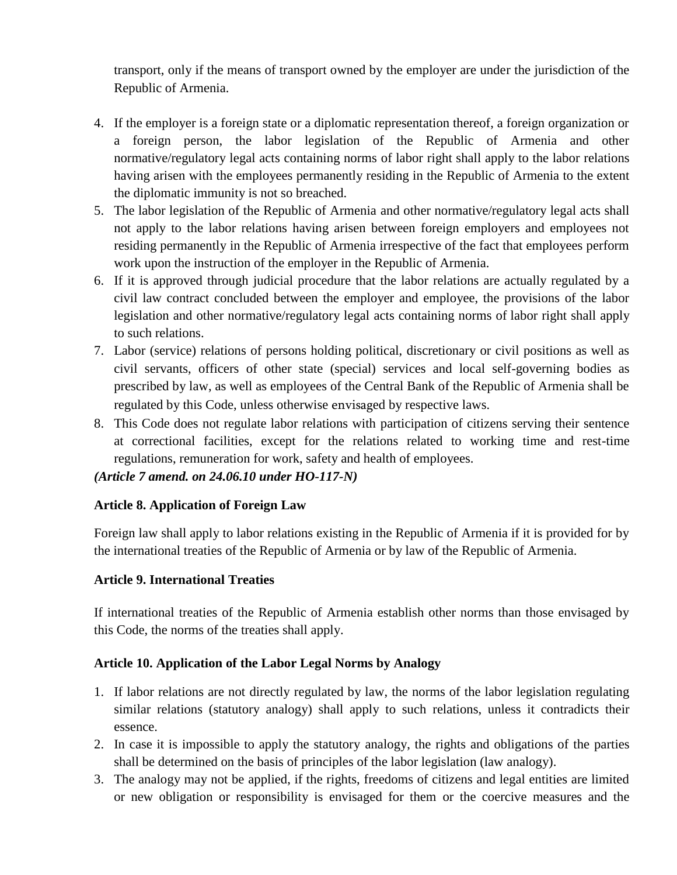transport, only if the means of transport owned by the employer are under the jurisdiction of the Republic of Armenia.

- 4. If the employer is a foreign state or a diplomatic representation thereof, a foreign organization or a foreign person, the labor legislation of the Republic of Armenia and other normative/regulatory legal acts containing norms of labor right shall apply to the labor relations having arisen with the employees permanently residing in the Republic of Armenia to the extent the diplomatic immunity is not so breached.
- 5. The labor legislation of the Republic of Armenia and other normative/regulatory legal acts shall not apply to the labor relations having arisen between foreign employers and employees not residing permanently in the Republic of Armenia irrespective of the fact that employees perform work upon the instruction of the employer in the Republic of Armenia.
- 6. If it is approved through judicial procedure that the labor relations are actually regulated by a civil law contract concluded between the employer and employee, the provisions of the labor legislation and other normative/regulatory legal acts containing norms of labor right shall apply to such relations.
- 7. Labor (service) relations of persons holding political, discretionary or civil positions as well as civil servants, officers of other state (special) services and local self-governing bodies as prescribed by law, as well as employees of the Central Bank of the Republic of Armenia shall be regulated by this Code, unless otherwise envisaged by respective laws.
- 8. This Code does not regulate labor relations with participation of citizens serving their sentence at correctional facilities, except for the relations related to working time and rest-time regulations, remuneration for work, safety and health of employees.

### *(Article 7 amend. on 24.06.10 under HO-117-N)*

### **Article 8. Application of Foreign Law**

Foreign law shall apply to labor relations existing in the Republic of Armenia if it is provided for by the international treaties of the Republic of Armenia or by law of the Republic of Armenia.

#### **Article 9. International Treaties**

If international treaties of the Republic of Armenia establish other norms than those envisaged by this Code, the norms of the treaties shall apply.

#### **Article 10. Application of the Labor Legal Norms by Analogy**

- 1. If labor relations are not directly regulated by law, the norms of the labor legislation regulating similar relations (statutory analogy) shall apply to such relations, unless it contradicts their essence.
- 2. In case it is impossible to apply the statutory analogy, the rights and obligations of the parties shall be determined on the basis of principles of the labor legislation (law analogy).
- 3. The analogy may not be applied, if the rights, freedoms of citizens and legal entities are limited or new obligation or responsibility is envisaged for them or the coercive measures and the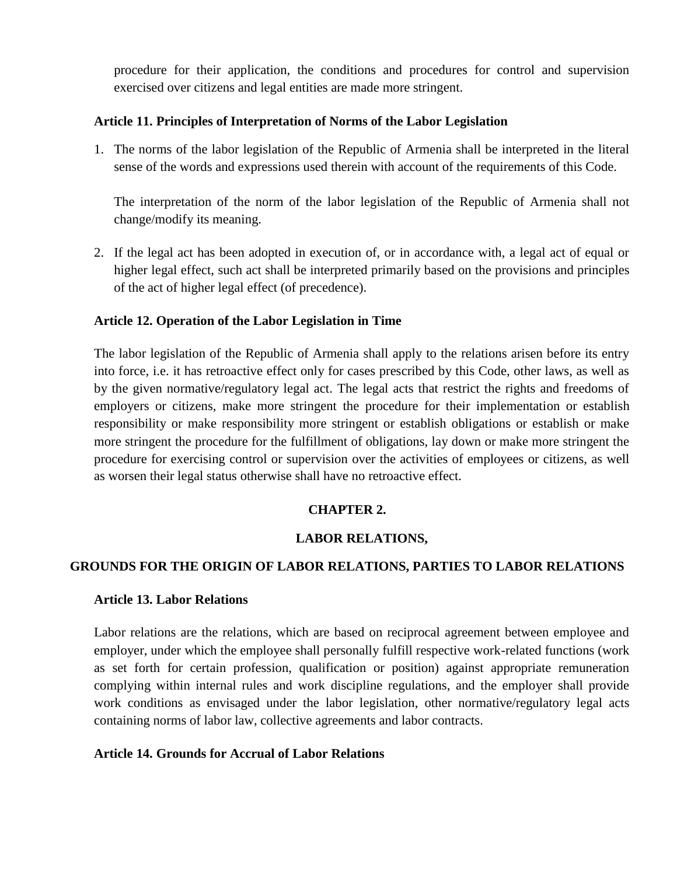procedure for their application, the conditions and procedures for control and supervision exercised over citizens and legal entities are made more stringent.

#### **Article 11. Principles of Interpretation of Norms of the Labor Legislation**

1. The norms of the labor legislation of the Republic of Armenia shall be interpreted in the literal sense of the words and expressions used therein with account of the requirements of this Code.

The interpretation of the norm of the labor legislation of the Republic of Armenia shall not change/modify its meaning.

2. If the legal act has been adopted in execution of, or in accordance with, a legal act of equal or higher legal effect, such act shall be interpreted primarily based on the provisions and principles of the act of higher legal effect (of precedence).

#### **Article 12. Operation of the Labor Legislation in Time**

The labor legislation of the Republic of Armenia shall apply to the relations arisen before its entry into force, i.e. it has retroactive effect only for cases prescribed by this Code, other laws, as well as by the given normative/regulatory legal act. The legal acts that restrict the rights and freedoms of employers or citizens, make more stringent the procedure for their implementation or establish responsibility or make responsibility more stringent or establish obligations or establish or make more stringent the procedure for the fulfillment of obligations, lay down or make more stringent the procedure for exercising control or supervision over the activities of employees or citizens, as well as worsen their legal status otherwise shall have no retroactive effect.

### **CHAPTER 2.**

### **LABOR RELATIONS,**

#### **GROUNDS FOR THE ORIGIN OF LABOR RELATIONS, PARTIES TO LABOR RELATIONS**

#### **Article 13. Labor Relations**

Labor relations are the relations, which are based on reciprocal agreement between employee and employer, under which the employee shall personally fulfill respective work-related functions (work as set forth for certain profession, qualification or position) against appropriate remuneration complying within internal rules and work discipline regulations, and the employer shall provide work conditions as envisaged under the labor legislation, other normative/regulatory legal acts containing norms of labor law, collective agreements and labor contracts.

#### **Article 14. Grounds for Accrual of Labor Relations**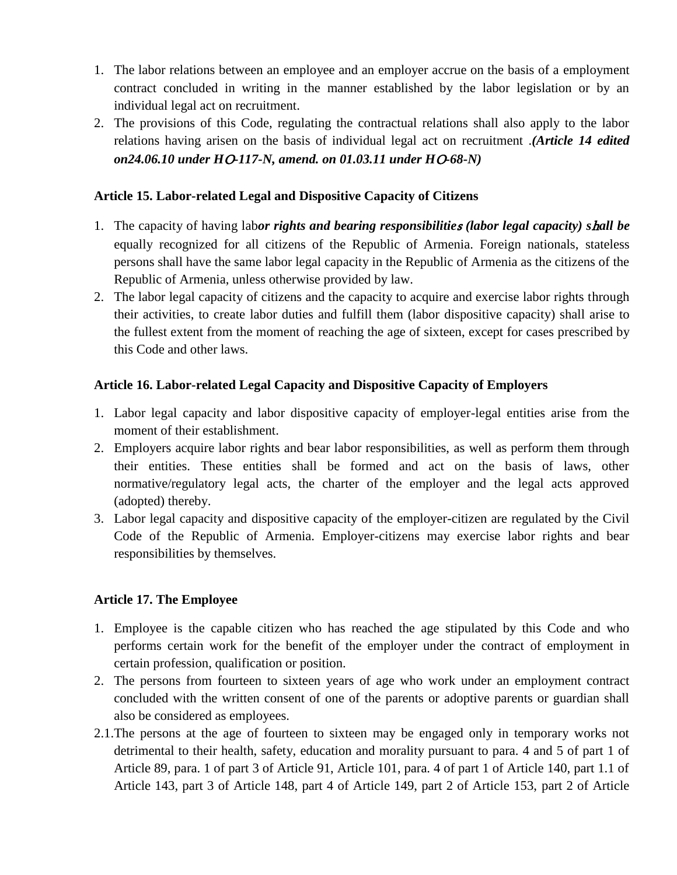- 1. The labor relations between an employee and an employer accrue on the basis of a employment contract concluded in writing in the manner established by the labor legislation or by an individual legal act on recruitment.
- 2. The provisions of this Code, regulating the contractual relations shall also apply to the labor relations having arisen on the basis of individual legal act on recruitment .*(Article 14 edited on24.06.10 under H*Օ*-117-N, amend. on 01.03.11 under H*Օ*-68-N)*

#### **Article 15. Labor-related Legal and Dispositive Capacity of Citizens**

- 1. The capacity of having lab*or rights and bearing responsibilitie*<sup>s</sup> *(labor legal capacity) s*h*all be* equally recognized for all citizens of the Republic of Armenia. Foreign nationals, stateless persons shall have the same labor legal capacity in the Republic of Armenia as the citizens of the Republic of Armenia, unless otherwise provided by law.
- 2. The labor legal capacity of citizens and the capacity to acquire and exercise labor rights through their activities, to create labor duties and fulfill them (labor dispositive capacity) shall arise to the fullest extent from the moment of reaching the age of sixteen, except for cases prescribed by this Code and other laws.

#### **Article 16. Labor-related Legal Capacity and Dispositive Capacity of Employers**

- 1. Labor legal capacity and labor dispositive capacity of employer-legal entities arise from the moment of their establishment.
- 2. Employers acquire labor rights and bear labor responsibilities, as well as perform them through their entities. These entities shall be formed and act on the basis of laws, other normative/regulatory legal acts, the charter of the employer and the legal acts approved (adopted) thereby.
- 3. Labor legal capacity and dispositive capacity of the employer-citizen are regulated by the Civil Code of the Republic of Armenia. Employer-citizens may exercise labor rights and bear responsibilities by themselves.

#### **Article 17. The Employee**

- 1. Employee is the capable citizen who has reached the age stipulated by this Code and who performs certain work for the benefit of the employer under the contract of employment in certain profession, qualification or position.
- 2. The persons from fourteen to sixteen years of age who work under an employment contract concluded with the written consent of one of the parents or adoptive parents or guardian shall also be considered as employees.
- 2.1.The persons at the age of fourteen to sixteen may be engaged only in temporary works not detrimental to their health, safety, education and morality pursuant to para. 4 and 5 of part 1 of Article 89, para. 1 of part 3 of Article 91, Article 101, para. 4 of part 1 of Article 140, part 1.1 of Article 143, part 3 of Article 148, part 4 of Article 149, part 2 of Article 153, part 2 of Article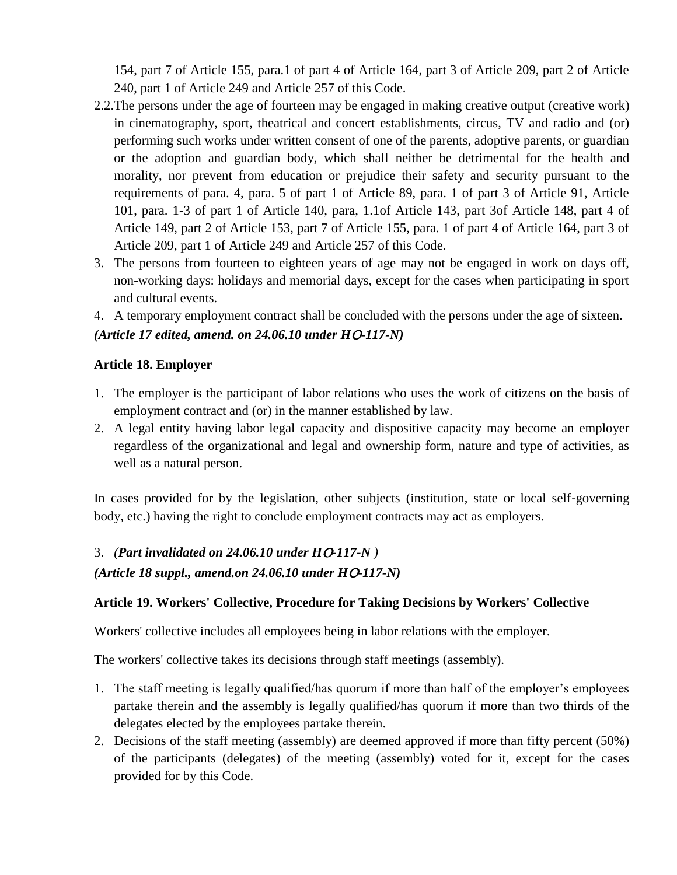154, part 7 of Article 155, para.1 of part 4 of Article 164, part 3 of Article 209, part 2 of Article 240, part 1 of Article 249 and Article 257 of this Code.

- 2.2.The persons under the age of fourteen may be engaged in making creative output (creative work) in cinematography, sport, theatrical and concert establishments, circus, TV and radio and (or) performing such works under written consent of one of the parents, adoptive parents, or guardian or the adoption and guardian body, which shall neither be detrimental for the health and morality, nor prevent from education or prejudice their safety and security pursuant to the requirements of para. 4, para. 5 of part 1 of Article 89, para. 1 of part 3 of Article 91, Article 101, para. 1-3 of part 1 of Article 140, para, 1.1of Article 143, part 3of Article 148, part 4 of Article 149, part 2 of Article 153, part 7 of Article 155, para. 1 of part 4 of Article 164, part 3 of Article 209, part 1 of Article 249 and Article 257 of this Code.
- 3. The persons from fourteen to eighteen years of age may not be engaged in work on days off, non-working days: holidays and memorial days, except for the cases when participating in sport and cultural events.
- 4. A temporary employment contract shall be concluded with the persons under the age of sixteen. *(Article 17 edited, amend. on 24.06.10 under H*Օ*-117-N)*

### **Article 18. Employer**

- 1. The employer is the participant of labor relations who uses the work of citizens on the basis of employment contract and (or) in the manner established by law.
- 2. A legal entity having labor legal capacity and dispositive capacity may become an employer regardless of the organizational and legal and ownership form, nature and type of activities, as well as a natural person.

In cases provided for by the legislation, other subjects (institution, state or local self‐governing body, etc.) having the right to conclude employment contracts may act as employers.

### 3. *(Part invalidated on 24.06.10 under H*Օ*-117-N )*

*(Article 18 suppl., amend.on 24.06.10 under H*O*-117-N)*

### **Article 19. Workers' Collective, Procedure for Taking Decisions by Workers' Collective**

Workers' collective includes all employees being in labor relations with the employer.

The workers' collective takes its decisions through staff meetings (assembly).

- 1. The staff meeting is legally qualified/has quorum if more than half of the employer's employees partake therein and the assembly is legally qualified/has quorum if more than two thirds of the delegates elected by the employees partake therein.
- 2. Decisions of the staff meeting (assembly) are deemed approved if more than fifty percent (50%) of the participants (delegates) of the meeting (assembly) voted for it, except for the cases provided for by this Code.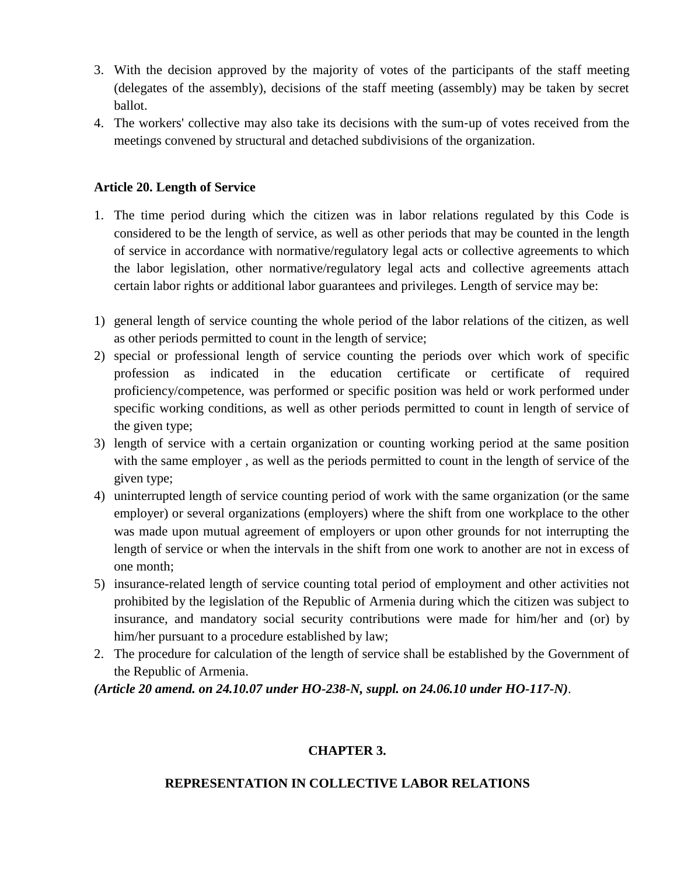- 3. With the decision approved by the majority of votes of the participants of the staff meeting (delegates of the assembly), decisions of the staff meeting (assembly) may be taken by secret ballot.
- 4. The workers' collective may also take its decisions with the sum‐up of votes received from the meetings convened by structural and detached subdivisions of the organization.

#### **Article 20. Length of Service**

- 1. The time period during which the citizen was in labor relations regulated by this Code is considered to be the length of service, as well as other periods that may be counted in the length of service in accordance with normative/regulatory legal acts or collective agreements to which the labor legislation, other normative/regulatory legal acts and collective agreements attach certain labor rights or additional labor guarantees and privileges. Length of service may be:
- 1) general length of service counting the whole period of the labor relations of the citizen, as well as other periods permitted to count in the length of service;
- 2) special or professional length of service counting the periods over which work of specific profession as indicated in the education certificate or certificate of required proficiency/competence, was performed or specific position was held or work performed under specific working conditions, as well as other periods permitted to count in length of service of the given type;
- 3) length of service with a certain organization or counting working period at the same position with the same employer , as well as the periods permitted to count in the length of service of the given type;
- 4) uninterrupted length of service counting period of work with the same organization (or the same employer) or several organizations (employers) where the shift from one workplace to the other was made upon mutual agreement of employers or upon other grounds for not interrupting the length of service or when the intervals in the shift from one work to another are not in excess of one month;
- 5) insurance-related length of service counting total period of employment and other activities not prohibited by the legislation of the Republic of Armenia during which the citizen was subject to insurance, and mandatory social security contributions were made for him/her and (or) by him/her pursuant to a procedure established by law;
- 2. The procedure for calculation of the length of service shall be established by the Government of the Republic of Armenia.

*(Article 20 amend. on 24.10.07 under HO-238-N, suppl. on 24.06.10 under HO-117-N)*.

# **CHAPTER 3.**

### **REPRESENTATION IN COLLECTIVE LABOR RELATIONS**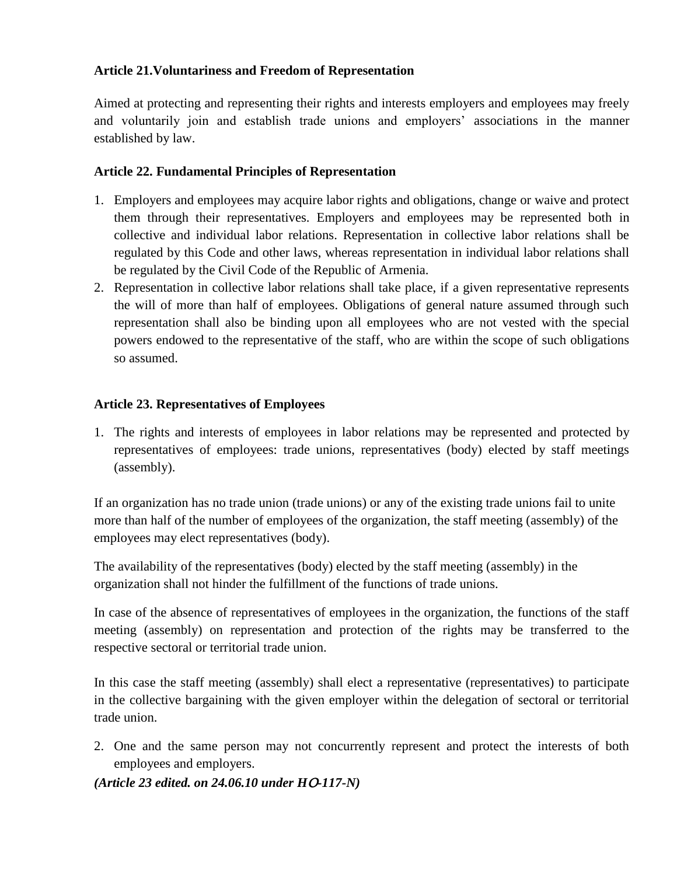### **Article 21.Voluntariness and Freedom of Representation**

Aimed at protecting and representing their rights and interests employers and employees may freely and voluntarily join and establish trade unions and employers' associations in the manner established by law.

### **Article 22. Fundamental Principles of Representation**

- 1. Employers and employees may acquire labor rights and obligations, change or waive and protect them through their representatives. Employers and employees may be represented both in collective and individual labor relations. Representation in collective labor relations shall be regulated by this Code and other laws, whereas representation in individual labor relations shall be regulated by the Civil Code of the Republic of Armenia.
- 2. Representation in collective labor relations shall take place, if a given representative represents the will of more than half of employees. Obligations of general nature assumed through such representation shall also be binding upon all employees who are not vested with the special powers endowed to the representative of the staff, who are within the scope of such obligations so assumed.

### **Article 23. Representatives of Employees**

1. The rights and interests of employees in labor relations may be represented and protected by representatives of employees: trade unions, representatives (body) elected by staff meetings (assembly).

If an organization has no trade union (trade unions) or any of the existing trade unions fail to unite more than half of the number of employees of the organization, the staff meeting (assembly) of the employees may elect representatives (body).

The availability of the representatives (body) elected by the staff meeting (assembly) in the organization shall not hinder the fulfillment of the functions of trade unions.

In case of the absence of representatives of employees in the organization, the functions of the staff meeting (assembly) on representation and protection of the rights may be transferred to the respective sectoral or territorial trade union.

In this case the staff meeting (assembly) shall elect a representative (representatives) to participate in the collective bargaining with the given employer within the delegation of sectoral or territorial trade union.

2. One and the same person may not concurrently represent and protect the interests of both employees and employers.

*(Article 23 edited. on 24.06.10 under H*Օ*-117-N)*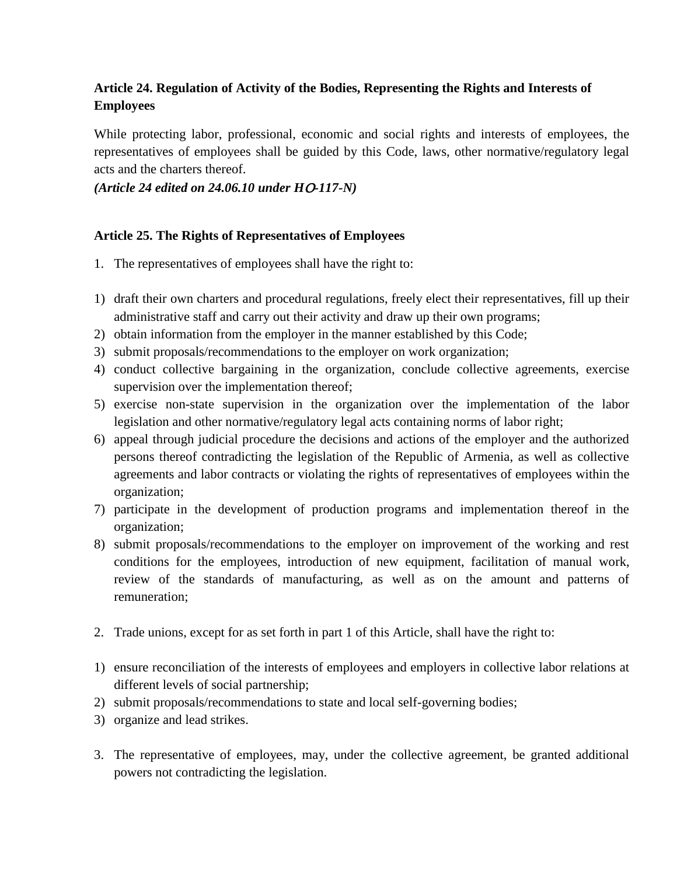# **Article 24. Regulation of Activity of the Bodies, Representing the Rights and Interests of Employees**

While protecting labor, professional, economic and social rights and interests of employees, the representatives of employees shall be guided by this Code, laws, other normative/regulatory legal acts and the charters thereof.

*(Article 24 edited on 24.06.10 under H*Օ*-117-N)*

### **Article 25. The Rights of Representatives of Employees**

- 1. The representatives of employees shall have the right to:
- 1) draft their own charters and procedural regulations, freely elect their representatives, fill up their administrative staff and carry out their activity and draw up their own programs;
- 2) obtain information from the employer in the manner established by this Code;
- 3) submit proposals/recommendations to the employer on work organization;
- 4) conduct collective bargaining in the organization, conclude collective agreements, exercise supervision over the implementation thereof;
- 5) exercise non-state supervision in the organization over the implementation of the labor legislation and other normative/regulatory legal acts containing norms of labor right;
- 6) appeal through judicial procedure the decisions and actions of the employer and the authorized persons thereof contradicting the legislation of the Republic of Armenia, as well as collective agreements and labor contracts or violating the rights of representatives of employees within the organization;
- 7) participate in the development of production programs and implementation thereof in the organization;
- 8) submit proposals/recommendations to the employer on improvement of the working and rest conditions for the employees, introduction of new equipment, facilitation of manual work, review of the standards of manufacturing, as well as on the amount and patterns of remuneration;
- 2. Trade unions, except for as set forth in part 1 of this Article, shall have the right to:
- 1) ensure reconciliation of the interests of employees and employers in collective labor relations at different levels of social partnership;
- 2) submit proposals/recommendations to state and local self-governing bodies;
- 3) organize and lead strikes.
- 3. The representative of employees, may, under the collective agreement, be granted additional powers not contradicting the legislation.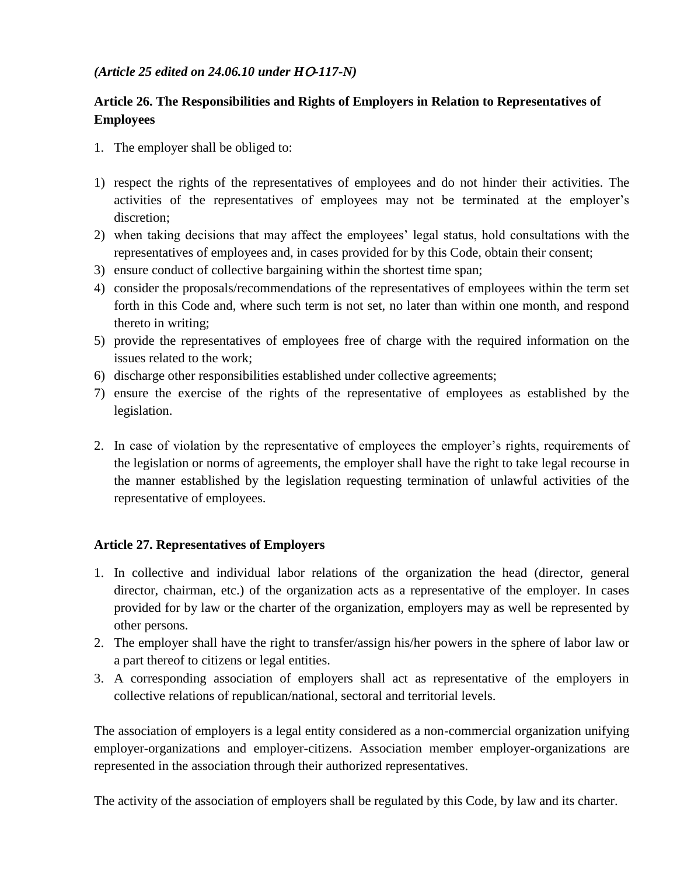### *(Article 25 edited on 24.06.10 under H*Օ*-117-N)*

# **Article 26. The Responsibilities and Rights of Employers in Relation to Representatives of Employees**

- 1. The employer shall be obliged to:
- 1) respect the rights of the representatives of employees and do not hinder their activities. The activities of the representatives of employees may not be terminated at the employer's discretion;
- 2) when taking decisions that may affect the employees' legal status, hold consultations with the representatives of employees and, in cases provided for by this Code, obtain their consent;
- 3) ensure conduct of collective bargaining within the shortest time span;
- 4) consider the proposals/recommendations of the representatives of employees within the term set forth in this Code and, where such term is not set, no later than within one month, and respond thereto in writing;
- 5) provide the representatives of employees free of charge with the required information on the issues related to the work;
- 6) discharge other responsibilities established under collective agreements;
- 7) ensure the exercise of the rights of the representative of employees as established by the legislation.
- 2. In case of violation by the representative of employees the employer's rights, requirements of the legislation or norms of agreements, the employer shall have the right to take legal recourse in the manner established by the legislation requesting termination of unlawful activities of the representative of employees.

### **Article 27. Representatives of Employers**

- 1. In collective and individual labor relations of the organization the head (director, general director, chairman, etc.) of the organization acts as a representative of the employer. In cases provided for by law or the charter of the organization, employers may as well be represented by other persons.
- 2. The employer shall have the right to transfer/assign his/her powers in the sphere of labor law or a part thereof to citizens or legal entities.
- 3. A corresponding association of employers shall act as representative of the employers in collective relations of republican/national, sectoral and territorial levels.

The association of employers is a legal entity considered as a non-commercial organization unifying employer-organizations and employer-citizens. Association member employer-organizations are represented in the association through their authorized representatives.

The activity of the association of employers shall be regulated by this Code, by law and its charter.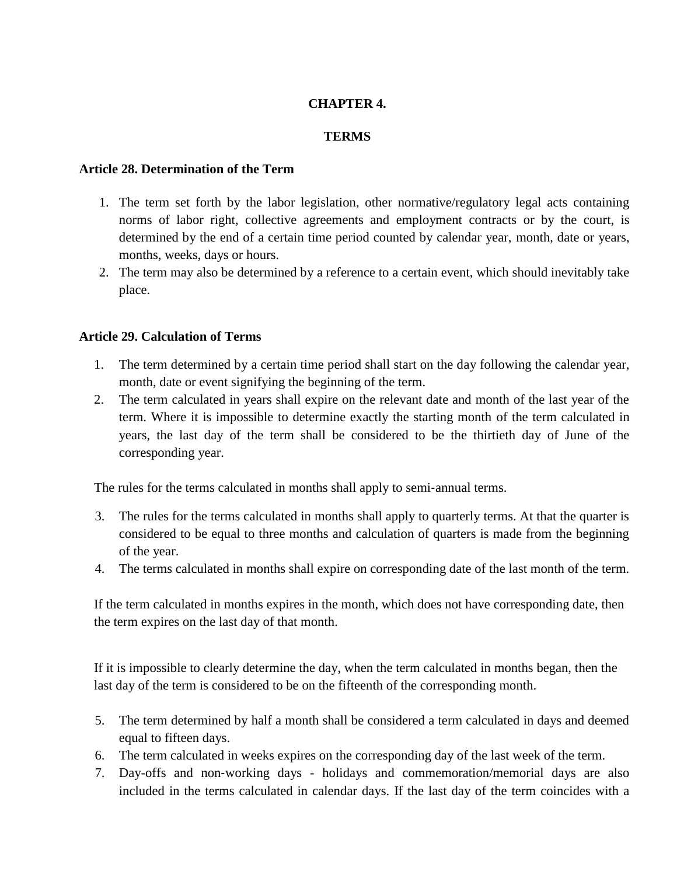### **CHAPTER 4.**

#### **TERMS**

#### **Article 28. Determination of the Term**

- 1. The term set forth by the labor legislation, other normative/regulatory legal acts containing norms of labor right, collective agreements and employment contracts or by the court, is determined by the end of a certain time period counted by calendar year, month, date or years, months, weeks, days or hours.
- 2. The term may also be determined by a reference to a certain event, which should inevitably take place.

#### **Article 29. Calculation of Terms**

- 1. The term determined by a certain time period shall start on the day following the calendar year, month, date or event signifying the beginning of the term.
- 2. The term calculated in years shall expire on the relevant date and month of the last year of the term. Where it is impossible to determine exactly the starting month of the term calculated in years, the last day of the term shall be considered to be the thirtieth day of June of the corresponding year.

The rules for the terms calculated in months shall apply to semi-annual terms.

- 3. The rules for the terms calculated in months shall apply to quarterly terms. At that the quarter is considered to be equal to three months and calculation of quarters is made from the beginning of the year.
- 4. The terms calculated in months shall expire on corresponding date of the last month of the term.

If the term calculated in months expires in the month, which does not have corresponding date, then the term expires on the last day of that month.

If it is impossible to clearly determine the day, when the term calculated in months began, then the last day of the term is considered to be on the fifteenth of the corresponding month.

- 5. The term determined by half a month shall be considered a term calculated in days and deemed equal to fifteen days.
- 6. The term calculated in weeks expires on the corresponding day of the last week of the term.
- 7. Day-offs and non‐working days holidays and commemoration/memorial days are also included in the terms calculated in calendar days. If the last day of the term coincides with a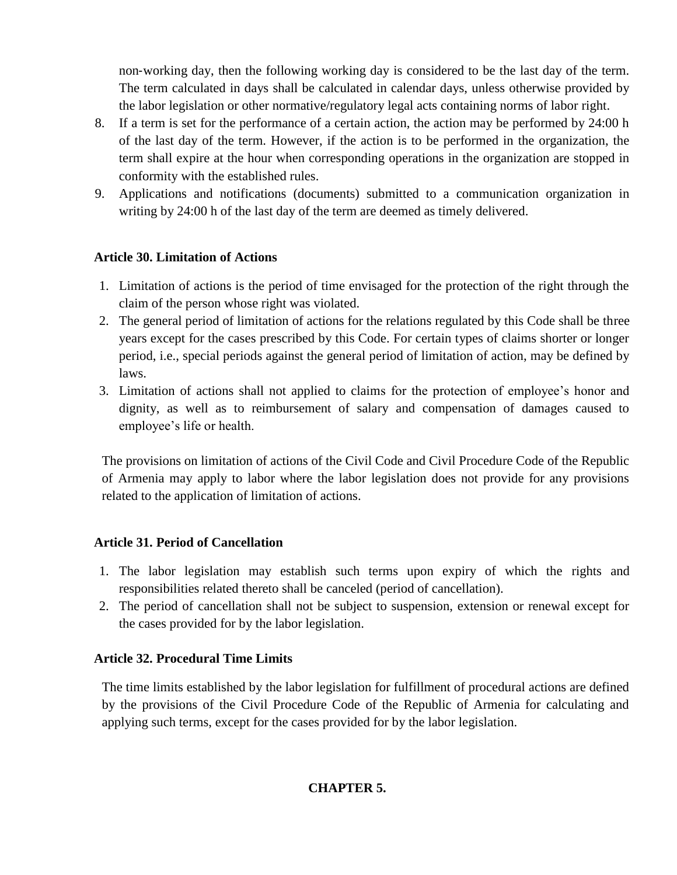non‐working day, then the following working day is considered to be the last day of the term. The term calculated in days shall be calculated in calendar days, unless otherwise provided by the labor legislation or other normative/regulatory legal acts containing norms of labor right.

- 8. If a term is set for the performance of a certain action, the action may be performed by 24:00 h of the last day of the term. However, if the action is to be performed in the organization, the term shall expire at the hour when corresponding operations in the organization are stopped in conformity with the established rules.
- 9. Applications and notifications (documents) submitted to a communication organization in writing by 24:00 h of the last day of the term are deemed as timely delivered.

### **Article 30. Limitation of Actions**

- 1. Limitation of actions is the period of time envisaged for the protection of the right through the claim of the person whose right was violated.
- 2. The general period of limitation of actions for the relations regulated by this Code shall be three years except for the cases prescribed by this Code. For certain types of claims shorter or longer period, i.e., special periods against the general period of limitation of action, may be defined by laws.
- 3. Limitation of actions shall not applied to claims for the protection of employee's honor and dignity, as well as to reimbursement of salary and compensation of damages caused to employee's life or health.

The provisions on limitation of actions of the Civil Code and Civil Procedure Code of the Republic of Armenia may apply to labor where the labor legislation does not provide for any provisions related to the application of limitation of actions.

### **Article 31. Period of Cancellation**

- 1. The labor legislation may establish such terms upon expiry of which the rights and responsibilities related thereto shall be canceled (period of cancellation).
- 2. The period of cancellation shall not be subject to suspension, extension or renewal except for the cases provided for by the labor legislation.

### **Article 32. Procedural Time Limits**

The time limits established by the labor legislation for fulfillment of procedural actions are defined by the provisions of the Civil Procedure Code of the Republic of Armenia for calculating and applying such terms, except for the cases provided for by the labor legislation.

# **CHAPTER 5.**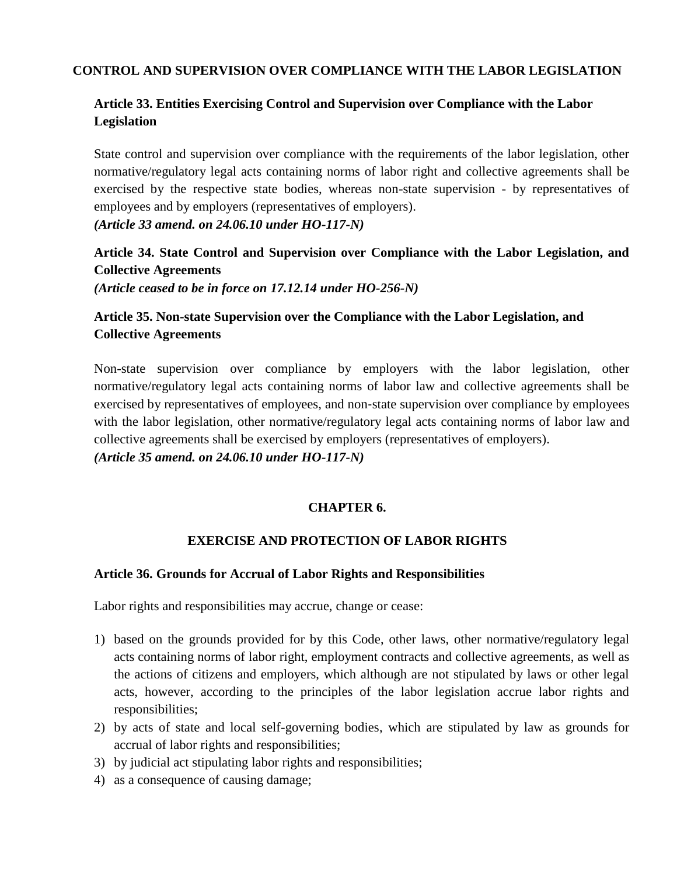#### **CONTROL AND SUPERVISION OVER COMPLIANCE WITH THE LABOR LEGISLATION**

# **Article 33. Entities Exercising Control and Supervision over Compliance with the Labor Legislation**

State control and supervision over compliance with the requirements of the labor legislation, other normative/regulatory legal acts containing norms of labor right and collective agreements shall be exercised by the respective state bodies, whereas non-state supervision - by representatives of employees and by employers (representatives of employers).

*(Article 33 amend. on 24.06.10 under HO-117-N)*

**Article 34. State Control and Supervision over Compliance with the Labor Legislation, and Collective Agreements** *(Article ceased to be in force on 17.12.14 under HO-256-N)*

# **Article 35. Non-state Supervision over the Compliance with the Labor Legislation, and Collective Agreements**

Non-state supervision over compliance by employers with the labor legislation, other normative/regulatory legal acts containing norms of labor law and collective agreements shall be exercised by representatives of employees, and non-state supervision over compliance by employees with the labor legislation, other normative/regulatory legal acts containing norms of labor law and collective agreements shall be exercised by employers (representatives of employers).

*(Article 35 amend. on 24.06.10 under HO-117-N)*

### **CHAPTER 6.**

### **EXERCISE AND PROTECTION OF LABOR RIGHTS**

#### **Article 36. Grounds for Accrual of Labor Rights and Responsibilities**

Labor rights and responsibilities may accrue, change or cease:

- 1) based on the grounds provided for by this Code, other laws, other normative/regulatory legal acts containing norms of labor right, employment contracts and collective agreements, as well as the actions of citizens and employers, which although are not stipulated by laws or other legal acts, however, according to the principles of the labor legislation accrue labor rights and responsibilities;
- 2) by acts of state and local self-governing bodies, which are stipulated by law as grounds for accrual of labor rights and responsibilities;
- 3) by judicial act stipulating labor rights and responsibilities;
- 4) as a consequence of causing damage;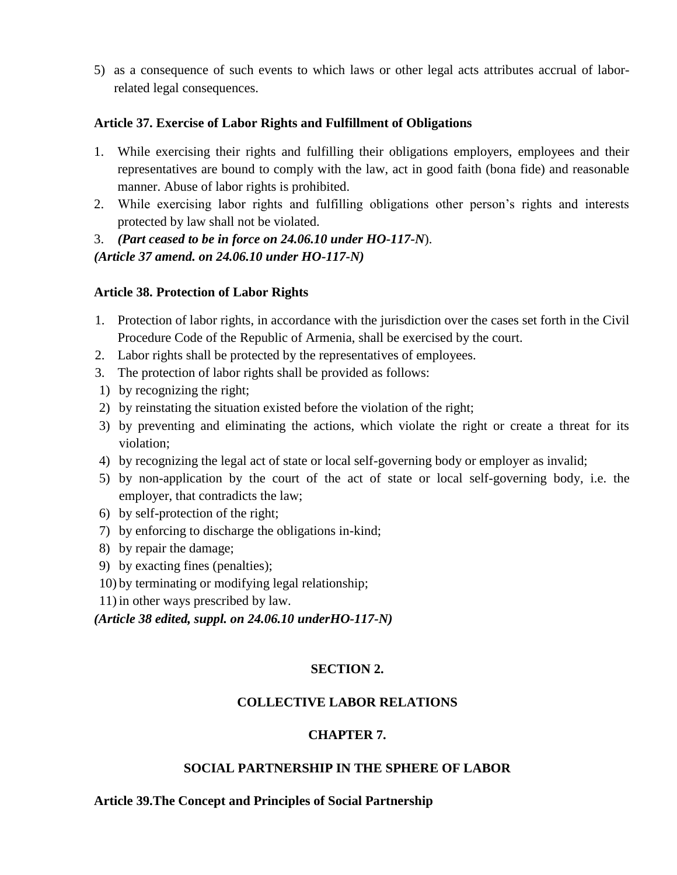5) as a consequence of such events to which laws or other legal acts attributes accrual of laborrelated legal consequences.

#### **Article 37. Exercise of Labor Rights and Fulfillment of Obligations**

- 1. While exercising their rights and fulfilling their obligations employers, employees and their representatives are bound to comply with the law, act in good faith (bona fide) and reasonable manner. Abuse of labor rights is prohibited.
- 2. While exercising labor rights and fulfilling obligations other person's rights and interests protected by law shall not be violated.

3. *(Part ceased to be in force on 24.06.10 under HO-117-N*). *(Article 37 amend. on 24.06.10 under HO-117-N)*

#### **Article 38. Protection of Labor Rights**

- 1. Protection of labor rights, in accordance with the jurisdiction over the cases set forth in the Civil Procedure Code of the Republic of Armenia, shall be exercised by the court.
- 2. Labor rights shall be protected by the representatives of employees.
- 3. The protection of labor rights shall be provided as follows:
- 1) by recognizing the right;
- 2) by reinstating the situation existed before the violation of the right;
- 3) by preventing and eliminating the actions, which violate the right or create a threat for its violation;
- 4) by recognizing the legal act of state or local self-governing body or employer as invalid;
- 5) by non-application by the court of the act of state or local self-governing body, i.e. the employer, that contradicts the law;
- 6) by self-protection of the right;
- 7) by enforcing to discharge the obligations in-kind;
- 8) by repair the damage;
- 9) by exacting fines (penalties);
- 10) by terminating or modifying legal relationship;
- 11) in other ways prescribed by law.

*(Article 38 edited, suppl. on 24.06.10 underHO-117-N)*

### **SECTION 2.**

### **COLLECTIVE LABOR RELATIONS**

### **CHAPTER 7.**

#### **SOCIAL PARTNERSHIP IN THE SPHERE OF LABOR**

#### **Article 39.The Concept and Principles of Social Partnership**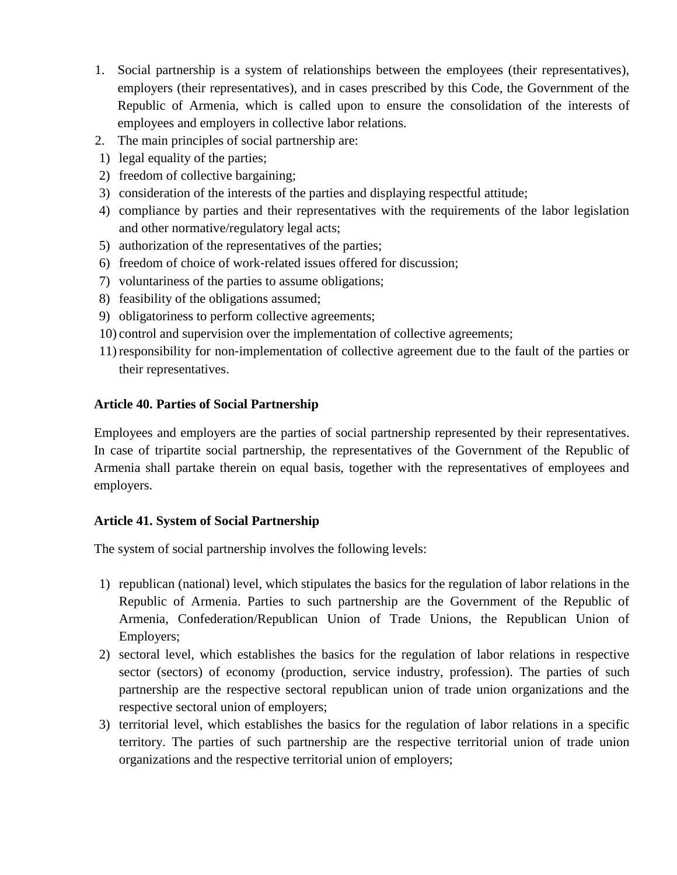- 1. Social partnership is a system of relationships between the employees (their representatives), employers (their representatives), and in cases prescribed by this Code, the Government of the Republic of Armenia, which is called upon to ensure the consolidation of the interests of employees and employers in collective labor relations.
- 2. The main principles of social partnership are:
- 1) legal equality of the parties;
- 2) freedom of collective bargaining;
- 3) consideration of the interests of the parties and displaying respectful attitude;
- 4) compliance by parties and their representatives with the requirements of the labor legislation and other normative/regulatory legal acts;
- 5) authorization of the representatives of the parties;
- 6) freedom of choice of work‐related issues offered for discussion;
- 7) voluntariness of the parties to assume obligations;
- 8) feasibility of the obligations assumed;
- 9) obligatoriness to perform collective agreements;
- 10) control and supervision over the implementation of collective agreements;
- 11) responsibility for non‐implementation of collective agreement due to the fault of the parties or their representatives.

### **Article 40. Parties of Social Partnership**

Employees and employers are the parties of social partnership represented by their representatives. In case of tripartite social partnership, the representatives of the Government of the Republic of Armenia shall partake therein on equal basis, together with the representatives of employees and employers.

### **Article 41. System of Social Partnership**

The system of social partnership involves the following levels:

- 1) republican (national) level, which stipulates the basics for the regulation of labor relations in the Republic of Armenia. Parties to such partnership are the Government of the Republic of Armenia, Confederation/Republican Union of Trade Unions, the Republican Union of Employers;
- 2) sectoral level, which establishes the basics for the regulation of labor relations in respective sector (sectors) of economy (production, service industry, profession). The parties of such partnership are the respective sectoral republican union of trade union organizations and the respective sectoral union of employers;
- 3) territorial level, which establishes the basics for the regulation of labor relations in a specific territory. The parties of such partnership are the respective territorial union of trade union organizations and the respective territorial union of employers;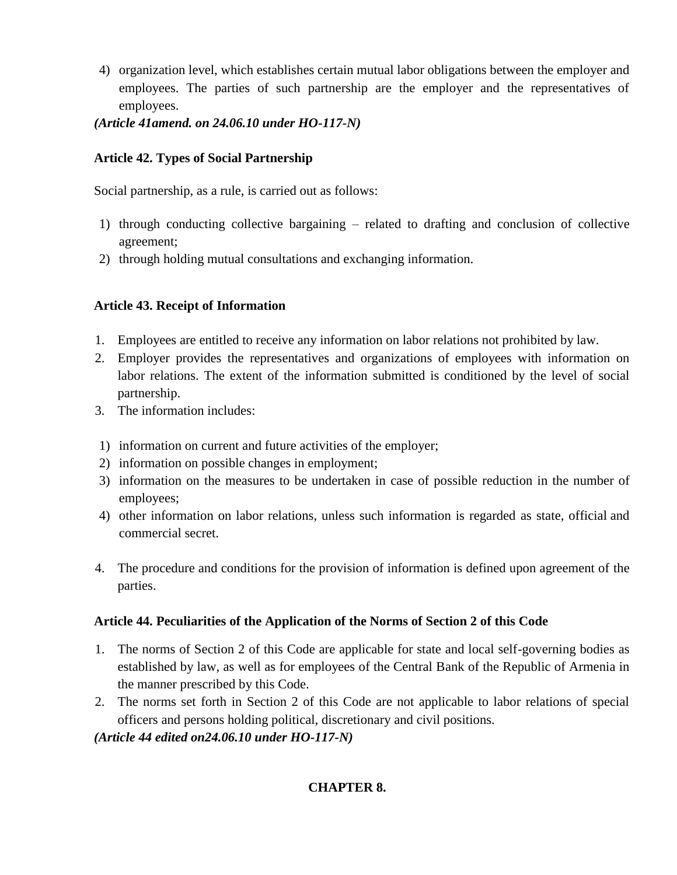- 4) organization level, which establishes certain mutual labor obligations between the employer and employees. The parties of such partnership are the employer and the representatives of employees.
- *(Article 41amend. on 24.06.10 under HO-117-N)*

# **Article 42. Types of Social Partnership**

Social partnership, as a rule, is carried out as follows:

- 1) through conducting collective bargaining related to drafting and conclusion of collective agreement;
- 2) through holding mutual consultations and exchanging information.

# **Article 43. Receipt of Information**

- 1. Employees are entitled to receive any information on labor relations not prohibited by law.
- 2. Employer provides the representatives and organizations of employees with information on labor relations. The extent of the information submitted is conditioned by the level of social partnership.
- 3. The information includes:
- 1) information on current and future activities of the employer;
- 2) information on possible changes in employment;
- 3) information on the measures to be undertaken in case of possible reduction in the number of employees;
- 4) other information on labor relations, unless such information is regarded as state, official and commercial secret.
- 4. The procedure and conditions for the provision of information is defined upon agreement of the parties.

# **Article 44. Peculiarities of the Application of the Norms of Section 2 of this Code**

- 1. The norms of Section 2 of this Code are applicable for state and local self-governing bodies as established by law, as well as for employees of the Central Bank of the Republic of Armenia in the manner prescribed by this Code.
- 2. The norms set forth in Section 2 of this Code are not applicable to labor relations of special officers and persons holding political, discretionary and civil positions.

*(Article 44 edited on24.06.10 under HO-117-N)*

# **CHAPTER 8.**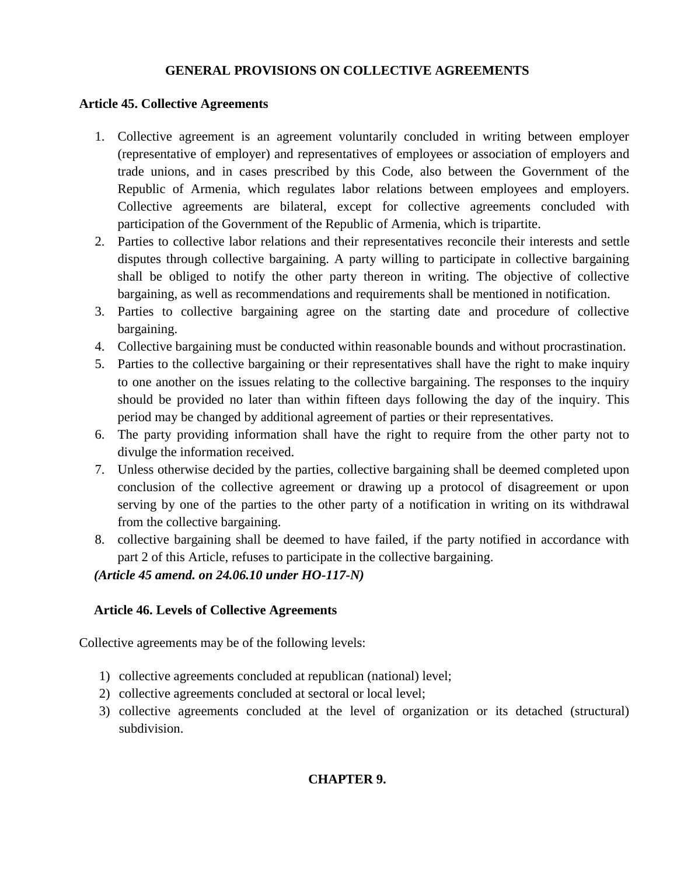### **GENERAL PROVISIONS ON COLLECTIVE AGREEMENTS**

### **Article 45. Collective Agreements**

- 1. Collective agreement is an agreement voluntarily concluded in writing between employer (representative of employer) and representatives of employees or association of employers and trade unions, and in cases prescribed by this Code, also between the Government of the Republic of Armenia, which regulates labor relations between employees and employers. Collective agreements are bilateral, except for collective agreements concluded with participation of the Government of the Republic of Armenia, which is tripartite.
- 2. Parties to collective labor relations and their representatives reconcile their interests and settle disputes through collective bargaining. A party willing to participate in collective bargaining shall be obliged to notify the other party thereon in writing. The objective of collective bargaining, as well as recommendations and requirements shall be mentioned in notification.
- 3. Parties to collective bargaining agree on the starting date and procedure of collective bargaining.
- 4. Collective bargaining must be conducted within reasonable bounds and without procrastination.
- 5. Parties to the collective bargaining or their representatives shall have the right to make inquiry to one another on the issues relating to the collective bargaining. The responses to the inquiry should be provided no later than within fifteen days following the day of the inquiry. This period may be changed by additional agreement of parties or their representatives.
- 6. The party providing information shall have the right to require from the other party not to divulge the information received.
- 7. Unless otherwise decided by the parties, collective bargaining shall be deemed completed upon conclusion of the collective agreement or drawing up a protocol of disagreement or upon serving by one of the parties to the other party of a notification in writing on its withdrawal from the collective bargaining.
- 8. collective bargaining shall be deemed to have failed, if the party notified in accordance with part 2 of this Article, refuses to participate in the collective bargaining.

*(Article 45 amend. on 24.06.10 under HO-117-N)*

### **Article 46. Levels of Collective Agreements**

Collective agreements may be of the following levels:

- 1) collective agreements concluded at republican (national) level;
- 2) collective agreements concluded at sectoral or local level;
- 3) collective agreements concluded at the level of organization or its detached (structural) subdivision.

### **CHAPTER 9.**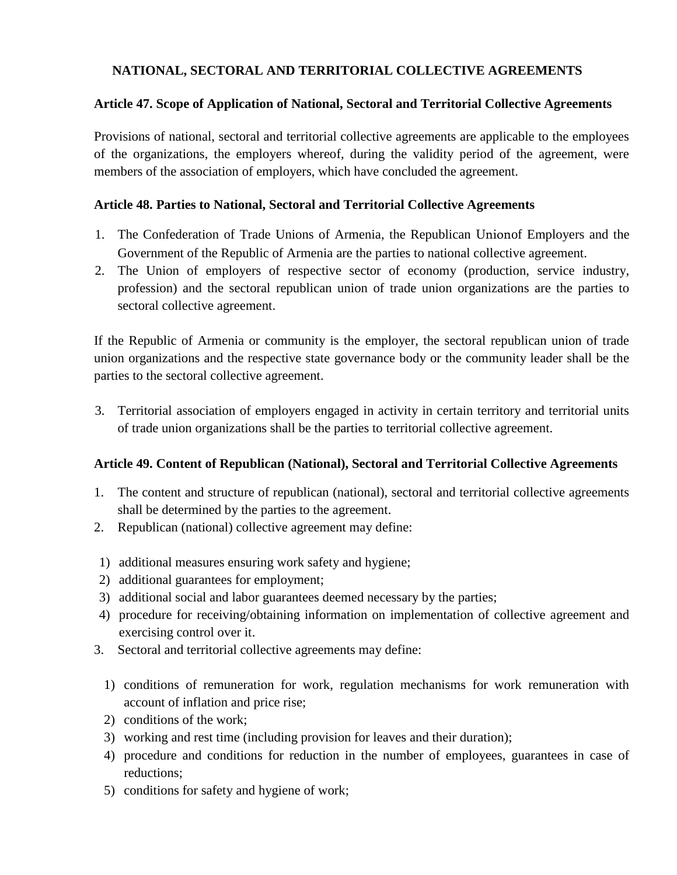### **NATIONAL, SECTORAL AND TERRITORIAL COLLECTIVE AGREEMENTS**

#### **Article 47. Scope of Application of National, Sectoral and Territorial Collective Agreements**

Provisions of national, sectoral and territorial collective agreements are applicable to the employees of the organizations, the employers whereof, during the validity period of the agreement, were members of the association of employers, which have concluded the agreement.

#### **Article 48. Parties to National, Sectoral and Territorial Collective Agreements**

- 1. The Confederation of Trade Unions of Armenia, the Republican Unionof Employers and the Government of the Republic of Armenia are the parties to national collective agreement.
- 2. The Union of employers of respective sector of economy (production, service industry, profession) and the sectoral republican union of trade union organizations are the parties to sectoral collective agreement.

If the Republic of Armenia or community is the employer, the sectoral republican union of trade union organizations and the respective state governance body or the community leader shall be the parties to the sectoral collective agreement.

3. Territorial association of employers engaged in activity in certain territory and territorial units of trade union organizations shall be the parties to territorial collective agreement.

### **Article 49. Content of Republican (National), Sectoral and Territorial Collective Agreements**

- 1. The content and structure of republican (national), sectoral and territorial collective agreements shall be determined by the parties to the agreement.
- 2. Republican (national) collective agreement may define:
- 1) additional measures ensuring work safety and hygiene;
- 2) additional guarantees for employment;
- 3) additional social and labor guarantees deemed necessary by the parties;
- 4) procedure for receiving/obtaining information on implementation of collective agreement and exercising control over it.
- 3. Sectoral and territorial collective agreements may define:
	- 1) conditions of remuneration for work, regulation mechanisms for work remuneration with account of inflation and price rise;
	- 2) conditions of the work;
	- 3) working and rest time (including provision for leaves and their duration);
	- 4) procedure and conditions for reduction in the number of employees, guarantees in case of reductions;
	- 5) conditions for safety and hygiene of work;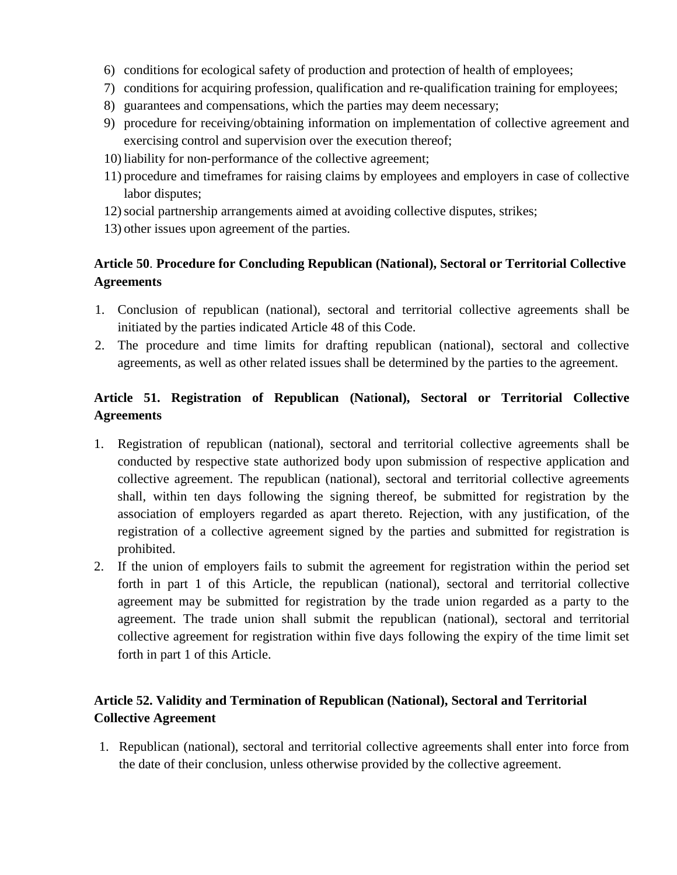- 6) conditions for ecological safety of production and protection of health of employees;
- 7) conditions for acquiring profession, qualification and re-qualification training for employees;
- 8) guarantees and compensations, which the parties may deem necessary;
- 9) procedure for receiving/obtaining information on implementation of collective agreement and exercising control and supervision over the execution thereof;
- 10) liability for non‐performance of the collective agreement;
- 11) procedure and timeframes for raising claims by employees and employers in case of collective labor disputes;
- 12)social partnership arrangements aimed at avoiding collective disputes, strikes;
- 13) other issues upon agreement of the parties.

# **Article 50**. **Procedure for Concluding Republican (National), Sectoral or Territorial Collective Agreements**

- 1. Conclusion of republican (national), sectoral and territorial collective agreements shall be initiated by the parties indicated Article 48 of this Code.
- 2. The procedure and time limits for drafting republican (national), sectoral and collective agreements, as well as other related issues shall be determined by the parties to the agreement.

# **Article 51. Registration of Republican (Na**t**ional), Sectoral or Territorial Collective Agreements**

- 1. Registration of republican (national), sectoral and territorial collective agreements shall be conducted by respective state authorized body upon submission of respective application and collective agreement. The republican (national), sectoral and territorial collective agreements shall, within ten days following the signing thereof, be submitted for registration by the association of employers regarded as apart thereto. Rejection, with any justification, of the registration of a collective agreement signed by the parties and submitted for registration is prohibited.
- 2. If the union of employers fails to submit the agreement for registration within the period set forth in part 1 of this Article, the republican (national), sectoral and territorial collective agreement may be submitted for registration by the trade union regarded as a party to the agreement. The trade union shall submit the republican (national), sectoral and territorial collective agreement for registration within five days following the expiry of the time limit set forth in part 1 of this Article.

# **Article 52. Validity and Termination of Republican (National), Sectoral and Territorial Collective Agreement**

1. Republican (national), sectoral and territorial collective agreements shall enter into force from the date of their conclusion, unless otherwise provided by the collective agreement.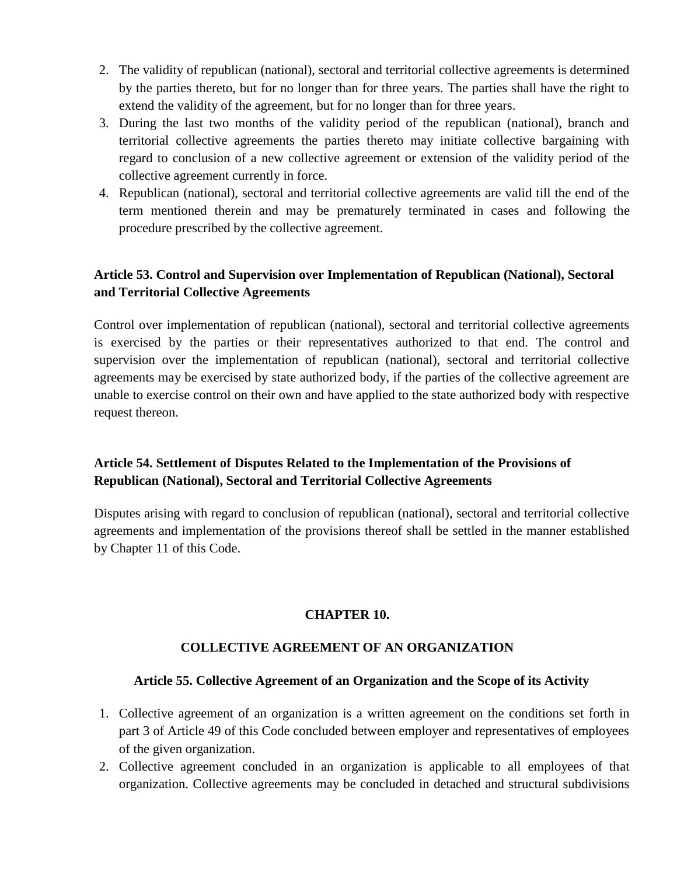- 2. The validity of republican (national), sectoral and territorial collective agreements is determined by the parties thereto, but for no longer than for three years. The parties shall have the right to extend the validity of the agreement, but for no longer than for three years.
- 3. During the last two months of the validity period of the republican (national), branch and territorial collective agreements the parties thereto may initiate collective bargaining with regard to conclusion of a new collective agreement or extension of the validity period of the collective agreement currently in force.
- 4. Republican (national), sectoral and territorial collective agreements are valid till the end of the term mentioned therein and may be prematurely terminated in cases and following the procedure prescribed by the collective agreement.

# **Article 53. Control and Supervision over Implementation of Republican (National), Sectoral and Territorial Collective Agreements**

Control over implementation of republican (national), sectoral and territorial collective agreements is exercised by the parties or their representatives authorized to that end. The control and supervision over the implementation of republican (national), sectoral and territorial collective agreements may be exercised by state authorized body, if the parties of the collective agreement are unable to exercise control on their own and have applied to the state authorized body with respective request thereon.

# **Article 54. Settlement of Disputes Related to the Implementation of the Provisions of Republican (National), Sectoral and Territorial Collective Agreements**

Disputes arising with regard to conclusion of republican (national), sectoral and territorial collective agreements and implementation of the provisions thereof shall be settled in the manner established by Chapter 11 of this Code.

### **CHAPTER 10.**

# **COLLECTIVE AGREEMENT OF AN ORGANIZATION**

### **Article 55. Collective Agreement of an Organization and the Scope of its Activity**

- 1. Collective agreement of an organization is a written agreement on the conditions set forth in part 3 of Article 49 of this Code concluded between employer and representatives of employees of the given organization.
- 2. Collective agreement concluded in an organization is applicable to all employees of that organization. Collective agreements may be concluded in detached and structural subdivisions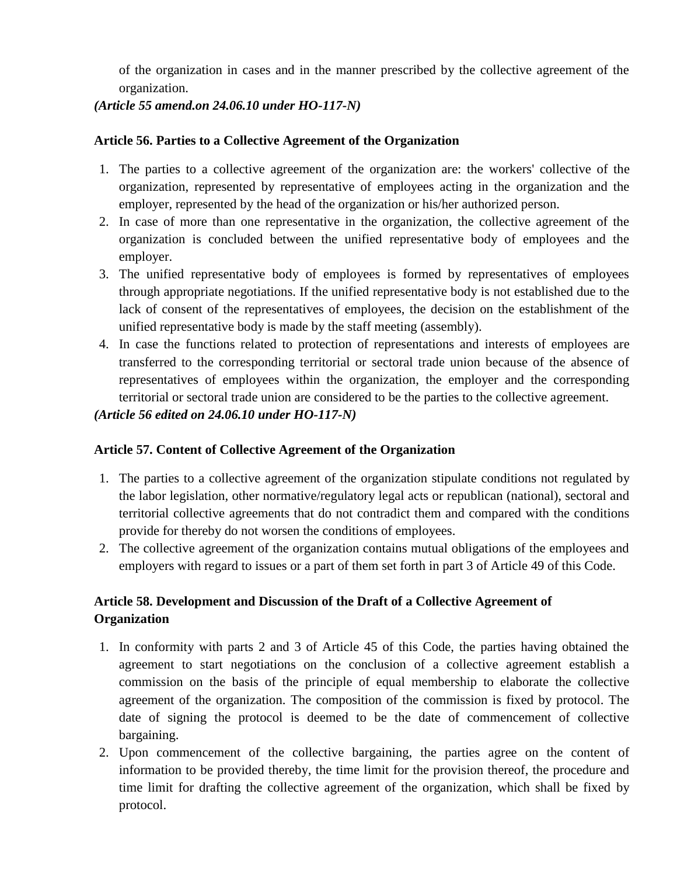of the organization in cases and in the manner prescribed by the collective agreement of the organization.

### *(Article 55 amend.on 24.06.10 under HO-117-N)*

### **Article 56. Parties to a Collective Agreement of the Organization**

- 1. The parties to a collective agreement of the organization are: the workers' collective of the organization, represented by representative of employees acting in the organization and the employer, represented by the head of the organization or his/her authorized person.
- 2. In case of more than one representative in the organization, the collective agreement of the organization is concluded between the unified representative body of employees and the employer.
- 3. The unified representative body of employees is formed by representatives of employees through appropriate negotiations. If the unified representative body is not established due to the lack of consent of the representatives of employees, the decision on the establishment of the unified representative body is made by the staff meeting (assembly).
- 4. In case the functions related to protection of representations and interests of employees are transferred to the corresponding territorial or sectoral trade union because of the absence of representatives of employees within the organization, the employer and the corresponding territorial or sectoral trade union are considered to be the parties to the collective agreement.

### *(Article 56 edited on 24.06.10 under HO-117-N)*

### **Article 57. Content of Collective Agreement of the Organization**

- 1. The parties to a collective agreement of the organization stipulate conditions not regulated by the labor legislation, other normative/regulatory legal acts or republican (national), sectoral and territorial collective agreements that do not contradict them and compared with the conditions provide for thereby do not worsen the conditions of employees.
- 2. The collective agreement of the organization contains mutual obligations of the employees and employers with regard to issues or a part of them set forth in part 3 of Article 49 of this Code.

# **Article 58. Development and Discussion of the Draft of a Collective Agreement of Organization**

- 1. In conformity with parts 2 and 3 of Article 45 of this Code, the parties having obtained the agreement to start negotiations on the conclusion of a collective agreement establish a commission on the basis of the principle of equal membership to elaborate the collective agreement of the organization. The composition of the commission is fixed by protocol. The date of signing the protocol is deemed to be the date of commencement of collective bargaining.
- 2. Upon commencement of the collective bargaining, the parties agree on the content of information to be provided thereby, the time limit for the provision thereof, the procedure and time limit for drafting the collective agreement of the organization, which shall be fixed by protocol.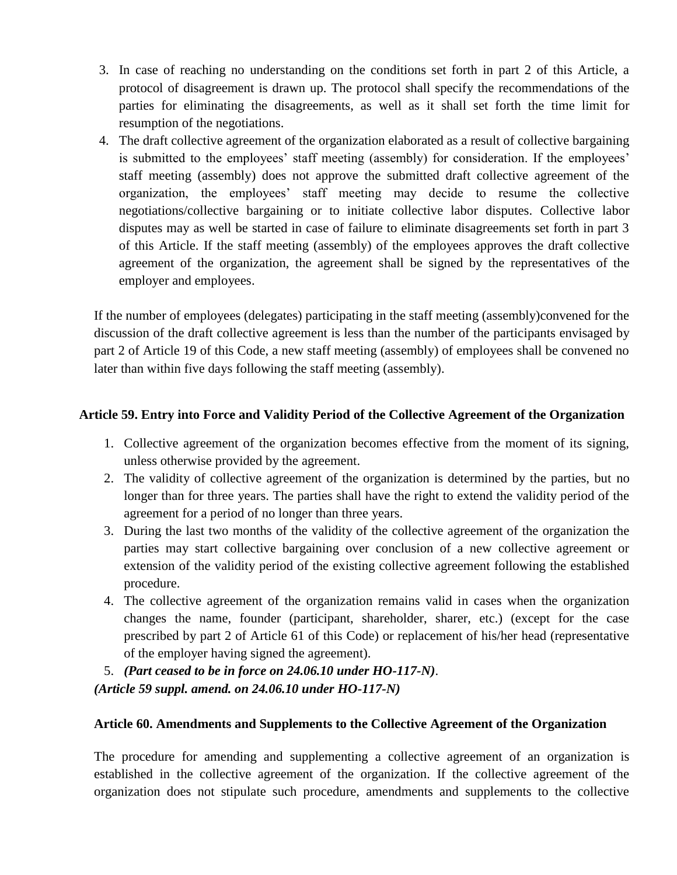- 3. In case of reaching no understanding on the conditions set forth in part 2 of this Article, a protocol of disagreement is drawn up. The protocol shall specify the recommendations of the parties for eliminating the disagreements, as well as it shall set forth the time limit for resumption of the negotiations.
- 4. The draft collective agreement of the organization elaborated as a result of collective bargaining is submitted to the employees' staff meeting (assembly) for consideration. If the employees' staff meeting (assembly) does not approve the submitted draft collective agreement of the organization, the employees' staff meeting may decide to resume the collective negotiations/collective bargaining or to initiate collective labor disputes. Collective labor disputes may as well be started in case of failure to eliminate disagreements set forth in part 3 of this Article. If the staff meeting (assembly) of the employees approves the draft collective agreement of the organization, the agreement shall be signed by the representatives of the employer and employees.

If the number of employees (delegates) participating in the staff meeting (assembly)convened for the discussion of the draft collective agreement is less than the number of the participants envisaged by part 2 of Article 19 of this Code, a new staff meeting (assembly) of employees shall be convened no later than within five days following the staff meeting (assembly).

### **Article 59. Entry into Force and Validity Period of the Collective Agreement of the Organization**

- 1. Collective agreement of the organization becomes effective from the moment of its signing, unless otherwise provided by the agreement.
- 2. The validity of collective agreement of the organization is determined by the parties, but no longer than for three years. The parties shall have the right to extend the validity period of the agreement for a period of no longer than three years.
- 3. During the last two months of the validity of the collective agreement of the organization the parties may start collective bargaining over conclusion of a new collective agreement or extension of the validity period of the existing collective agreement following the established procedure.
- 4. The collective agreement of the organization remains valid in cases when the organization changes the name, founder (participant, shareholder, sharer, etc.) (except for the case prescribed by part 2 of Article 61 of this Code) or replacement of his/her head (representative of the employer having signed the agreement).
- 5. *(Part ceased to be in force on 24.06.10 under HO-117-N)*. *(Article 59 suppl. amend. on 24.06.10 under HO-117-N)*

### **Article 60. Amendments and Supplements to the Collective Agreement of the Organization**

The procedure for amending and supplementing a collective agreement of an organization is established in the collective agreement of the organization. If the collective agreement of the organization does not stipulate such procedure, amendments and supplements to the collective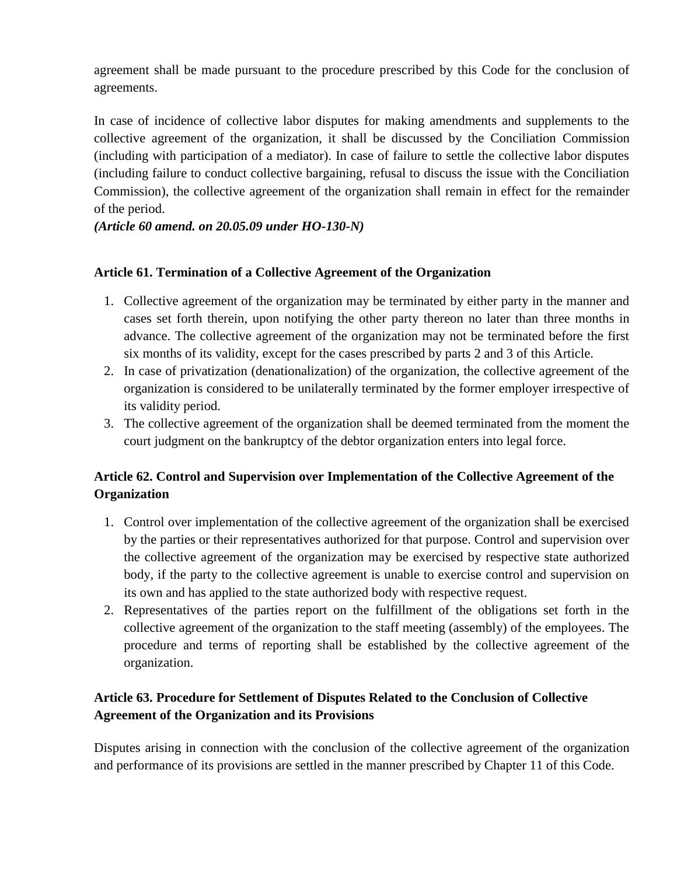agreement shall be made pursuant to the procedure prescribed by this Code for the conclusion of agreements.

In case of incidence of collective labor disputes for making amendments and supplements to the collective agreement of the organization, it shall be discussed by the Conciliation Commission (including with participation of a mediator). In case of failure to settle the collective labor disputes (including failure to conduct collective bargaining, refusal to discuss the issue with the Conciliation Commission), the collective agreement of the organization shall remain in effect for the remainder of the period.

*(Article 60 amend. on 20.05.09 under HO-130-N)*

### **Article 61. Termination of a Collective Agreement of the Organization**

- 1. Collective agreement of the organization may be terminated by either party in the manner and cases set forth therein, upon notifying the other party thereon no later than three months in advance. The collective agreement of the organization may not be terminated before the first six months of its validity, except for the cases prescribed by parts 2 and 3 of this Article.
- 2. In case of privatization (denationalization) of the organization, the collective agreement of the organization is considered to be unilaterally terminated by the former employer irrespective of its validity period.
- 3. The collective agreement of the organization shall be deemed terminated from the moment the court judgment on the bankruptcy of the debtor organization enters into legal force.

# **Article 62. Control and Supervision over Implementation of the Collective Agreement of the Organization**

- 1. Control over implementation of the collective agreement of the organization shall be exercised by the parties or their representatives authorized for that purpose. Control and supervision over the collective agreement of the organization may be exercised by respective state authorized body, if the party to the collective agreement is unable to exercise control and supervision on its own and has applied to the state authorized body with respective request.
- 2. Representatives of the parties report on the fulfillment of the obligations set forth in the collective agreement of the organization to the staff meeting (assembly) of the employees. The procedure and terms of reporting shall be established by the collective agreement of the organization.

# **Article 63. Procedure for Settlement of Disputes Related to the Conclusion of Collective Agreement of the Organization and its Provisions**

Disputes arising in connection with the conclusion of the collective agreement of the organization and performance of its provisions are settled in the manner prescribed by Chapter 11 of this Code.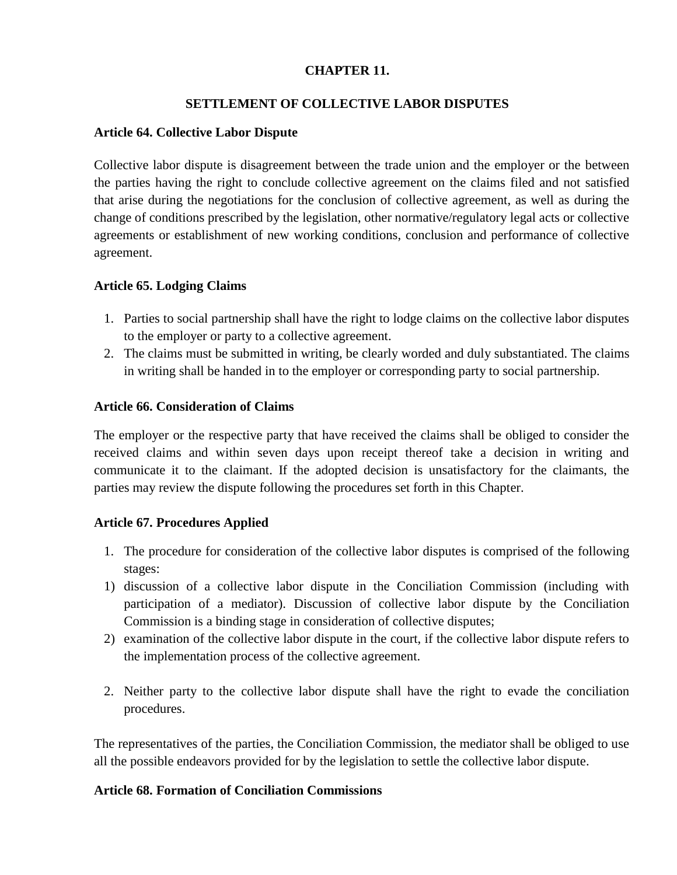### **CHAPTER 11.**

### **SETTLEMENT OF COLLECTIVE LABOR DISPUTES**

#### **Article 64. Collective Labor Dispute**

Collective labor dispute is disagreement between the trade union and the employer or the between the parties having the right to conclude collective agreement on the claims filed and not satisfied that arise during the negotiations for the conclusion of collective agreement, as well as during the change of conditions prescribed by the legislation, other normative/regulatory legal acts or collective agreements or establishment of new working conditions, conclusion and performance of collective agreement.

### **Article 65. Lodging Claims**

- 1. Parties to social partnership shall have the right to lodge claims on the collective labor disputes to the employer or party to a collective agreement.
- 2. The claims must be submitted in writing, be clearly worded and duly substantiated. The claims in writing shall be handed in to the employer or corresponding party to social partnership.

### **Article 66. Consideration of Claims**

The employer or the respective party that have received the claims shall be obliged to consider the received claims and within seven days upon receipt thereof take a decision in writing and communicate it to the claimant. If the adopted decision is unsatisfactory for the claimants, the parties may review the dispute following the procedures set forth in this Chapter.

### **Article 67. Procedures Applied**

- 1. The procedure for consideration of the collective labor disputes is comprised of the following stages:
- 1) discussion of a collective labor dispute in the Conciliation Commission (including with participation of a mediator). Discussion of collective labor dispute by the Conciliation Commission is a binding stage in consideration of collective disputes;
- 2) examination of the collective labor dispute in the court, if the collective labor dispute refers to the implementation process of the collective agreement.
- 2. Neither party to the collective labor dispute shall have the right to evade the conciliation procedures.

The representatives of the parties, the Conciliation Commission, the mediator shall be obliged to use all the possible endeavors provided for by the legislation to settle the collective labor dispute.

### **Article 68. Formation of Conciliation Commissions**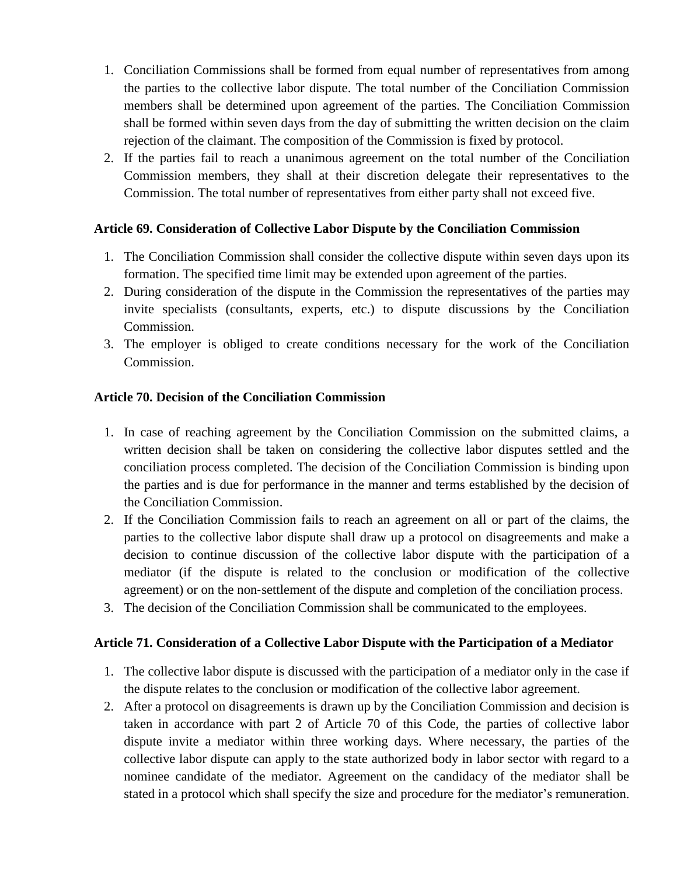- 1. Conciliation Commissions shall be formed from equal number of representatives from among the parties to the collective labor dispute. The total number of the Conciliation Commission members shall be determined upon agreement of the parties. The Conciliation Commission shall be formed within seven days from the day of submitting the written decision on the claim rejection of the claimant. The composition of the Commission is fixed by protocol.
- 2. If the parties fail to reach a unanimous agreement on the total number of the Conciliation Commission members, they shall at their discretion delegate their representatives to the Commission. The total number of representatives from either party shall not exceed five.

#### **Article 69. Consideration of Collective Labor Dispute by the Conciliation Commission**

- 1. The Conciliation Commission shall consider the collective dispute within seven days upon its formation. The specified time limit may be extended upon agreement of the parties.
- 2. During consideration of the dispute in the Commission the representatives of the parties may invite specialists (consultants, experts, etc.) to dispute discussions by the Conciliation Commission.
- 3. The employer is obliged to create conditions necessary for the work of the Conciliation Commission.

#### **Article 70. Decision of the Conciliation Commission**

- 1. In case of reaching agreement by the Conciliation Commission on the submitted claims, a written decision shall be taken on considering the collective labor disputes settled and the conciliation process completed. The decision of the Conciliation Commission is binding upon the parties and is due for performance in the manner and terms established by the decision of the Conciliation Commission.
- 2. If the Conciliation Commission fails to reach an agreement on all or part of the claims, the parties to the collective labor dispute shall draw up a protocol on disagreements and make a decision to continue discussion of the collective labor dispute with the participation of a mediator (if the dispute is related to the conclusion or modification of the collective agreement) or on the non‐settlement of the dispute and completion of the conciliation process.
- 3. The decision of the Conciliation Commission shall be communicated to the employees.

#### **Article 71. Consideration of a Collective Labor Dispute with the Participation of a Mediator**

- 1. The collective labor dispute is discussed with the participation of a mediator only in the case if the dispute relates to the conclusion or modification of the collective labor agreement.
- 2. After a protocol on disagreements is drawn up by the Conciliation Commission and decision is taken in accordance with part 2 of Article 70 of this Code, the parties of collective labor dispute invite a mediator within three working days. Where necessary, the parties of the collective labor dispute can apply to the state authorized body in labor sector with regard to a nominee candidate of the mediator. Agreement on the candidacy of the mediator shall be stated in a protocol which shall specify the size and procedure for the mediator's remuneration.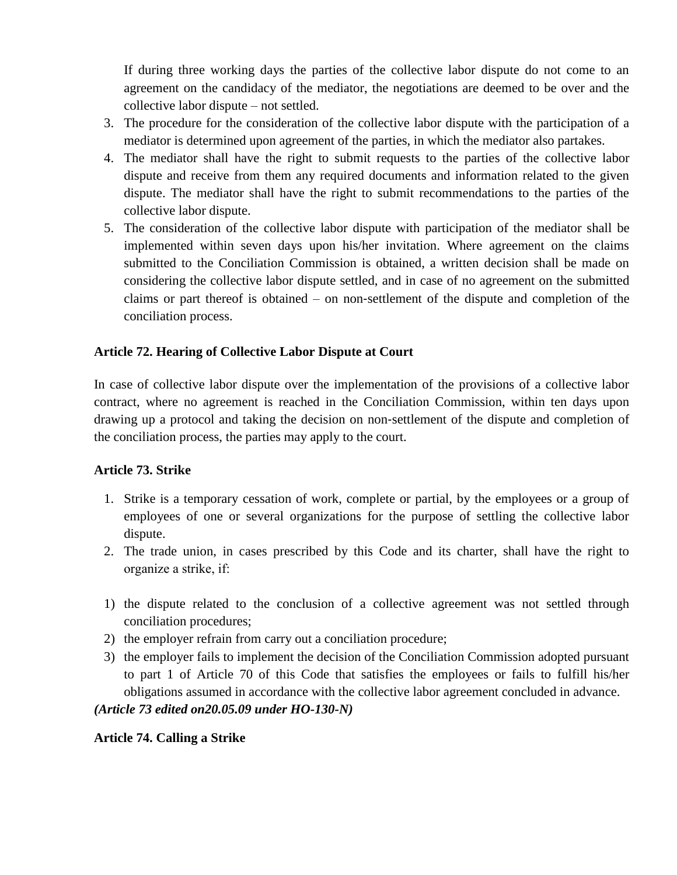If during three working days the parties of the collective labor dispute do not come to an agreement on the candidacy of the mediator, the negotiations are deemed to be over and the collective labor dispute – not settled.

- 3. The procedure for the consideration of the collective labor dispute with the participation of a mediator is determined upon agreement of the parties, in which the mediator also partakes.
- 4. The mediator shall have the right to submit requests to the parties of the collective labor dispute and receive from them any required documents and information related to the given dispute. The mediator shall have the right to submit recommendations to the parties of the collective labor dispute.
- 5. The consideration of the collective labor dispute with participation of the mediator shall be implemented within seven days upon his/her invitation. Where agreement on the claims submitted to the Conciliation Commission is obtained, a written decision shall be made on considering the collective labor dispute settled, and in case of no agreement on the submitted claims or part thereof is obtained – on non‐settlement of the dispute and completion of the conciliation process.

### **Article 72. Hearing of Collective Labor Dispute at Court**

In case of collective labor dispute over the implementation of the provisions of a collective labor contract, where no agreement is reached in the Conciliation Commission, within ten days upon drawing up a protocol and taking the decision on non‐settlement of the dispute and completion of the conciliation process, the parties may apply to the court.

### **Article 73. Strike**

- 1. Strike is a temporary cessation of work, complete or partial, by the employees or a group of employees of one or several organizations for the purpose of settling the collective labor dispute.
- 2. The trade union, in cases prescribed by this Code and its charter, shall have the right to organize а strike, if:
- 1) the dispute related to the conclusion of a collective agreement was not settled through conciliation procedures;
- 2) the employer refrain from carry out a conciliation procedure;
- 3) the employer fails to implement the decision of the Conciliation Commission adopted pursuant to part 1 of Article 70 of this Code that satisfies the employees or fails to fulfill his/her obligations assumed in accordance with the collective labor agreement concluded in advance.

### *(Article 73 edited on20.05.09 under HO-130-N)*

### **Article 74. Calling a Strike**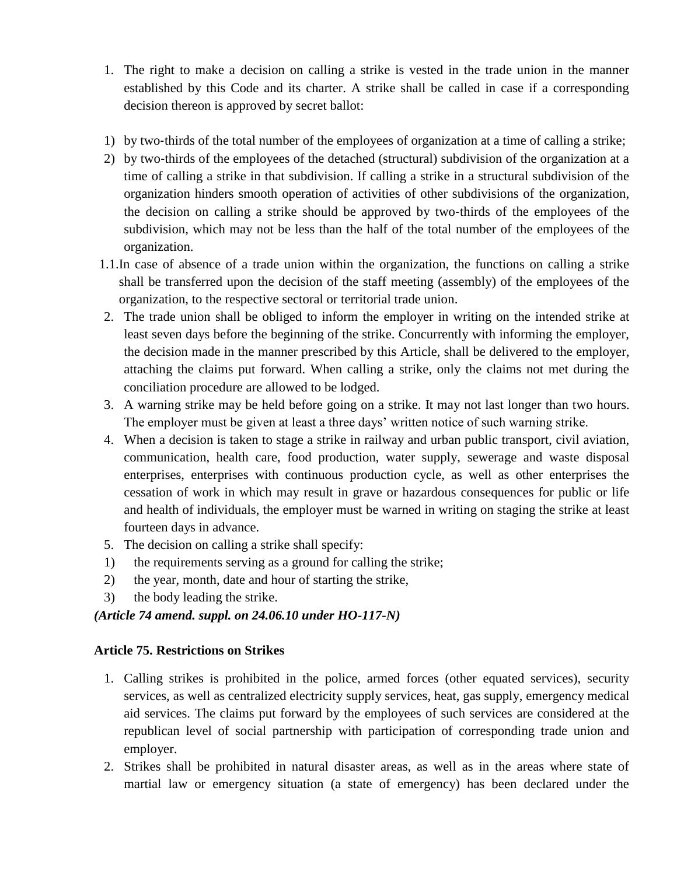- 1. The right to make a decision on calling a strike is vested in the trade union in the manner established by this Code and its charter. A strike shall be called in case if a corresponding decision thereon is approved by secret ballot:
- 1) by two‐thirds of the total number of the employees of organization at a time of calling a strike;
- 2) by two-thirds of the employees of the detached (structural) subdivision of the organization at a time of calling a strike in that subdivision. If calling a strike in a structural subdivision of the organization hinders smooth operation of activities of other subdivisions of the organization, the decision on calling a strike should be approved by two‐thirds of the employees of the subdivision, which may not be less than the half of the total number of the employees of the organization.
- 1.1.In case of absence of a trade union within the organization, the functions on calling a strike shall be transferred upon the decision of the staff meeting (assembly) of the employees of the organization, to the respective sectoral or territorial trade union.
- 2. The trade union shall be obliged to inform the employer in writing on the intended strike at least seven days before the beginning of the strike. Concurrently with informing the employer, the decision made in the manner prescribed by this Article, shall be delivered to the employer, attaching the claims put forward. When calling a strike, only the claims not met during the conciliation procedure are allowed to be lodged.
- 3. A warning strike may be held before going on a strike. It may not last longer than two hours. The employer must be given at least a three days' written notice of such warning strike.
- 4. When a decision is taken to stage a strike in railway and urban public transport, civil aviation, communication, health care, food production, water supply, sewerage and waste disposal enterprises, enterprises with continuous production cycle, as well as other enterprises the cessation of work in which may result in grave or hazardous consequences for public or life and health of individuals, the employer must be warned in writing on staging the strike at least fourteen days in advance.
- 5. The decision on calling a strike shall specify:
- 1) the requirements serving as a ground for calling the strike;
- 2) the year, month, date and hour of starting the strike,
- 3) the body leading the strike.

### *(Article 74 amend. suppl. on 24.06.10 under HO-117-N)*

### **Article 75. Restrictions on Strikes**

- 1. Calling strikes is prohibited in the police, armed forces (other equated services), security services, as well as centralized electricity supply services, heat, gas supply, emergency medical aid services. The claims put forward by the employees of such services are considered at the republican level of social partnership with participation of corresponding trade union and employer.
- 2. Strikes shall be prohibited in natural disaster areas, as well as in the areas where state of martial law or emergency situation (a state of emergency) has been declared under the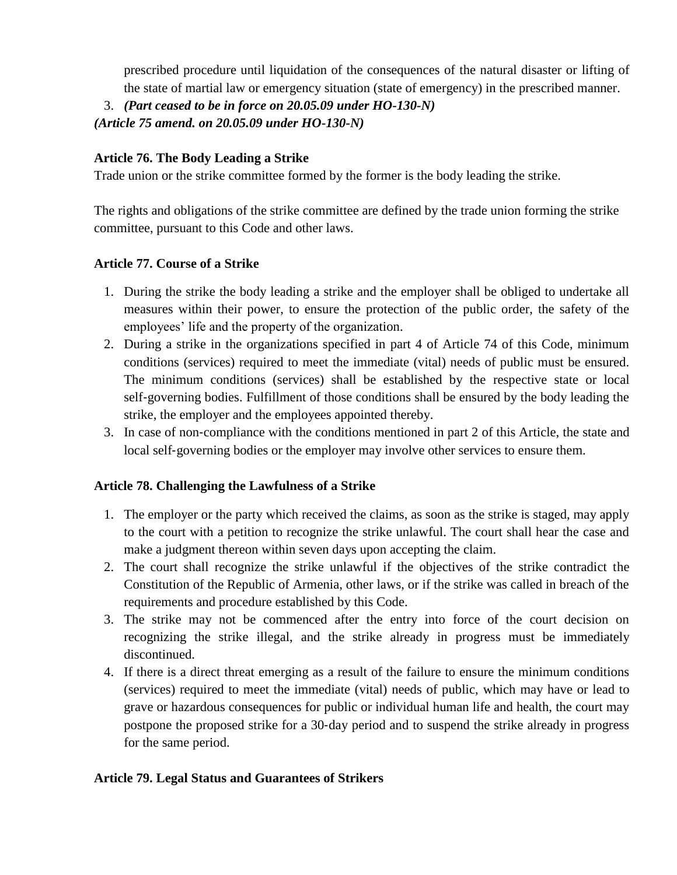prescribed procedure until liquidation of the consequences of the natural disaster or lifting of the state of martial law or emergency situation (state of emergency) in the prescribed manner.

3. *(Part ceased to be in force on 20.05.09 under HO-130-N)*

*(Article 75 amend. on 20.05.09 under HO-130-N)*

# **Article 76. The Body Leading a Strike**

Trade union or the strike committee formed by the former is the body leading the strike.

The rights and obligations of the strike committee are defined by the trade union forming the strike committee, pursuant to this Code and other laws.

# **Article 77. Course of a Strike**

- 1. During the strike the body leading a strike and the employer shall be obliged to undertake all measures within their power, to ensure the protection of the public order, the safety of the employees' life and the property of the organization.
- 2. During a strike in the organizations specified in part 4 of Article 74 of this Code, minimum conditions (services) required to meet the immediate (vital) needs of public must be ensured. The minimum conditions (services) shall be established by the respective state or local self‐governing bodies. Fulfillment of those conditions shall be ensured by the body leading the strike, the employer and the employees appointed thereby.
- 3. In case of non‐compliance with the conditions mentioned in part 2 of this Article, the state and local self‐governing bodies or the employer may involve other services to ensure them.

# **Article 78. Challenging the Lawfulness of a Strike**

- 1. The employer or the party which received the claims, as soon as the strike is staged, may apply to the court with a petition to recognize the strike unlawful. The court shall hear the case and make a judgment thereon within seven days upon accepting the claim.
- 2. The court shall recognize the strike unlawful if the objectives of the strike contradict the Constitution of the Republic of Armenia, other laws, or if the strike was called in breach of the requirements and procedure established by this Code.
- 3. The strike may not be commenced after the entry into force of the court decision on recognizing the strike illegal, and the strike already in progress must be immediately discontinued.
- 4. If there is a direct threat emerging as a result of the failure to ensure the minimum conditions (services) required to meet the immediate (vital) needs of public, which may have or lead to grave or hazardous consequences for public or individual human life and health, the court may postpone the proposed strike for a 30‐day period and to suspend the strike already in progress for the same period.

# **Article 79. Legal Status and Guarantees of Strikers**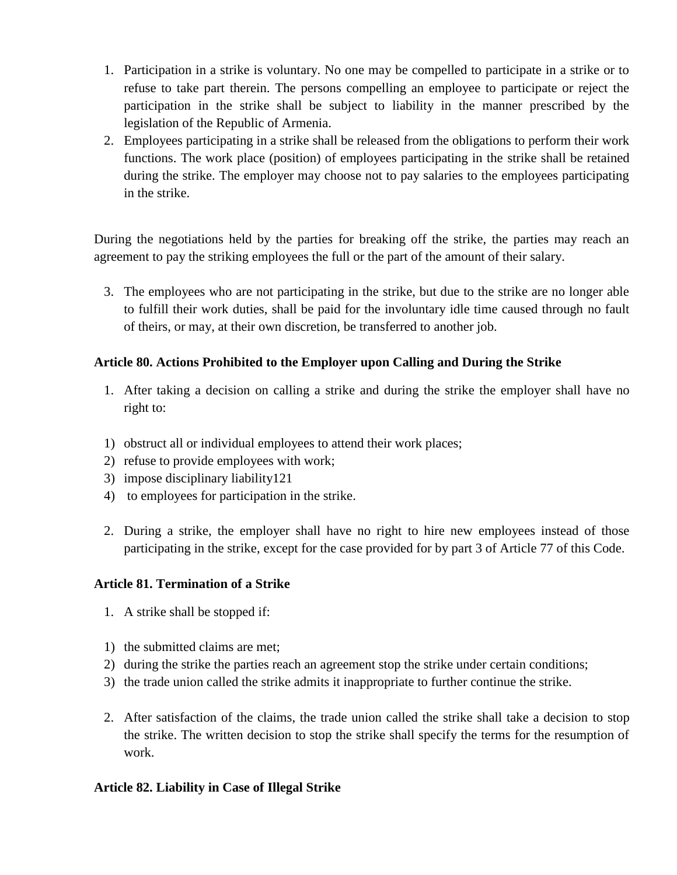- 1. Participation in a strike is voluntary. No one may be compelled to participate in a strike or to refuse to take part therein. The persons compelling an employee to participate or reject the participation in the strike shall be subject to liability in the manner prescribed by the legislation of the Republic of Armenia.
- 2. Employees participating in a strike shall be released from the obligations to perform their work functions. The work place (position) of employees participating in the strike shall be retained during the strike. The employer may choose not to pay salaries to the employees participating in the strike.

During the negotiations held by the parties for breaking off the strike, the parties may reach an agreement to pay the striking employees the full or the part of the amount of their salary.

3. The employees who are not participating in the strike, but due to the strike are no longer able to fulfill their work duties, shall be paid for the involuntary idle time caused through no fault of theirs, or may, at their own discretion, be transferred to another job.

### **Article 80. Actions Prohibited to the Employer upon Calling and During the Strike**

- 1. After taking a decision on calling a strike and during the strike the employer shall have no right to:
- 1) obstruct all or individual employees to attend their work places;
- 2) refuse to provide employees with work;
- 3) impose disciplinary liability121
- 4) to employees for participation in the strike.
- 2. During a strike, the employer shall have no right to hire new employees instead of those participating in the strike, except for the case provided for by part 3 of Article 77 of this Code.

### **Article 81. Termination of a Strike**

- 1. A strike shall be stopped if:
- 1) the submitted claims are met;
- 2) during the strike the parties reach an agreement stop the strike under certain conditions;
- 3) the trade union called the strike admits it inappropriate to further continue the strike.
- 2. After satisfaction of the claims, the trade union called the strike shall take a decision to stop the strike. The written decision to stop the strike shall specify the terms for the resumption of work.

### **Article 82. Liability in Case of Illegal Strike**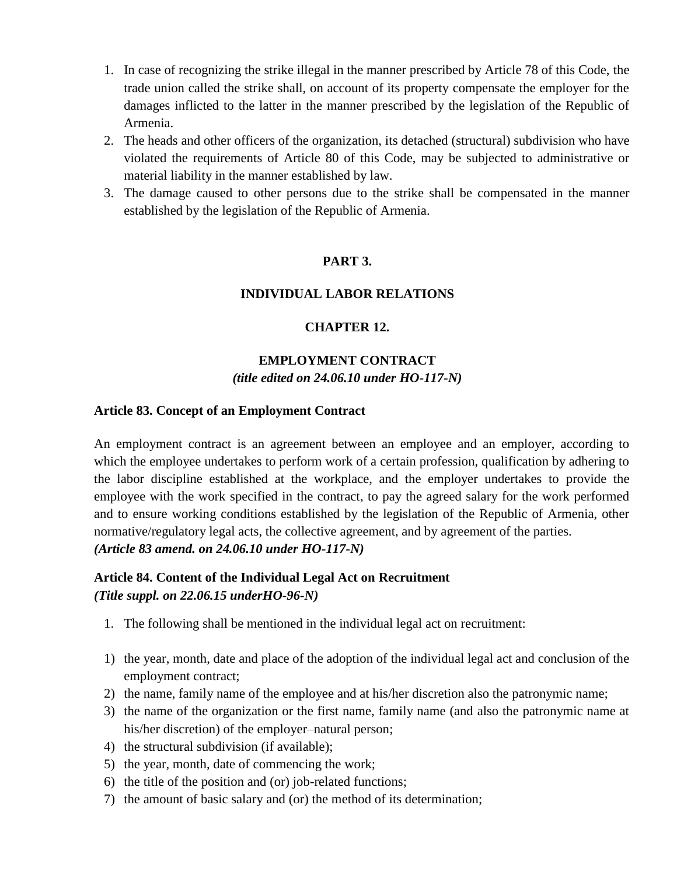- 1. In case of recognizing the strike illegal in the manner prescribed by Article 78 of this Code, the trade union called the strike shall, on account of its property compensate the employer for the damages inflicted to the latter in the manner prescribed by the legislation of the Republic of Armenia.
- 2. The heads and other officers of the organization, its detached (structural) subdivision who have violated the requirements of Article 80 of this Code, may be subjected to administrative or material liability in the manner established by law.
- 3. The damage caused to other persons due to the strike shall be compensated in the manner established by the legislation of the Republic of Armenia.

### **PART 3.**

#### **INDIVIDUAL LABOR RELATIONS**

#### **CHAPTER 12.**

#### **EMPLOYMENT CONTRACT** *(title edited on 24.06.10 under HO-117-N)*

#### **Article 83. Concept of an Employment Contract**

An employment contract is an agreement between an employee and an employer, according to which the employee undertakes to perform work of a certain profession, qualification by adhering to the labor discipline established at the workplace, and the employer undertakes to provide the employee with the work specified in the contract, to pay the agreed salary for the work performed and to ensure working conditions established by the legislation of the Republic of Armenia, other normative/regulatory legal acts, the collective agreement, and by agreement of the parties. *(Article 83 amend. on 24.06.10 under HO-117-N)*

### **Article 84. Content of the Individual Legal Act on Recruitment** *(Title suppl. on 22.06.15 underHO-96-N)*

- 1. The following shall be mentioned in the individual legal act on recruitment:
- 1) the year, month, date and place of the adoption of the individual legal act and conclusion of the employment contract;
- 2) the name, family name of the employee and at his/her discretion also the patronymic name;
- 3) the name of the organization or the first name, family name (and also the patronymic name at his/her discretion) of the employer–natural person;
- 4) the structural subdivision (if available);
- 5) the year, month, date of commencing the work;
- 6) the title of the position and (or) job-related functions;
- 7) the amount of basic salary and (or) the method of its determination;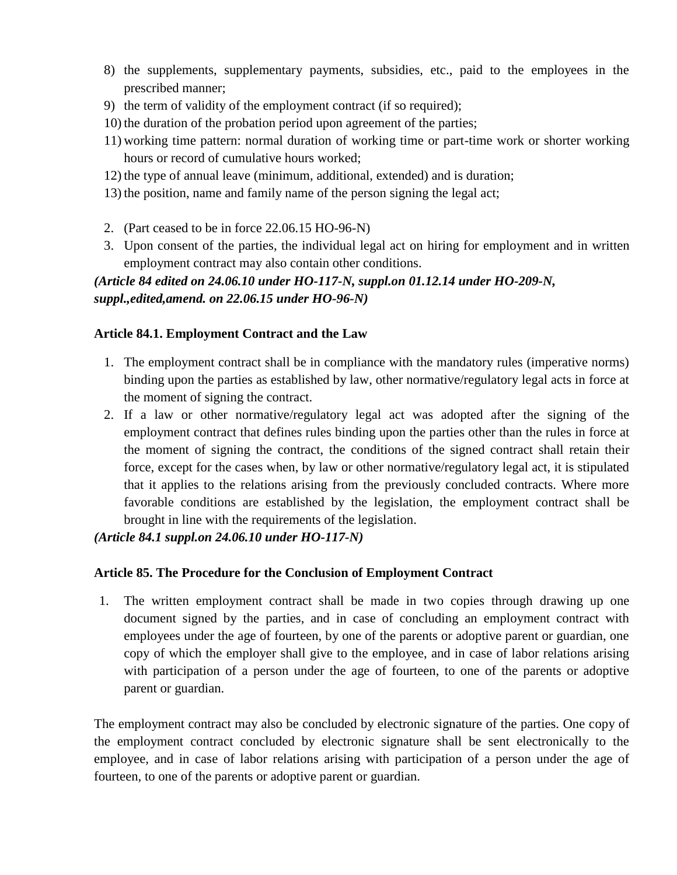- 8) the supplements, supplementary payments, subsidies, etc., paid to the employees in the prescribed manner;
- 9) the term of validity of the employment contract (if so required);
- 10) the duration of the probation period upon agreement of the parties;
- 11) working time pattern: normal duration of working time or part-time work or shorter working hours or record of cumulative hours worked;
- 12) the type of annual leave (minimum, additional, extended) and is duration;
- 13) the position, name and family name of the person signing the legal act;
- 2. (Part ceased to be in force 22.06.15 HO-96-N)
- 3. Upon consent of the parties, the individual legal act on hiring for employment and in written employment contract may also contain other conditions.

# *(Article 84 edited on 24.06.10 under HO-117-N, suppl.on 01.12.14 under HO-209-N, suppl.,edited,amend. on 22.06.15 under HO-96-N)*

### **Article 84.1. Employment Contract and the Law**

- 1. The employment contract shall be in compliance with the mandatory rules (imperative norms) binding upon the parties as established by law, other normative/regulatory legal acts in force at the moment of signing the contract.
- 2. If a law or other normative/regulatory legal act was adopted after the signing of the employment contract that defines rules binding upon the parties other than the rules in force at the moment of signing the contract, the conditions of the signed contract shall retain their force, except for the cases when, by law or other normative/regulatory legal act, it is stipulated that it applies to the relations arising from the previously concluded contracts. Where more favorable conditions are established by the legislation, the employment contract shall be brought in line with the requirements of the legislation.

*(Article 84.1 suppl.on 24.06.10 under HO-117-N)*

### **Article 85. The Procedure for the Conclusion of Employment Contract**

1. The written employment contract shall be made in two copies through drawing up one document signed by the parties, and in case of concluding an employment contract with employees under the age of fourteen, by one of the parents or adoptive parent or guardian, one copy of which the employer shall give to the employee, and in case of labor relations arising with participation of a person under the age of fourteen, to one of the parents or adoptive parent or guardian.

The employment contract may also be concluded by electronic signature of the parties. One copy of the employment contract concluded by electronic signature shall be sent electronically to the employee, and in case of labor relations arising with participation of a person under the age of fourteen, to one of the parents or adoptive parent or guardian.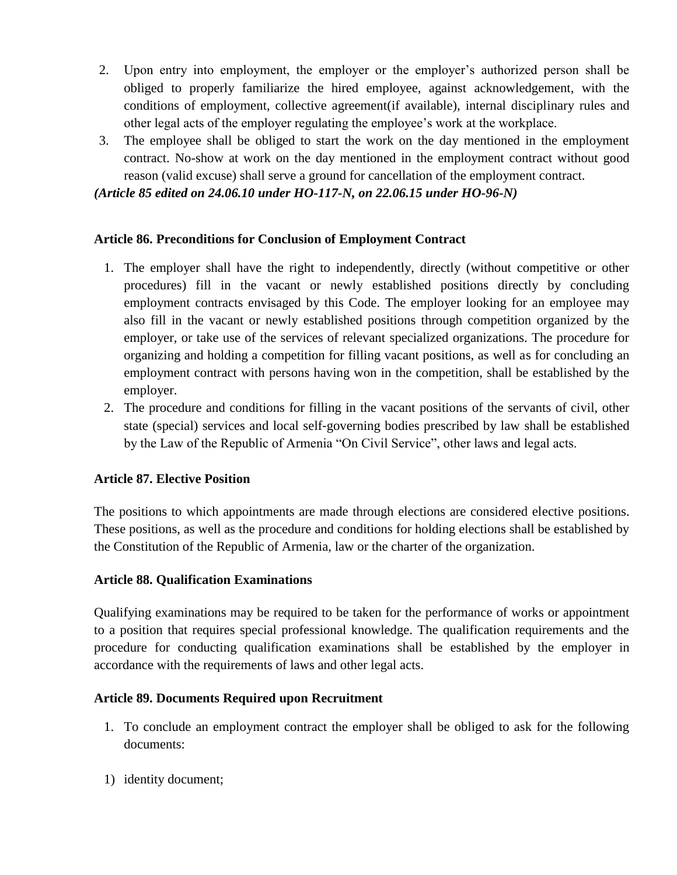- 2. Upon entry into employment, the employer or the employer's authorized person shall be obliged to properly familiarize the hired employee, against acknowledgement, with the conditions of employment, collective agreement(if available), internal disciplinary rules and other legal acts of the employer regulating the employee's work at the workplace.
- 3. The employee shall be obliged to start the work on the day mentioned in the employment contract. No-show at work on the day mentioned in the employment contract without good reason (valid excuse) shall serve a ground for cancellation of the employment contract.

*(Article 85 edited on 24.06.10 under HO-117-N, on 22.06.15 under HO-96-N)*

#### **Article 86. Preconditions for Conclusion of Employment Contract**

- 1. The employer shall have the right to independently, directly (without competitive or other procedures) fill in the vacant or newly established positions directly by concluding employment contracts envisaged by this Code. The employer looking for an employee may also fill in the vacant or newly established positions through competition organized by the employer, or take use of the services of relevant specialized organizations. The procedure for organizing and holding a competition for filling vacant positions, as well as for concluding an employment contract with persons having won in the competition, shall be established by the employer.
- 2. The procedure and conditions for filling in the vacant positions of the servants of civil, other state (special) services and local self‐governing bodies prescribed by law shall be established by the Law of the Republic of Armenia "On Civil Service", other laws and legal acts.

### **Article 87. Elective Position**

The positions to which appointments are made through elections are considered elective positions. These positions, as well as the procedure and conditions for holding elections shall be established by the Constitution of the Republic of Armenia, law or the charter of the organization.

### **Article 88. Qualification Examinations**

Qualifying examinations may be required to be taken for the performance of works or appointment to a position that requires special professional knowledge. The qualification requirements and the procedure for conducting qualification examinations shall be established by the employer in accordance with the requirements of laws and other legal acts.

### **Article 89. Documents Required upon Recruitment**

- 1. To conclude an employment contract the employer shall be obliged to ask for the following documents:
- 1) identity document;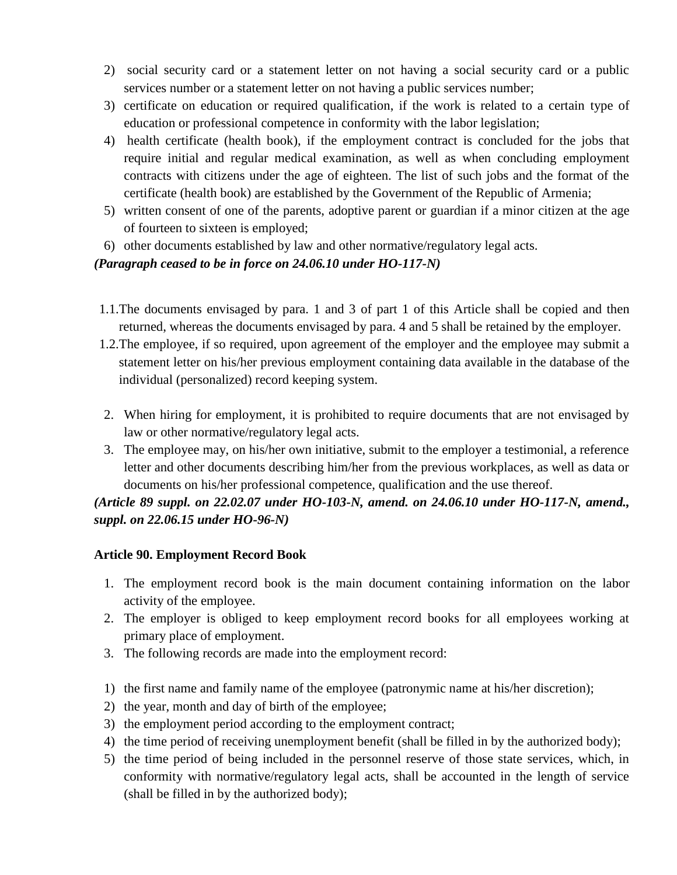- 2) social security card or a statement letter on not having a social security card or a public services number or a statement letter on not having a public services number;
- 3) certificate on education or required qualification, if the work is related to a certain type of education or professional competence in conformity with the labor legislation;
- 4) health certificate (health book), if the employment contract is concluded for the jobs that require initial and regular medical examination, as well as when concluding employment contracts with citizens under the age of eighteen. The list of such jobs and the format of the certificate (health book) are established by the Government of the Republic of Armenia;
- 5) written consent of one of the parents, adoptive parent or guardian if a minor citizen at the age of fourteen to sixteen is employed;
- 6) other documents established by law and other normative/regulatory legal acts.

### *(Paragraph ceased to be in force on 24.06.10 under HO-117-N)*

- 1.1.The documents envisaged by para. 1 and 3 of part 1 of this Article shall be copied and then returned, whereas the documents envisaged by para. 4 and 5 shall be retained by the employer.
- 1.2.The employee, if so required, upon agreement of the employer and the employee may submit a statement letter on his/her previous employment containing data available in the database of the individual (personalized) record keeping system.
- 2. When hiring for employment, it is prohibited to require documents that are not envisaged by law or other normative/regulatory legal acts.
- 3. The employee may, on his/her own initiative, submit to the employer a testimonial, a reference letter and other documents describing him/her from the previous workplaces, as well as data or documents on his/her professional competence, qualification and the use thereof.

# *(Article 89 suppl. on 22.02.07 under HO-103-N, amend. on 24.06.10 under HO-117-N, amend., suppl. on 22.06.15 under HO-96-N)*

### **Article 90. Employment Record Book**

- 1. The employment record book is the main document containing information on the labor activity of the employee.
- 2. The employer is obliged to keep employment record books for all employees working at primary place of employment.
- 3. The following records are made into the employment record:
- 1) the first name and family name of the employee (patronymic name at his/her discretion);
- 2) the year, month and day of birth of the employee;
- 3) the employment period according to the employment contract;
- 4) the time period of receiving unemployment benefit (shall be filled in by the authorized body);
- 5) the time period of being included in the personnel reserve of those state services, which, in conformity with normative/regulatory legal acts, shall be accounted in the length of service (shall be filled in by the authorized body);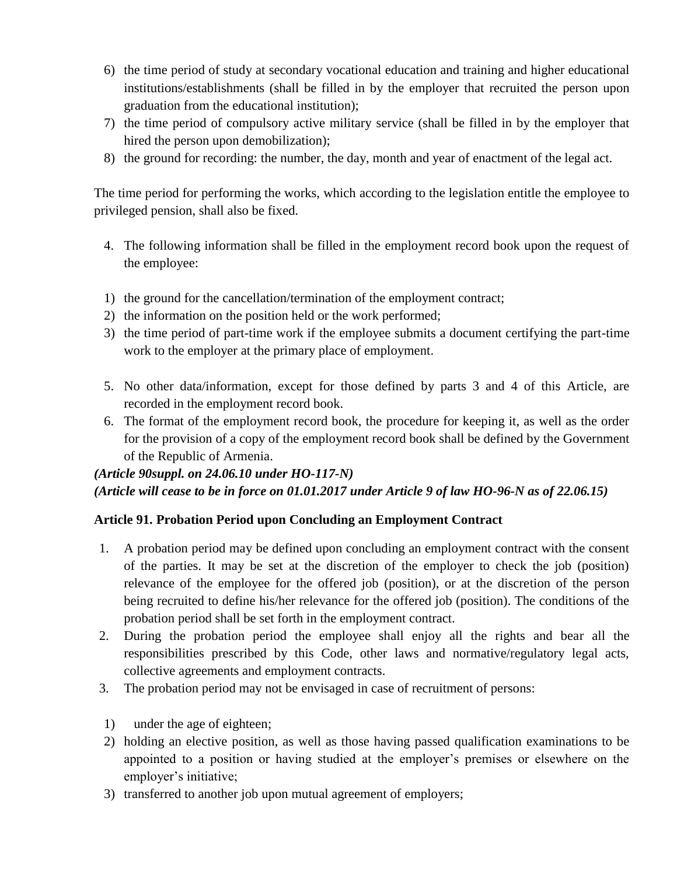- 6) the time period of study at secondary vocational education and training and higher educational institutions/establishments (shall be filled in by the employer that recruited the person upon graduation from the educational institution);
- 7) the time period of compulsory active military service (shall be filled in by the employer that hired the person upon demobilization);
- 8) the ground for recording: the number, the day, month and year of enactment of the legal act.

The time period for performing the works, which according to the legislation entitle the employee to privileged pension, shall also be fixed.

- 4. The following information shall be filled in the employment record book upon the request of the employee:
- 1) the ground for the cancellation/termination of the employment contract;
- 2) the information on the position held or the work performed;
- 3) the time period of part-time work if the employee submits a document certifying the part-time work to the employer at the primary place of employment.
- 5. No other data/information, except for those defined by parts 3 and 4 of this Article, are recorded in the employment record book.
- 6. The format of the employment record book, the procedure for keeping it, as well as the order for the provision of a copy of the employment record book shall be defined by the Government of the Republic of Armenia.

# *(Article 90suppl. on 24.06.10 under HO-117-N) (Article will cease to be in force on 01.01.2017 under Article 9 of law HO-96-N as of 22.06.15)*

# **Article 91. Probation Period upon Concluding an Employment Contract**

- 1. A probation period may be defined upon concluding an employment contract with the consent of the parties. It may be set at the discretion of the employer to check the job (position) relevance of the employee for the offered job (position), or at the discretion of the person being recruited to define his/her relevance for the offered job (position). The conditions of the probation period shall be set forth in the employment contract.
- 2. During the probation period the employee shall enjoy all the rights and bear all the responsibilities prescribed by this Code, other laws and normative/regulatory legal acts, collective agreements and employment contracts.
- 3. The probation period may not be envisaged in case of recruitment of persons:
- 1) under the age of eighteen;
- 2) holding an elective position, as well as those having passed qualification examinations to be appointed to a position or having studied at the employer's premises or elsewhere on the employer's initiative;
- 3) transferred to another job upon mutual agreement of employers;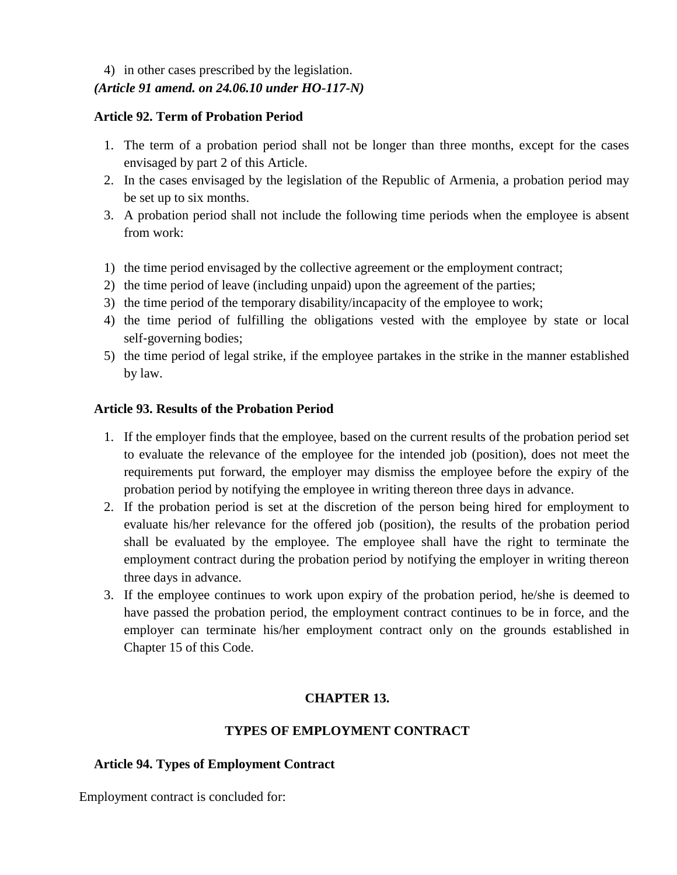# 4) in other cases prescribed by the legislation.

# *(Article 91 amend. on 24.06.10 under HO-117-N)*

#### **Article 92. Term of Probation Period**

- 1. The term of a probation period shall not be longer than three months, except for the cases envisaged by part 2 of this Article.
- 2. In the cases envisaged by the legislation of the Republic of Armenia, a probation period may be set up to six months.
- 3. A probation period shall not include the following time periods when the employee is absent from work:
- 1) the time period envisaged by the collective agreement or the employment contract;
- 2) the time period of leave (including unpaid) upon the agreement of the parties;
- 3) the time period of the temporary disability/incapacity of the employee to work;
- 4) the time period of fulfilling the obligations vested with the employee by state or local self‐governing bodies;
- 5) the time period of legal strike, if the employee partakes in the strike in the manner established by law.

# **Article 93. Results of the Probation Period**

- 1. If the employer finds that the employee, based on the current results of the probation period set to evaluate the relevance of the employee for the intended job (position), does not meet the requirements put forward, the employer may dismiss the employee before the expiry of the probation period by notifying the employee in writing thereon three days in advance.
- 2. If the probation period is set at the discretion of the person being hired for employment to evaluate his/her relevance for the offered job (position), the results of the probation period shall be evaluated by the employee. The employee shall have the right to terminate the employment contract during the probation period by notifying the employer in writing thereon three days in advance.
- 3. If the employee continues to work upon expiry of the probation period, he/she is deemed to have passed the probation period, the employment contract continues to be in force, and the employer can terminate his/her employment contract only on the grounds established in Chapter 15 of this Code.

# **CHAPTER 13.**

# **TYPES OF EMPLOYMENT CONTRACT**

# **Article 94. Types of Employment Contract**

Employment contract is concluded for: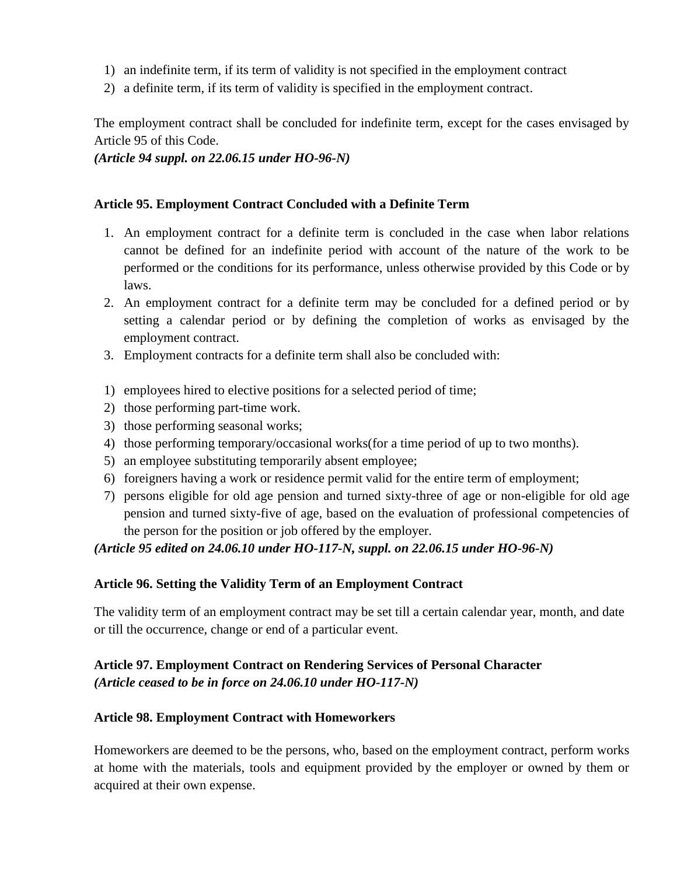- 1) an indefinite term, if its term of validity is not specified in the employment contract
- 2) a definite term, if its term of validity is specified in the employment contract.

The employment contract shall be concluded for indefinite term, except for the cases envisaged by Article 95 of this Code.

*(Article 94 suppl. on 22.06.15 under HO-96-N)*

### **Article 95. Employment Contract Concluded with a Definite Term**

- 1. An employment contract for a definite term is concluded in the case when labor relations cannot be defined for an indefinite period with account of the nature of the work to be performed or the conditions for its performance, unless otherwise provided by this Code or by laws.
- 2. An employment contract for a definite term may be concluded for a defined period or by setting a calendar period or by defining the completion of works as envisaged by the employment contract.
- 3. Employment contracts for a definite term shall also be concluded with:
- 1) employees hired to elective positions for a selected period of time;
- 2) those performing part-time work.
- 3) those performing seasonal works;
- 4) those performing temporary/occasional works(for a time period of up to two months).
- 5) an employee substituting temporarily absent employee;
- 6) foreigners having a work or residence permit valid for the entire term of employment;
- 7) persons eligible for old age pension and turned sixty-three of age or non-eligible for old age pension and turned sixty-five of age, based on the evaluation of professional competencies of the person for the position or job offered by the employer.

*(Article 95 edited on 24.06.10 under HO-117-N, suppl. on 22.06.15 under HO-96-N)*

#### **Article 96. Setting the Validity Term of an Employment Contract**

The validity term of an employment contract may be set till a certain calendar year, month, and date or till the occurrence, change or end of a particular event.

# **Article 97. Employment Contract on Rendering Services of Personal Character** *(Article ceased to be in force on 24.06.10 under HO-117-N)*

#### **Article 98. Employment Contract with Homeworkers**

Homeworkers are deemed to be the persons, who, based on the employment contract, perform works at home with the materials, tools and equipment provided by the employer or owned by them or acquired at their own expense.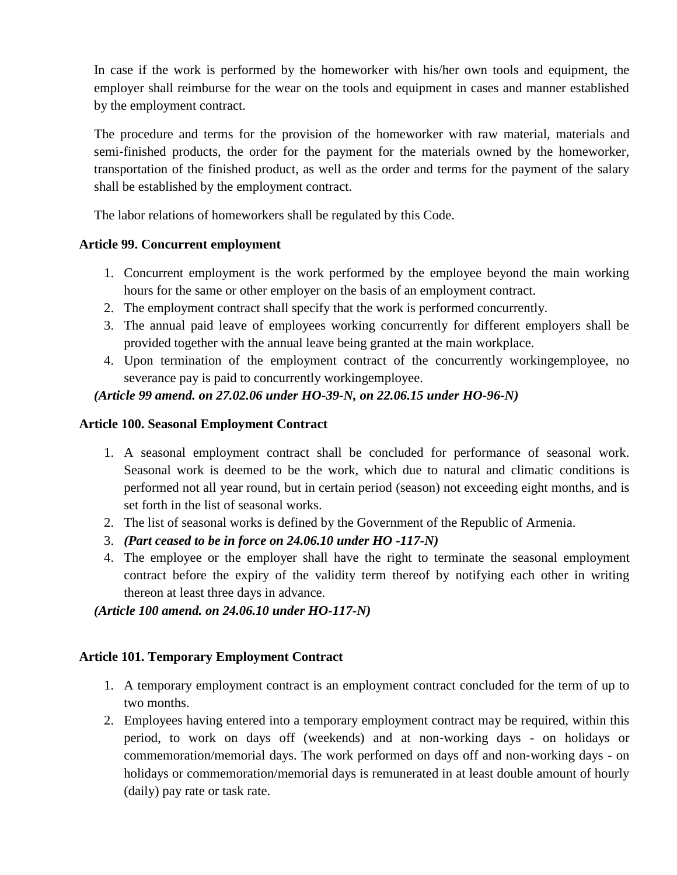In case if the work is performed by the homeworker with his/her own tools and equipment, the employer shall reimburse for the wear on the tools and equipment in cases and manner established by the employment contract.

The procedure and terms for the provision of the homeworker with raw material, materials and semi-finished products, the order for the payment for the materials owned by the homeworker, transportation of the finished product, as well as the order and terms for the payment of the salary shall be established by the employment contract.

The labor relations of homeworkers shall be regulated by this Code.

# **Article 99. Concurrent employment**

- 1. Concurrent employment is the work performed by the employee beyond the main working hours for the same or other employer on the basis of an employment contract.
- 2. The employment contract shall specify that the work is performed concurrently.
- 3. The annual paid leave of employees working concurrently for different employers shall be provided together with the annual leave being granted at the main workplace.
- 4. Upon termination of the employment contract of the concurrently workingemployee, no severance pay is paid to concurrently workingemployee.

# *(Article 99 amend. on 27.02.06 under HO-39-N, on 22.06.15 under HO-96-N)*

# **Article 100. Seasonal Employment Contract**

- 1. A seasonal employment contract shall be concluded for performance of seasonal work. Seasonal work is deemed to be the work, which due to natural and climatic conditions is performed not all year round, but in certain period (season) not exceeding eight months, and is set forth in the list of seasonal works.
- 2. The list of seasonal works is defined by the Government of the Republic of Armenia.
- 3. *(Part ceased to be in force on 24.06.10 under HO -117-N)*
- 4. The employee or the employer shall have the right to terminate the seasonal employment contract before the expiry of the validity term thereof by notifying each other in writing thereon at least three days in advance.

*(Article 100 amend. on 24.06.10 under HO-117-N)*

# **Article 101. Temporary Employment Contract**

- 1. A temporary employment contract is an employment contract concluded for the term of up to two months.
- 2. Employees having entered into a temporary employment contract may be required, within this period, to work on days off (weekends) and at non‐working days - on holidays or commemoration/memorial days. The work performed on days off and non‐working days - on holidays or commemoration/memorial days is remunerated in at least double amount of hourly (daily) pay rate or task rate.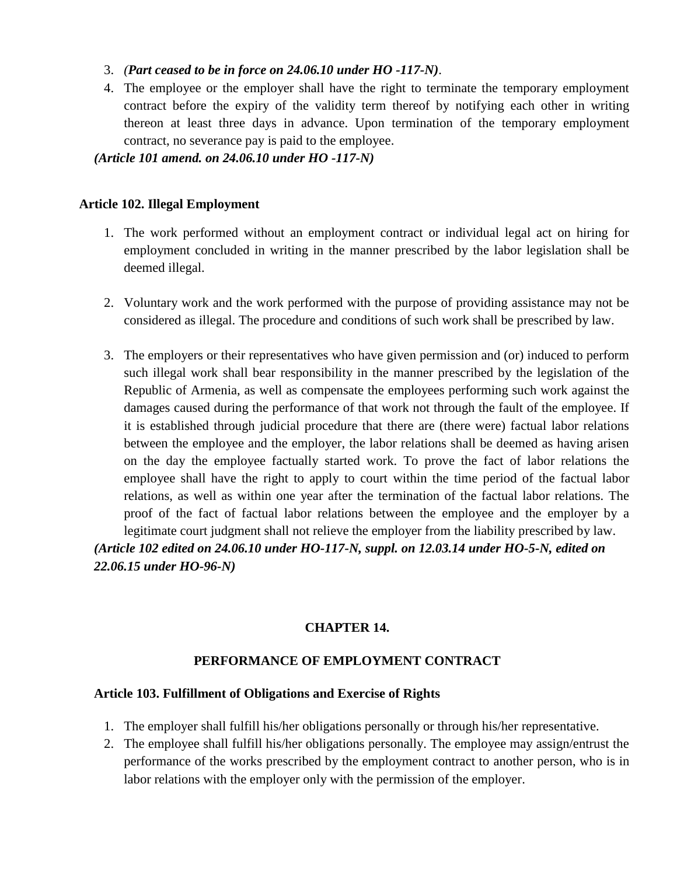- 3. *(Part ceased to be in force on 24.06.10 under HO -117-N)*.
- 4. The employee or the employer shall have the right to terminate the temporary employment contract before the expiry of the validity term thereof by notifying each other in writing thereon at least three days in advance. Upon termination of the temporary employment contract, no severance pay is paid to the employee.

*(Article 101 amend. on 24.06.10 under HO -117-N)*

### **Article 102. Illegal Employment**

- 1. The work performed without an employment contract or individual legal act on hiring for employment concluded in writing in the manner prescribed by the labor legislation shall be deemed illegal.
- 2. Voluntary work and the work performed with the purpose of providing assistance may not be considered as illegal. The procedure and conditions of such work shall be prescribed by law.
- 3. The employers or their representatives who have given permission and (or) induced to perform such illegal work shall bear responsibility in the manner prescribed by the legislation of the Republic of Armenia, as well as compensate the employees performing such work against the damages caused during the performance of that work not through the fault of the employee. If it is established through judicial procedure that there are (there were) factual labor relations between the employee and the employer, the labor relations shall be deemed as having arisen on the day the employee factually started work. To prove the fact of labor relations the employee shall have the right to apply to court within the time period of the factual labor relations, as well as within one year after the termination of the factual labor relations. The proof of the fact of factual labor relations between the employee and the employer by a legitimate court judgment shall not relieve the employer from the liability prescribed by law. *(Article 102 edited on 24.06.10 under HO-117-N, suppl. on 12.03.14 under HO-5-N, edited on*

*22.06.15 under HO-96-N)*

# **CHAPTER 14.**

# **PERFORMANCE OF EMPLOYMENT CONTRACT**

# **Article 103. Fulfillment of Obligations and Exercise of Rights**

- 1. The employer shall fulfill his/her obligations personally or through his/her representative.
- 2. The employee shall fulfill his/her obligations personally. The employee may assign/entrust the performance of the works prescribed by the employment contract to another person, who is in labor relations with the employer only with the permission of the employer.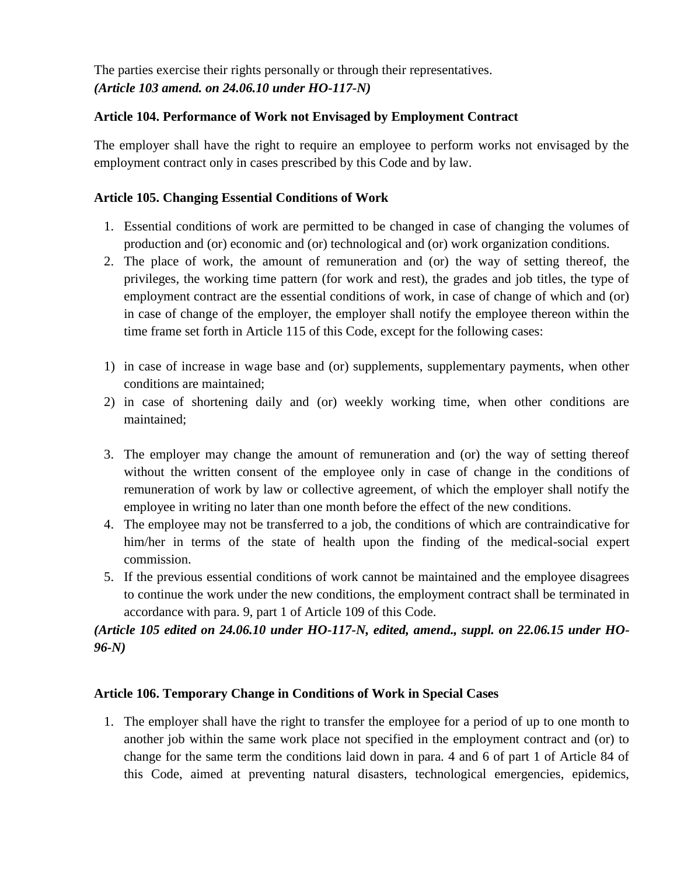The parties exercise their rights personally or through their representatives. *(Article 103 amend. on 24.06.10 under HO-117-N)*

### **Article 104. Performance of Work not Envisaged by Employment Contract**

The employer shall have the right to require an employee to perform works not envisaged by the employment contract only in cases prescribed by this Code and by law.

### **Article 105. Changing Essential Conditions of Work**

- 1. Essential conditions of work are permitted to be changed in case of changing the volumes of production and (or) economic and (or) technological and (or) work organization conditions.
- 2. The place of work, the amount of remuneration and (or) the way of setting thereof, the privileges, the working time pattern (for work and rest), the grades and job titles, the type of employment contract are the essential conditions of work, in case of change of which and (or) in case of change of the employer, the employer shall notify the employee thereon within the time frame set forth in Article 115 of this Code, except for the following cases:
- 1) in case of increase in wage base and (or) supplements, supplementary payments, when other conditions are maintained;
- 2) in case of shortening daily and (or) weekly working time, when other conditions are maintained;
- 3. The employer may change the amount of remuneration and (or) the way of setting thereof without the written consent of the employee only in case of change in the conditions of remuneration of work by law or collective agreement, of which the employer shall notify the employee in writing no later than one month before the effect of the new conditions.
- 4. The employee may not be transferred to a job, the conditions of which are contraindicative for him/her in terms of the state of health upon the finding of the medical-social expert commission.
- 5. If the previous essential conditions of work cannot be maintained and the employee disagrees to continue the work under the new conditions, the employment contract shall be terminated in accordance with para. 9, part 1 of Article 109 of this Code.

*(Article 105 edited on 24.06.10 under HO-117-N, edited, amend., suppl. on 22.06.15 under HO-96-N)*

#### **Article 106. Temporary Change in Conditions of Work in Special Cases**

1. The employer shall have the right to transfer the employee for a period of up to one month to another job within the same work place not specified in the employment contract and (or) to change for the same term the conditions laid down in para. 4 and 6 of part 1 of Article 84 of this Code, aimed at preventing natural disasters, technological emergencies, epidemics,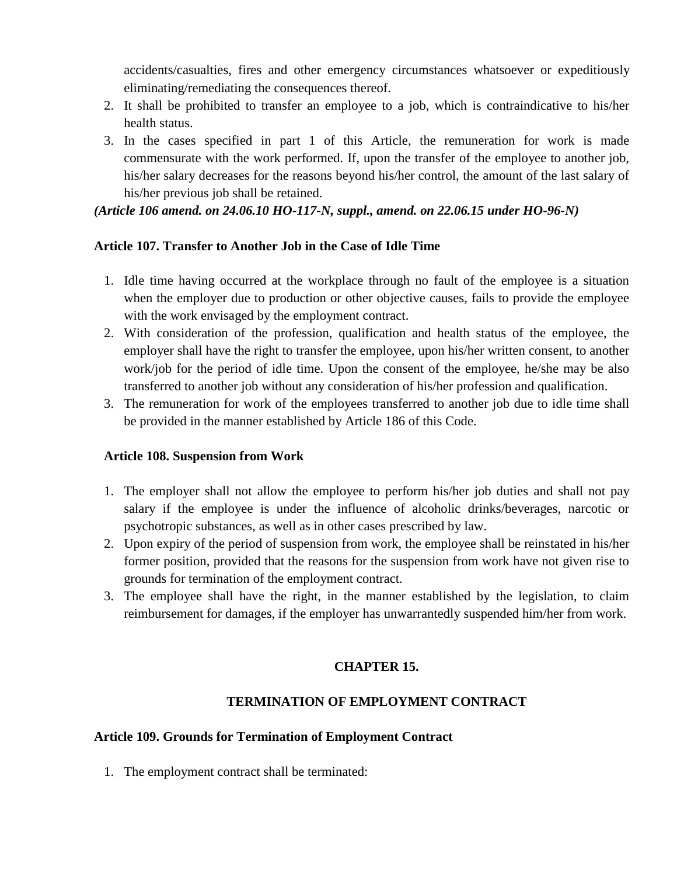accidents/casualties, fires and other emergency circumstances whatsoever or expeditiously eliminating/remediating the consequences thereof.

- 2. It shall be prohibited to transfer an employee to a job, which is contraindicative to his/her health status.
- 3. In the cases specified in part 1 of this Article, the remuneration for work is made commensurate with the work performed. If, upon the transfer of the employee to another job, his/her salary decreases for the reasons beyond his/her control, the amount of the last salary of his/her previous job shall be retained.

### *(Article 106 amend. on 24.06.10 HO-117-N, suppl., amend. on 22.06.15 under HO-96-N)*

### **Article 107. Transfer to Another Job in the Case of Idle Time**

- 1. Idle time having occurred at the workplace through no fault of the employee is a situation when the employer due to production or other objective causes, fails to provide the employee with the work envisaged by the employment contract.
- 2. With consideration of the profession, qualification and health status of the employee, the employer shall have the right to transfer the employee, upon his/her written consent, to another work/job for the period of idle time. Upon the consent of the employee, he/she may be also transferred to another job without any consideration of his/her profession and qualification.
- 3. The remuneration for work of the employees transferred to another job due to idle time shall be provided in the manner established by Article 186 of this Code.

#### **Article 108. Suspension from Work**

- 1. The employer shall not allow the employee to perform his/her job duties and shall not pay salary if the employee is under the influence of alcoholic drinks/beverages, narcotic or psychotropic substances, as well as in other cases prescribed by law.
- 2. Upon expiry of the period of suspension from work, the employee shall be reinstated in his/her former position, provided that the reasons for the suspension from work have not given rise to grounds for termination of the employment contract.
- 3. The employee shall have the right, in the manner established by the legislation, to claim reimbursement for damages, if the employer has unwarrantedly suspended him/her from work.

# **CHAPTER 15.**

# **TERMINATION OF EMPLOYMENT CONTRACT**

#### **Article 109. Grounds for Termination of Employment Contract**

1. The employment contract shall be terminated: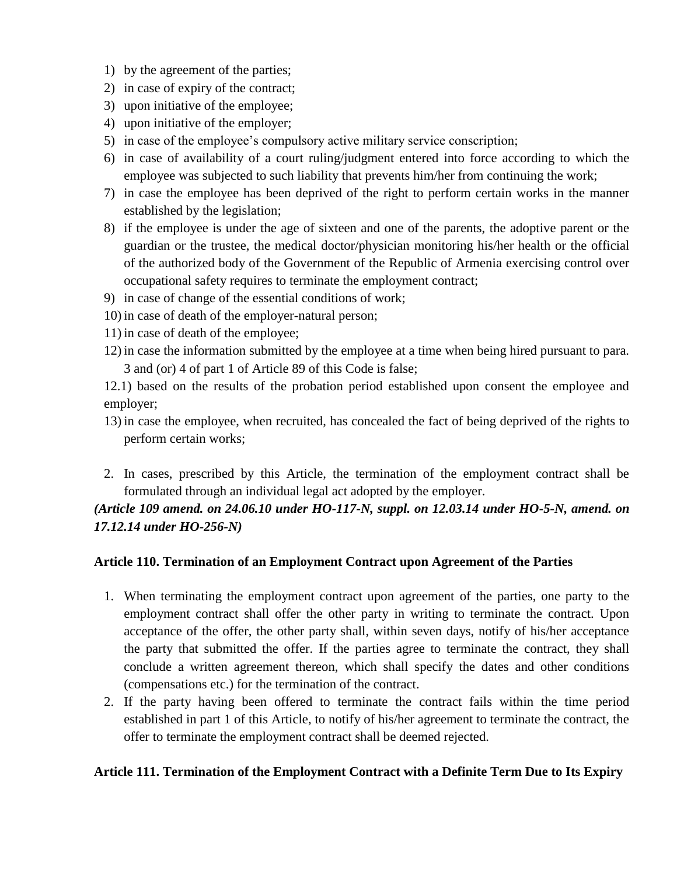- 1) by the agreement of the parties;
- 2) in case of expiry of the contract;
- 3) upon initiative of the employee;
- 4) upon initiative of the employer;
- 5) in case of the employee's compulsory active military service conscription;
- 6) in case of availability of a court ruling/judgment entered into force according to which the employee was subjected to such liability that prevents him/her from continuing the work;
- 7) in case the employee has been deprived of the right to perform certain works in the manner established by the legislation;
- 8) if the employee is under the age of sixteen and one of the parents, the adoptive parent or the guardian or the trustee, the medical doctor/physician monitoring his/her health or the official of the authorized body of the Government of the Republic of Armenia exercising control over occupational safety requires to terminate the employment contract;
- 9) in case of change of the essential conditions of work;
- 10) in case of death of the employer-natural person;
- 11) in case of death of the employee;
- 12) in case the information submitted by the employee at a time when being hired pursuant to para. 3 and (or) 4 of part 1 of Article 89 of this Code is false;

12.1) based on the results of the probation period established upon consent the employee and employer;

- 13) in case the employee, when recruited, has concealed the fact of being deprived of the rights to perform certain works;
- 2. In cases, prescribed by this Article, the termination of the employment contract shall be formulated through an individual legal act adopted by the employer.

# *(Article 109 amend. on 24.06.10 under HO-117-N, suppl. on 12.03.14 under HO-5-N, amend. on 17.12.14 under HO-256-N)*

# **Article 110. Termination of an Employment Contract upon Agreement of the Parties**

- 1. When terminating the employment contract upon agreement of the parties, one party to the employment contract shall offer the other party in writing to terminate the contract. Upon acceptance of the offer, the other party shall, within seven days, notify of his/her acceptance the party that submitted the offer. If the parties agree to terminate the contract, they shall conclude a written agreement thereon, which shall specify the dates and other conditions (compensations etc.) for the termination of the contract.
- 2. If the party having been offered to terminate the contract fails within the time period established in part 1 of this Article, to notify of his/her agreement to terminate the contract, the offer to terminate the employment contract shall be deemed rejected.

# **Article 111. Termination of the Employment Contract with a Definite Term Due to Its Expiry**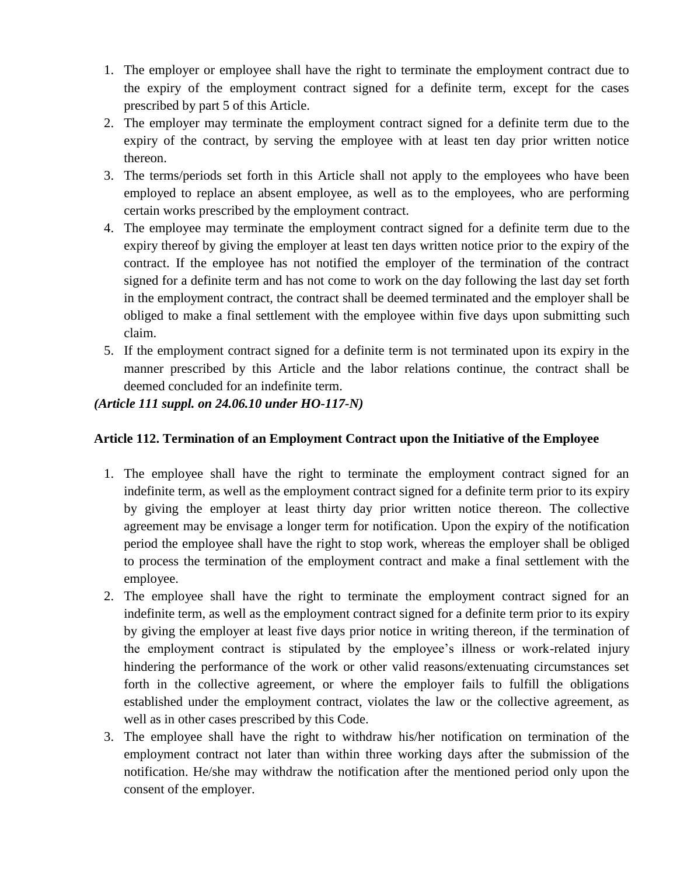- 1. The employer or employee shall have the right to terminate the employment contract due to the expiry of the employment contract signed for a definite term, except for the cases prescribed by part 5 of this Article.
- 2. The employer may terminate the employment contract signed for a definite term due to the expiry of the contract, by serving the employee with at least ten day prior written notice thereon.
- 3. The terms/periods set forth in this Article shall not apply to the employees who have been employed to replace an absent employee, as well as to the employees, who are performing certain works prescribed by the employment contract.
- 4. The employee may terminate the employment contract signed for a definite term due to the expiry thereof by giving the employer at least ten days written notice prior to the expiry of the contract. If the employee has not notified the employer of the termination of the contract signed for a definite term and has not come to work on the day following the last day set forth in the employment contract, the contract shall be deemed terminated and the employer shall be obliged to make a final settlement with the employee within five days upon submitting such claim.
- 5. If the employment contract signed for a definite term is not terminated upon its expiry in the manner prescribed by this Article and the labor relations continue, the contract shall be deemed concluded for an indefinite term.

### *(Article 111 suppl. on 24.06.10 under HO-117-N)*

# **Article 112. Termination of an Employment Contract upon the Initiative of the Employee**

- 1. The employee shall have the right to terminate the employment contract signed for an indefinite term, as well as the employment contract signed for a definite term prior to its expiry by giving the employer at least thirty day prior written notice thereon. The collective agreement may be envisage a longer term for notification. Upon the expiry of the notification period the employee shall have the right to stop work, whereas the employer shall be obliged to process the termination of the employment contract and make a final settlement with the employee.
- 2. The employee shall have the right to terminate the employment contract signed for an indefinite term, as well as the employment contract signed for a definite term prior to its expiry by giving the employer at least five days prior notice in writing thereon, if the termination of the employment contract is stipulated by the employee's illness or work-related injury hindering the performance of the work or other valid reasons/extenuating circumstances set forth in the collective agreement, or where the employer fails to fulfill the obligations established under the employment contract, violates the law or the collective agreement, as well as in other cases prescribed by this Code.
- 3. The employee shall have the right to withdraw his/her notification on termination of the employment contract not later than within three working days after the submission of the notification. He/she may withdraw the notification after the mentioned period only upon the consent of the employer.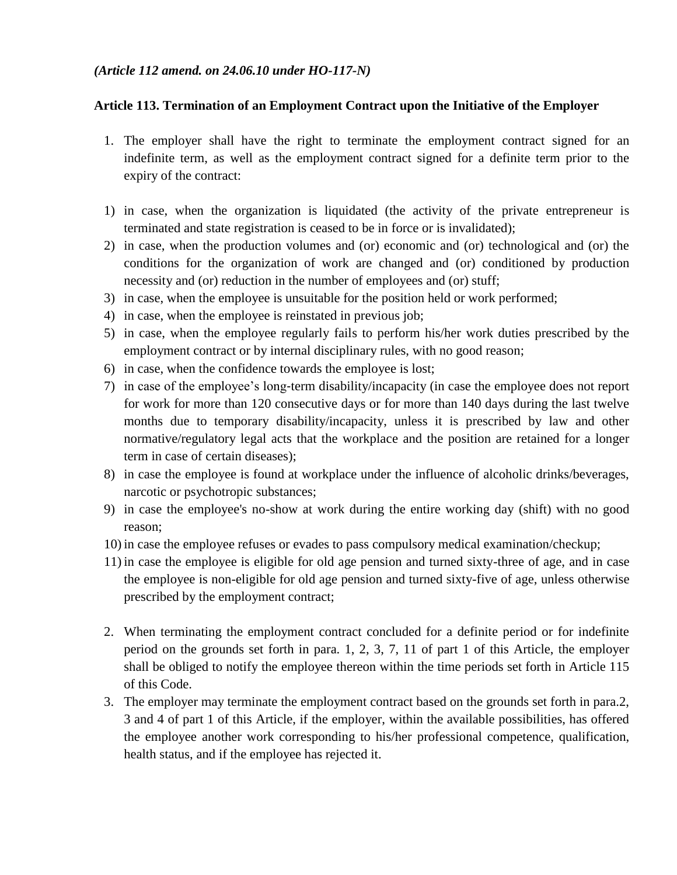### *(Article 112 amend. on 24.06.10 under HO-117-N)*

### **Article 113. Termination of an Employment Contract upon the Initiative of the Employer**

- 1. The employer shall have the right to terminate the employment contract signed for an indefinite term, as well as the employment contract signed for a definite term prior to the expiry of the contract:
- 1) in case, when the organization is liquidated (the activity of the private entrepreneur is terminated and state registration is ceased to be in force or is invalidated);
- 2) in case, when the production volumes and (or) economic and (or) technological and (or) the conditions for the organization of work are changed and (or) conditioned by production necessity and (or) reduction in the number of employees and (or) stuff;
- 3) in case, when the employee is unsuitable for the position held or work performed;
- 4) in case, when the employee is reinstated in previous job;
- 5) in case, when the employee regularly fails to perform his/her work duties prescribed by the employment contract or by internal disciplinary rules, with no good reason;
- 6) in case, when the confidence towards the employee is lost;
- 7) in case of the employee's long‐term disability/incapacity (in case the employee does not report for work for more than 120 consecutive days or for more than 140 days during the last twelve months due to temporary disability/incapacity, unless it is prescribed by law and other normative/regulatory legal acts that the workplace and the position are retained for a longer term in case of certain diseases);
- 8) in case the employee is found at workplace under the influence of alcoholic drinks/beverages, narcotic or psychotropic substances;
- 9) in case the employee's no-show at work during the entire working day (shift) with no good reason;
- 10) in case the employee refuses or evades to pass compulsory medical examination/checkup;
- 11) in case the employee is eligible for old age pension and turned sixty-three of age, and in case the employee is non-eligible for old age pension and turned sixty-five of age, unless otherwise prescribed by the employment contract;
- 2. When terminating the employment contract concluded for a definite period or for indefinite period on the grounds set forth in para. 1, 2, 3, 7, 11 of part 1 of this Article, the employer shall be obliged to notify the employee thereon within the time periods set forth in Article 115 of this Code.
- 3. The employer may terminate the employment contract based on the grounds set forth in para.2, 3 and 4 of part 1 of this Article, if the employer, within the available possibilities, has offered the employee another work corresponding to his/her professional competence, qualification, health status, and if the employee has rejected it.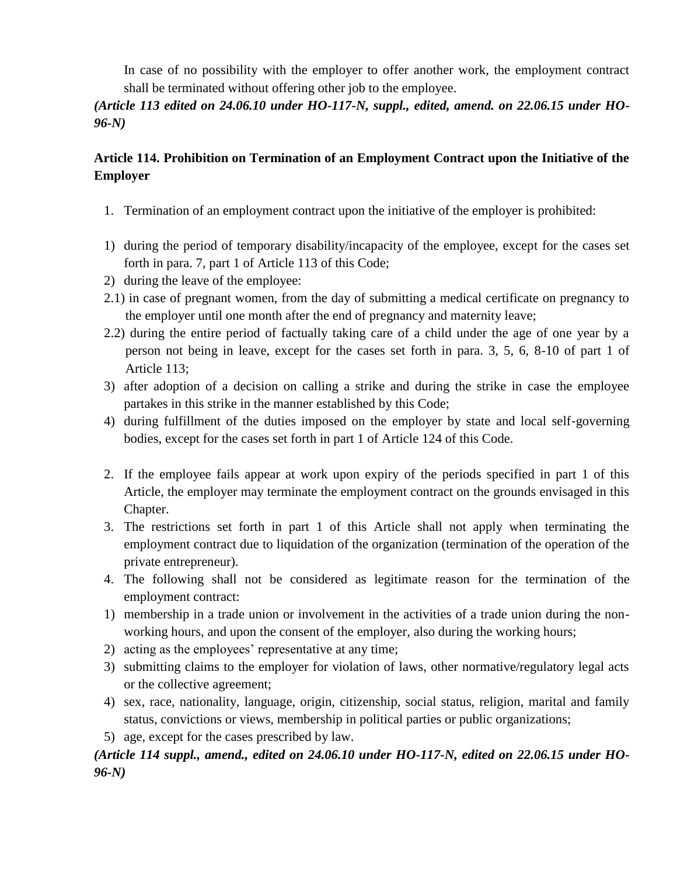In case of no possibility with the employer to offer another work, the employment contract shall be terminated without offering other job to the employee.

# *(Article 113 edited on 24.06.10 under HO-117-N, suppl., edited, amend. on 22.06.15 under HO-96-N)*

# **Article 114. Prohibition on Termination of an Employment Contract upon the Initiative of the Employer**

- 1. Termination of an employment contract upon the initiative of the employer is prohibited:
- 1) during the period of temporary disability/incapacity of the employee, except for the cases set forth in para. 7, part 1 of Article 113 of this Code;
- 2) during the leave of the employee:
- 2.1) in case of pregnant women, from the day of submitting a medical certificate on pregnancy to the employer until one month after the end of pregnancy and maternity leave;
- 2.2) during the entire period of factually taking care of a child under the age of one year by a person not being in leave, except for the cases set forth in para. 3, 5, 6, 8-10 of part 1 of Article 113;
- 3) after adoption of a decision on calling a strike and during the strike in case the employee partakes in this strike in the manner established by this Code;
- 4) during fulfillment of the duties imposed on the employer by state and local self‐governing bodies, except for the cases set forth in part 1 of Article 124 of this Code.
- 2. If the employee fails appear at work upon expiry of the periods specified in part 1 of this Article, the employer may terminate the employment contract on the grounds envisaged in this Chapter.
- 3. The restrictions set forth in part 1 of this Article shall not apply when terminating the employment contract due to liquidation of the organization (termination of the operation of the private entrepreneur).
- 4. The following shall not be considered as legitimate reason for the termination of the employment contract:
- 1) membership in a trade union or involvement in the activities of a trade union during the nonworking hours, and upon the consent of the employer, also during the working hours;
- 2) acting as the employees' representative at any time;
- 3) submitting claims to the employer for violation of laws, other normative/regulatory legal acts or the collective agreement;
- 4) sex, race, nationality, language, origin, citizenship, social status, religion, marital and family status, convictions or views, membership in political parties or public organizations;
- 5) age, except for the cases prescribed by law.

# *(Article 114 suppl., amend., edited on 24.06.10 under HO-117-N, edited on 22.06.15 under HO-96-N)*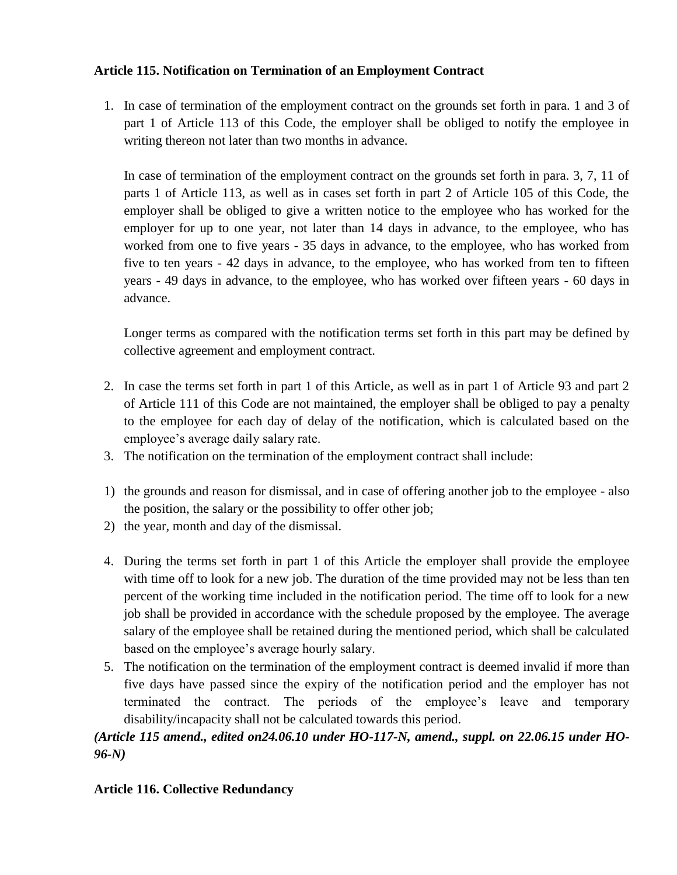# **Article 115. Notification on Termination of an Employment Contract**

1. In case of termination of the employment contract on the grounds set forth in para. 1 and 3 of part 1 of Article 113 of this Code, the employer shall be obliged to notify the employee in writing thereon not later than two months in advance.

In case of termination of the employment contract on the grounds set forth in para. 3, 7, 11 of parts 1 of Article 113, as well as in cases set forth in part 2 of Article 105 of this Code, the employer shall be obliged to give a written notice to the employee who has worked for the employer for up to one year, not later than 14 days in advance, to the employee, who has worked from one to five years - 35 days in advance, to the employee, who has worked from five to ten years - 42 days in advance, to the employee, who has worked from ten to fifteen years - 49 days in advance, to the employee, who has worked over fifteen years - 60 days in advance.

Longer terms as compared with the notification terms set forth in this part may be defined by collective agreement and employment contract.

- 2. In case the terms set forth in part 1 of this Article, as well as in part 1 of Article 93 and part 2 of Article 111 of this Code are not maintained, the employer shall be obliged to pay a penalty to the employee for each day of delay of the notification, which is calculated based on the employee's average daily salary rate.
- 3. The notification on the termination of the employment contract shall include:
- 1) the grounds and reason for dismissal, and in case of offering another job to the employee also the position, the salary or the possibility to offer other job;
- 2) the year, month and day of the dismissal.
- 4. During the terms set forth in part 1 of this Article the employer shall provide the employee with time off to look for a new job. The duration of the time provided may not be less than ten percent of the working time included in the notification period. The time off to look for a new job shall be provided in accordance with the schedule proposed by the employee. The average salary of the employee shall be retained during the mentioned period, which shall be calculated based on the employee's average hourly salary.
- 5. The notification on the termination of the employment contract is deemed invalid if more than five days have passed since the expiry of the notification period and the employer has not terminated the contract. The periods of the employee's leave and temporary disability/incapacity shall not be calculated towards this period.

# *(Article 115 amend., edited on24.06.10 under HO-117-N, amend., suppl. on 22.06.15 under HO-96-N)*

# **Article 116. Collective Redundancy**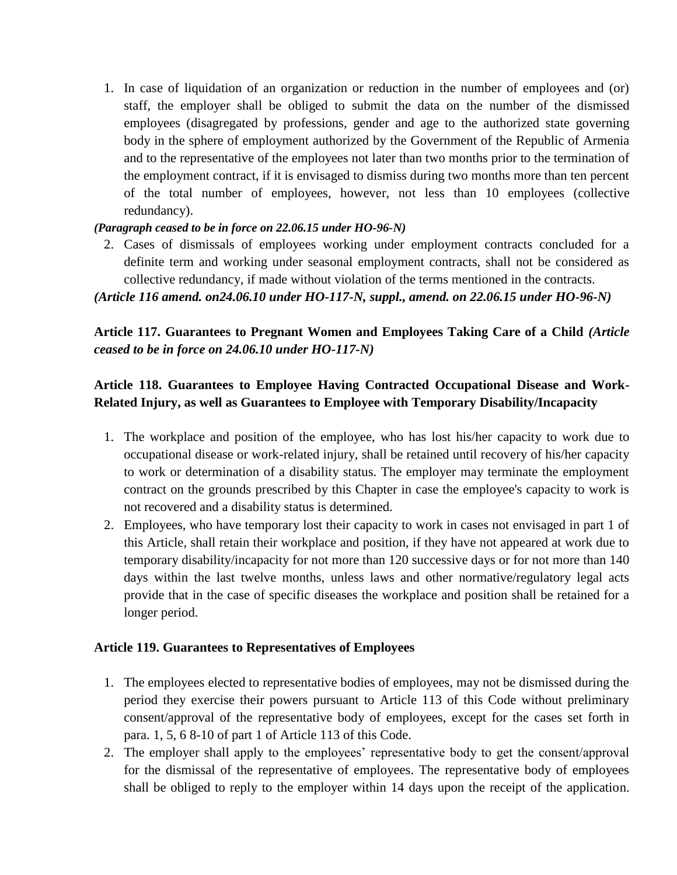1. In case of liquidation of an organization or reduction in the number of employees and (or) staff, the employer shall be obliged to submit the data on the number of the dismissed employees (disagregated by professions, gender and age to the authorized state governing body in the sphere of employment authorized by the Government of the Republic of Armenia and to the representative of the employees not later than two months prior to the termination of the employment contract, if it is envisaged to dismiss during two months more than ten percent of the total number of employees, however, not less than 10 employees (collective redundancy).

### *(Paragraph ceased to be in force on 22.06.15 under HO-96-N)*

2. Cases of dismissals of employees working under employment contracts concluded for a definite term and working under seasonal employment contracts, shall not be considered as collective redundancy, if made without violation of the terms mentioned in the contracts.

*(Article 116 amend. on24.06.10 under HO-117-N, suppl., amend. on 22.06.15 under HO-96-N)*

**Article 117. Guarantees to Pregnant Women and Employees Taking Care of a Child** *(Article ceased to be in force on 24.06.10 under HO-117-N)*

# **Article 118. Guarantees to Employee Having Contracted Occupational Disease and Work-Related Injury, as well as Guarantees to Employee with Temporary Disability/Incapacity**

- 1. The workplace and position of the employee, who has lost his/her capacity to work due to occupational disease or work-related injury, shall be retained until recovery of his/her capacity to work or determination of a disability status. The employer may terminate the employment contract on the grounds prescribed by this Chapter in case the employee's capacity to work is not recovered and a disability status is determined.
- 2. Employees, who have temporary lost their capacity to work in cases not envisaged in part 1 of this Article, shall retain their workplace and position, if they have not appeared at work due to temporary disability/incapacity for not more than 120 successive days or for not more than 140 days within the last twelve months, unless laws and other normative/regulatory legal acts provide that in the case of specific diseases the workplace and position shall be retained for a longer period.

#### **Article 119. Guarantees to Representatives of Employees**

- 1. The employees elected to representative bodies of employees, may not be dismissed during the period they exercise their powers pursuant to Article 113 of this Code without preliminary consent/approval of the representative body of employees, except for the cases set forth in para. 1, 5, 6 8-10 of part 1 of Article 113 of this Code.
- 2. The employer shall apply to the employees' representative body to get the consent/approval for the dismissal of the representative of employees. The representative body of employees shall be obliged to reply to the employer within 14 days upon the receipt of the application.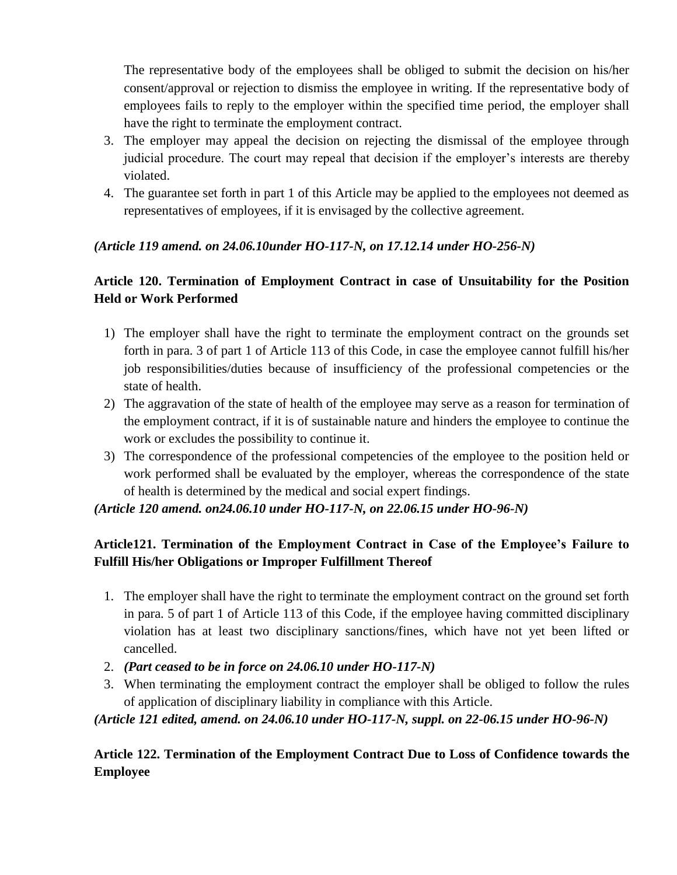The representative body of the employees shall be obliged to submit the decision on his/her consent/approval or rejection to dismiss the employee in writing. If the representative body of employees fails to reply to the employer within the specified time period, the employer shall have the right to terminate the employment contract.

- 3. The employer may appeal the decision on rejecting the dismissal of the employee through judicial procedure. The court may repeal that decision if the employer's interests are thereby violated.
- 4. The guarantee set forth in part 1 of this Article may be applied to the employees not deemed as representatives of employees, if it is envisaged by the collective agreement.

# *(Article 119 amend. on 24.06.10under HO-117-N, on 17.12.14 under HO-256-N)*

# **Article 120. Termination of Employment Contract in case of Unsuitability for the Position Held or Work Performed**

- 1) The employer shall have the right to terminate the employment contract on the grounds set forth in para. 3 of part 1 of Article 113 of this Code, in case the employee cannot fulfill his/her job responsibilities/duties because of insufficiency of the professional competencies or the state of health.
- 2) The aggravation of the state of health of the employee may serve as a reason for termination of the employment contract, if it is of sustainable nature and hinders the employee to continue the work or excludes the possibility to continue it.
- 3) The correspondence of the professional competencies of the employee to the position held or work performed shall be evaluated by the employer, whereas the correspondence of the state of health is determined by the medical and social expert findings.

*(Article 120 amend. on24.06.10 under HO-117-N, on 22.06.15 under HO-96-N)*

# **Article121. Termination of the Employment Contract in Case of the Employee's Failure to Fulfill His/her Obligations or Improper Fulfillment Thereof**

- 1. The employer shall have the right to terminate the employment contract on the ground set forth in para. 5 of part 1 of Article 113 of this Code, if the employee having committed disciplinary violation has at least two disciplinary sanctions/fines, which have not yet been lifted or cancelled.
- 2. *(Part ceased to be in force on 24.06.10 under HO-117-N)*
- 3. When terminating the employment contract the employer shall be obliged to follow the rules of application of disciplinary liability in compliance with this Article.

# *(Article 121 edited, amend. on 24.06.10 under HO-117-N, suppl. on 22-06.15 under HO-96-N)*

**Article 122. Termination of the Employment Contract Due to Loss of Confidence towards the Employee**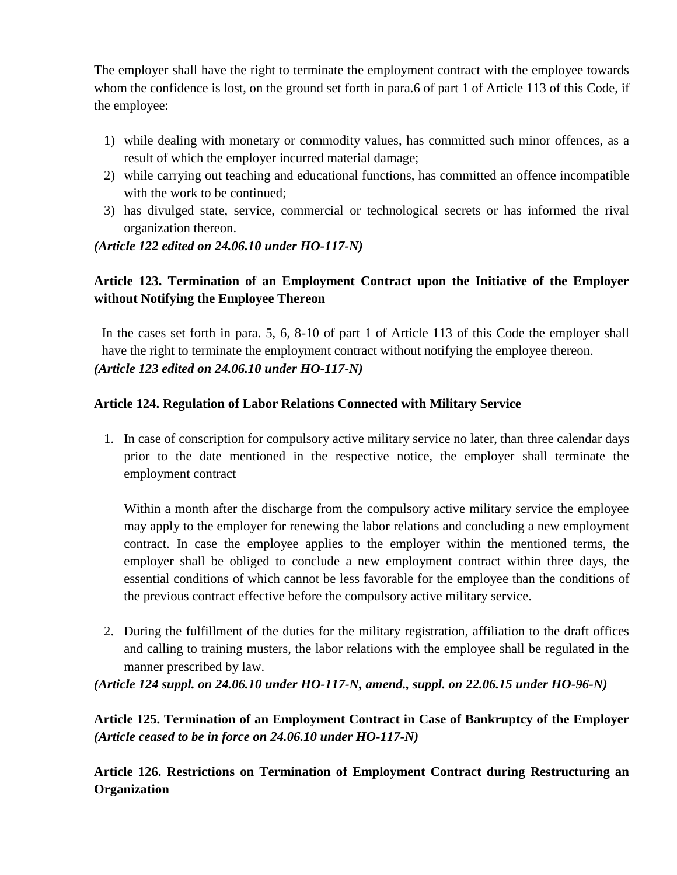The employer shall have the right to terminate the employment contract with the employee towards whom the confidence is lost, on the ground set forth in para.6 of part 1 of Article 113 of this Code, if the employee:

- 1) while dealing with monetary or commodity values, has committed such minor offences, as a result of which the employer incurred material damage;
- 2) while carrying out teaching and educational functions, has committed an offence incompatible with the work to be continued:
- 3) has divulged state, service, commercial or technological secrets or has informed the rival organization thereon.

### *(Article 122 edited on 24.06.10 under HO-117-N)*

# **Article 123. Termination of an Employment Contract upon the Initiative of the Employer without Notifying the Employee Thereon**

In the cases set forth in para. 5, 6, 8-10 of part 1 of Article 113 of this Code the employer shall have the right to terminate the employment contract without notifying the employee thereon. *(Article 123 edited on 24.06.10 under HO-117-N)*

### **Article 124. Regulation of Labor Relations Connected with Military Service**

1. In case of conscription for compulsory active military service no later, than three calendar days prior to the date mentioned in the respective notice, the employer shall terminate the employment contract

Within a month after the discharge from the compulsory active military service the employee may apply to the employer for renewing the labor relations and concluding a new employment contract. In case the employee applies to the employer within the mentioned terms, the employer shall be obliged to conclude a new employment contract within three days, the essential conditions of which cannot be less favorable for the employee than the conditions of the previous contract effective before the compulsory active military service.

2. During the fulfillment of the duties for the military registration, affiliation to the draft offices and calling to training musters, the labor relations with the employee shall be regulated in the manner prescribed by law.

*(Article 124 suppl. on 24.06.10 under HO-117-N, amend., suppl. on 22.06.15 under HO-96-N)*

**Article 125. Termination of an Employment Contract in Case of Bankruptcy of the Employer**  *(Article ceased to be in force on 24.06.10 under HO-117-N)*

**Article 126. Restrictions on Termination of Employment Contract during Restructuring an Organization**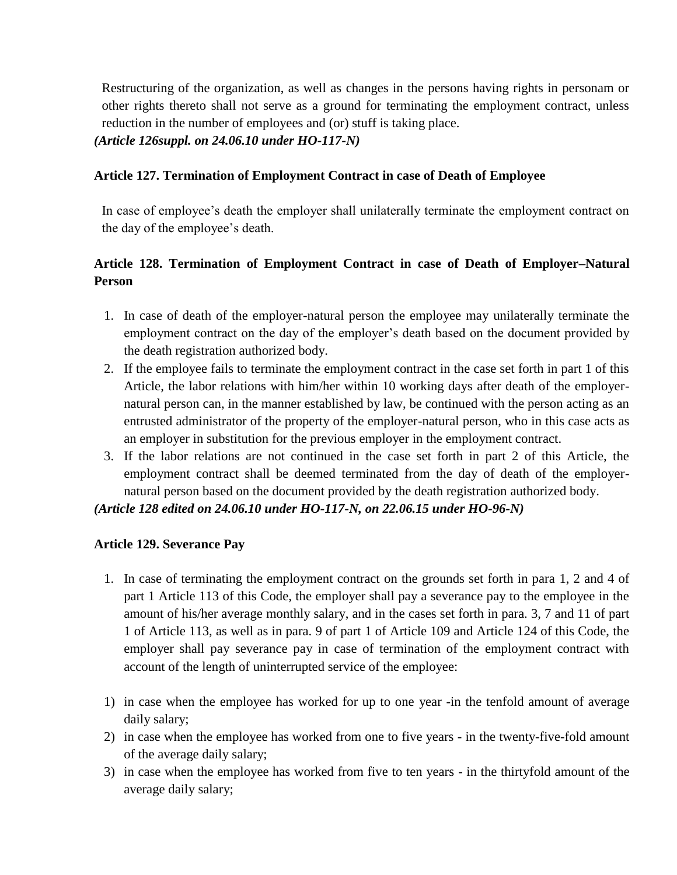Restructuring of the organization, as well as changes in the persons having rights in personam or other rights thereto shall not serve as a ground for terminating the employment contract, unless reduction in the number of employees and (or) stuff is taking place.

*(Article 126suppl. on 24.06.10 under HO-117-N)*

### **Article 127. Termination of Employment Contract in case of Death of Employee**

In case of employee's death the employer shall unilaterally terminate the employment contract on the day of the employee's death.

# **Article 128. Termination of Employment Contract in case of Death of Employer–Natural Person**

- 1. In case of death of the employer-natural person the employee may unilaterally terminate the employment contract on the day of the employer's death based on the document provided by the death registration authorized body.
- 2. If the employee fails to terminate the employment contract in the case set forth in part 1 of this Article, the labor relations with him/her within 10 working days after death of the employernatural person can, in the manner established by law, be continued with the person acting as an entrusted administrator of the property of the employer-natural person, who in this case acts as an employer in substitution for the previous employer in the employment contract.
- 3. If the labor relations are not continued in the case set forth in part 2 of this Article, the employment contract shall be deemed terminated from the day of death of the employernatural person based on the document provided by the death registration authorized body.

#### *(Article 128 edited on 24.06.10 under HO-117-N, on 22.06.15 under HO-96-N)*

# **Article 129. Severance Pay**

- 1. In case of terminating the employment contract on the grounds set forth in para 1, 2 and 4 of part 1 Article 113 of this Code, the employer shall pay a severance pay to the employee in the amount of his/her average monthly salary, and in the cases set forth in para. 3, 7 and 11 of part 1 of Article 113, as well as in para. 9 of part 1 of Article 109 and Article 124 of this Code, the employer shall pay severance pay in case of termination of the employment contract with account of the length of uninterrupted service of the employee:
- 1) in case when the employee has worked for up to one year -in the tenfold amount of average daily salary;
- 2) in case when the employee has worked from one to five years in the twenty-five-fold amount of the average daily salary;
- 3) in case when the employee has worked from five to ten years in the thirtyfold amount of the average daily salary;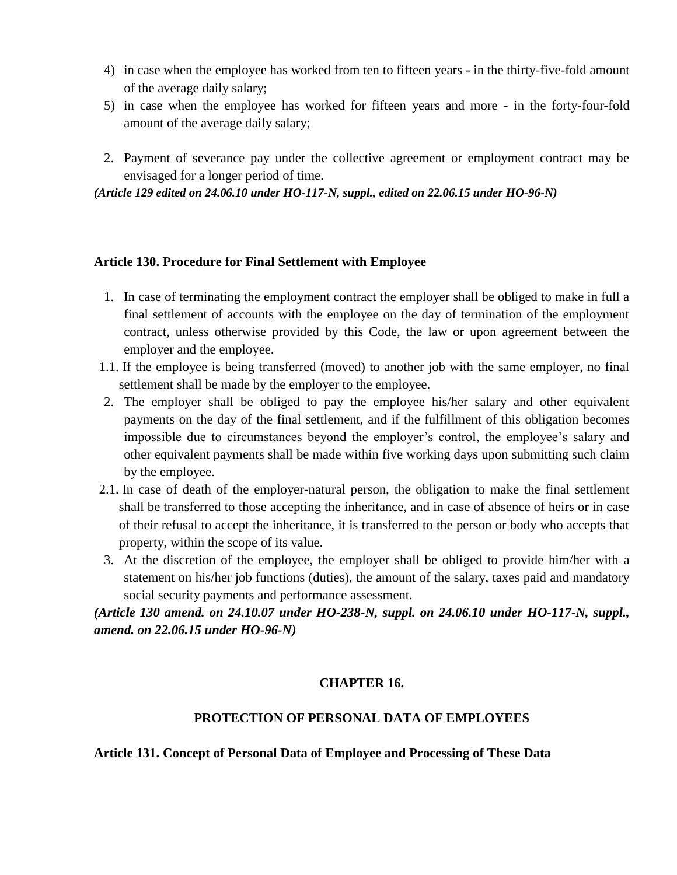- 4) in case when the employee has worked from ten to fifteen years in the thirty-five-fold amount of the average daily salary;
- 5) in case when the employee has worked for fifteen years and more in the forty-four-fold amount of the average daily salary;
- 2. Payment of severance pay under the collective agreement or employment contract may be envisaged for a longer period of time.

*(Article 129 edited on 24.06.10 under HO-117-N, suppl., edited on 22.06.15 under HO-96-N)*

#### **Article 130. Procedure for Final Settlement with Employee**

- 1. In case of terminating the employment contract the employer shall be obliged to make in full a final settlement of accounts with the employee on the day of termination of the employment contract, unless otherwise provided by this Code, the law or upon agreement between the employer and the employee.
- 1.1. If the employee is being transferred (moved) to another job with the same employer, no final settlement shall be made by the employer to the employee.
- 2. The employer shall be obliged to pay the employee his/her salary and other equivalent payments on the day of the final settlement, and if the fulfillment of this obligation becomes impossible due to circumstances beyond the employer's control, the employee's salary and other equivalent payments shall be made within five working days upon submitting such claim by the employee.
- 2.1. In case of death of the employer-natural person, the obligation to make the final settlement shall be transferred to those accepting the inheritance, and in case of absence of heirs or in case of their refusal to accept the inheritance, it is transferred to the person or body who accepts that property, within the scope of its value.
- 3. At the discretion of the employee, the employer shall be obliged to provide him/her with a statement on his/her job functions (duties), the amount of the salary, taxes paid and mandatory social security payments and performance assessment.

*(Article 130 amend. on 24.10.07 under HO-238-N, suppl. on 24.06.10 under HO-117-N, suppl., amend. on 22.06.15 under HO-96-N)*

#### **CHAPTER 16.**

#### **PROTECTION OF PERSONAL DATA OF EMPLOYEES**

#### **Article 131. Concept of Personal Data of Employee and Processing of These Data**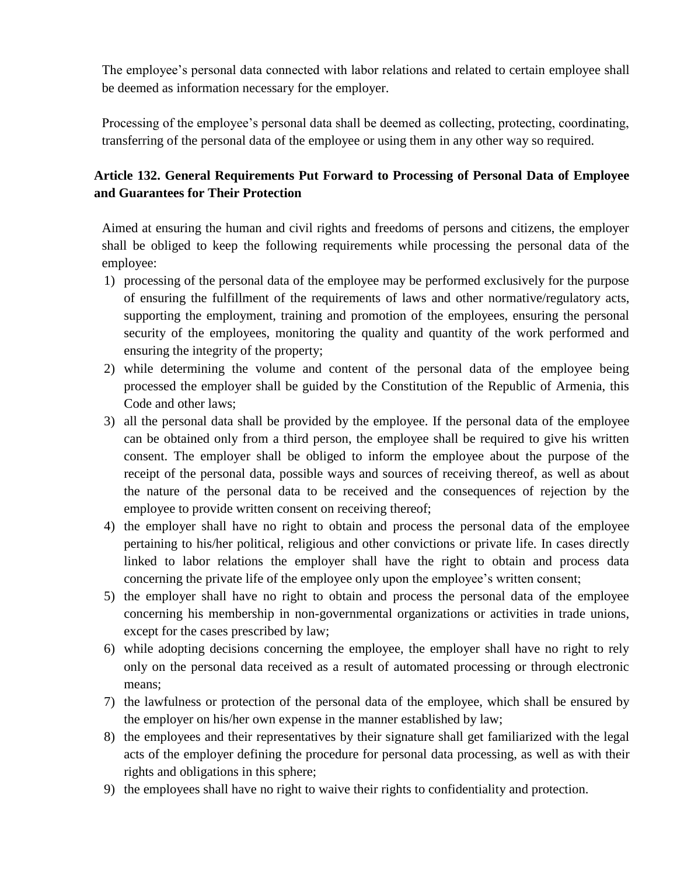The employee's personal data connected with labor relations and related to certain employee shall be deemed as information necessary for the employer.

Processing of the employee's personal data shall be deemed as collecting, protecting, coordinating, transferring of the personal data of the employee or using them in any other way so required.

# **Article 132. General Requirements Put Forward to Processing of Personal Data of Employee and Guarantees for Their Protection**

Aimed at ensuring the human and civil rights and freedoms of persons and citizens, the employer shall be obliged to keep the following requirements while processing the personal data of the employee:

- 1) processing of the personal data of the employee may be performed exclusively for the purpose of ensuring the fulfillment of the requirements of laws and other normative/regulatory acts, supporting the employment, training and promotion of the employees, ensuring the personal security of the employees, monitoring the quality and quantity of the work performed and ensuring the integrity of the property;
- 2) while determining the volume and content of the personal data of the employee being processed the employer shall be guided by the Constitution of the Republic of Armenia, this Code and other laws;
- 3) all the personal data shall be provided by the employee. If the personal data of the employee can be obtained only from a third person, the employee shall be required to give his written consent. The employer shall be obliged to inform the employee about the purpose of the receipt of the personal data, possible ways and sources of receiving thereof, as well as about the nature of the personal data to be received and the consequences of rejection by the employee to provide written consent on receiving thereof;
- 4) the employer shall have no right to obtain and process the personal data of the employee pertaining to his/her political, religious and other convictions or private life. In cases directly linked to labor relations the employer shall have the right to obtain and process data concerning the private life of the employee only upon the employee's written consent;
- 5) the employer shall have no right to obtain and process the personal data of the employee concerning his membership in non-governmental organizations or activities in trade unions, except for the cases prescribed by law;
- 6) while adopting decisions concerning the employee, the employer shall have no right to rely only on the personal data received as a result of automated processing or through electronic means;
- 7) the lawfulness or protection of the personal data of the employee, which shall be ensured by the employer on his/her own expense in the manner established by law;
- 8) the employees and their representatives by their signature shall get familiarized with the legal acts of the employer defining the procedure for personal data processing, as well as with their rights and obligations in this sphere;
- 9) the employees shall have no right to waive their rights to confidentiality and protection.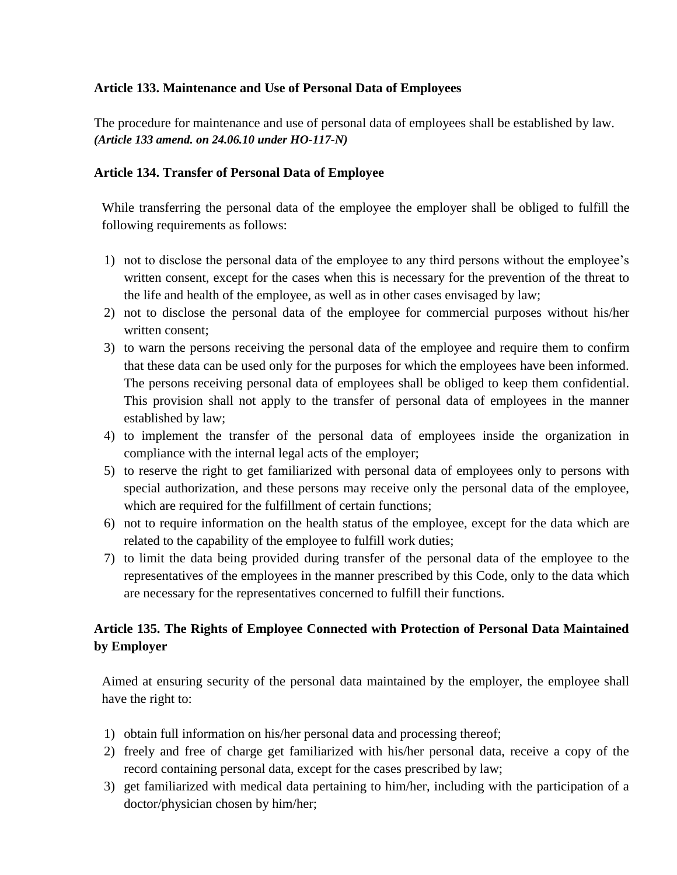### **Article 133. Maintenance and Use of Personal Data of Employees**

The procedure for maintenance and use of personal data of employees shall be established by law. *(Article 133 amend. on 24.06.10 under HO-117-N)*

### **Article 134. Transfer of Personal Data of Employee**

While transferring the personal data of the employee the employer shall be obliged to fulfill the following requirements as follows:

- 1) not to disclose the personal data of the employee to any third persons without the employee's written consent, except for the cases when this is necessary for the prevention of the threat to the life and health of the employee, as well as in other cases envisaged by law;
- 2) not to disclose the personal data of the employee for commercial purposes without his/her written consent;
- 3) to warn the persons receiving the personal data of the employee and require them to confirm that these data can be used only for the purposes for which the employees have been informed. The persons receiving personal data of employees shall be obliged to keep them confidential. This provision shall not apply to the transfer of personal data of employees in the manner established by law;
- 4) to implement the transfer of the personal data of employees inside the organization in compliance with the internal legal acts of the employer;
- 5) to reserve the right to get familiarized with personal data of employees only to persons with special authorization, and these persons may receive only the personal data of the employee, which are required for the fulfillment of certain functions;
- 6) not to require information on the health status of the employee, except for the data which are related to the capability of the employee to fulfill work duties;
- 7) to limit the data being provided during transfer of the personal data of the employee to the representatives of the employees in the manner prescribed by this Code, only to the data which are necessary for the representatives concerned to fulfill their functions.

# **Article 135. The Rights of Employee Connected with Protection of Personal Data Maintained by Employer**

Aimed at ensuring security of the personal data maintained by the employer, the employee shall have the right to:

- 1) obtain full information on his/her personal data and processing thereof;
- 2) freely and free of charge get familiarized with his/her personal data, receive a copy of the record containing personal data, except for the cases prescribed by law;
- 3) get familiarized with medical data pertaining to him/her, including with the participation of a doctor/physician chosen by him/her;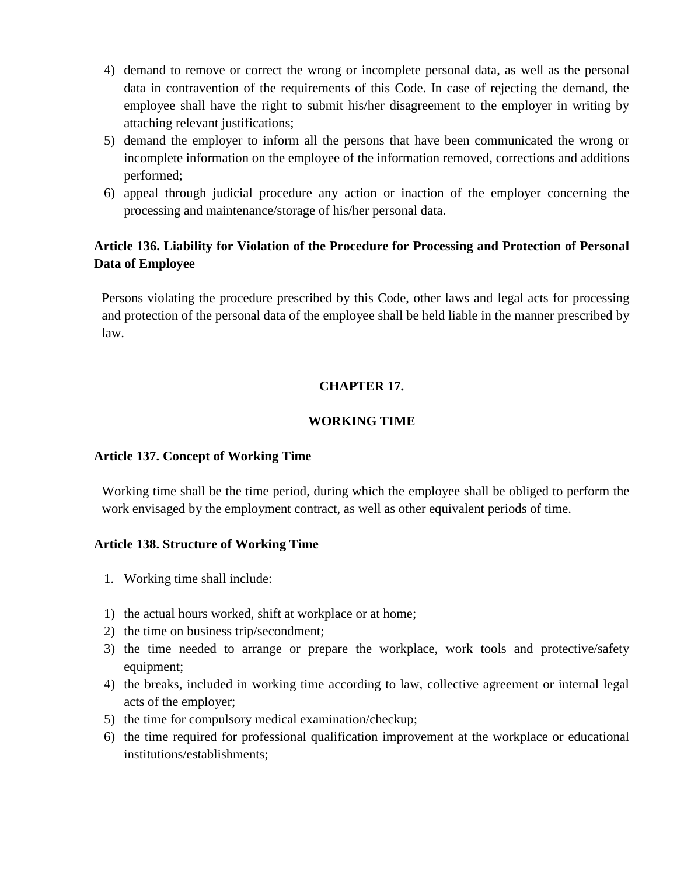- 4) demand to remove or correct the wrong or incomplete personal data, as well as the personal data in contravention of the requirements of this Code. In case of rejecting the demand, the employee shall have the right to submit his/her disagreement to the employer in writing by attaching relevant justifications;
- 5) demand the employer to inform all the persons that have been communicated the wrong or incomplete information on the employee of the information removed, corrections and additions performed;
- 6) appeal through judicial procedure any action or inaction of the employer concerning the processing and maintenance/storage of his/her personal data.

# **Article 136. Liability for Violation of the Procedure for Processing and Protection of Personal Data of Employee**

Persons violating the procedure prescribed by this Code, other laws and legal acts for processing and protection of the personal data of the employee shall be held liable in the manner prescribed by law.

# **CHAPTER 17.**

### **WORKING TIME**

#### **Article 137. Concept of Working Time**

Working time shall be the time period, during which the employee shall be obliged to perform the work envisaged by the employment contract, as well as other equivalent periods of time.

#### **Article 138. Structure of Working Time**

- 1. Working time shall include:
- 1) the actual hours worked, shift at workplace or at home;
- 2) the time on business trip/secondment;
- 3) the time needed to arrange or prepare the workplace, work tools and protective/safety equipment;
- 4) the breaks, included in working time according to law, collective agreement or internal legal acts of the employer;
- 5) the time for compulsory medical examination/checkup;
- 6) the time required for professional qualification improvement at the workplace or educational institutions/establishments;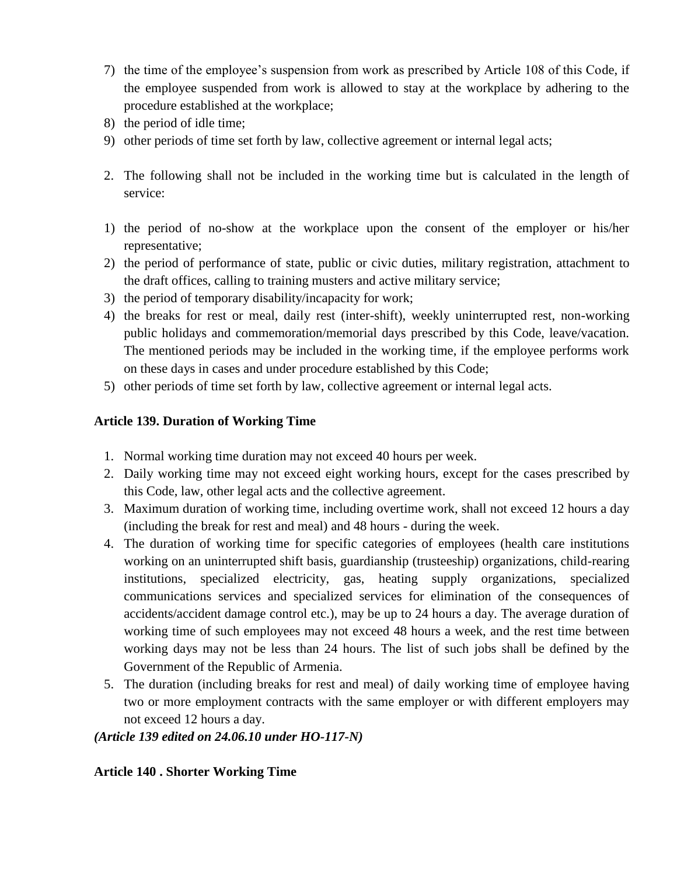- 7) the time of the employee's suspension from work as prescribed by Article 108 of this Code, if the employee suspended from work is allowed to stay at the workplace by adhering to the procedure established at the workplace;
- 8) the period of idle time;
- 9) other periods of time set forth by law, collective agreement or internal legal acts;
- 2. The following shall not be included in the working time but is calculated in the length of service:
- 1) the period of no-show at the workplace upon the consent of the employer or his/her representative;
- 2) the period of performance of state, public or civic duties, military registration, attachment to the draft offices, calling to training musters and active military service;
- 3) the period of temporary disability/incapacity for work;
- 4) the breaks for rest or meal, daily rest (inter-shift), weekly uninterrupted rest, non-working public holidays and commemoration/memorial days prescribed by this Code, leave/vacation. The mentioned periods may be included in the working time, if the employee performs work on these days in cases and under procedure established by this Code;
- 5) other periods of time set forth by law, collective agreement or internal legal acts.

# **Article 139. Duration of Working Time**

- 1. Normal working time duration may not exceed 40 hours per week.
- 2. Daily working time may not exceed eight working hours, except for the cases prescribed by this Code, law, other legal acts and the collective agreement.
- 3. Maximum duration of working time, including overtime work, shall not exceed 12 hours a day (including the break for rest and meal) and 48 hours - during the week.
- 4. The duration of working time for specific categories of employees (health care institutions working on an uninterrupted shift basis, guardianship (trusteeship) organizations, child-rearing institutions, specialized electricity, gas, heating supply organizations, specialized communications services and specialized services for elimination of the consequences of accidents/accident damage control etc.), may be up to 24 hours a day. The average duration of working time of such employees may not exceed 48 hours a week, and the rest time between working days may not be less than 24 hours. The list of such jobs shall be defined by the Government of the Republic of Armenia.
- 5. The duration (including breaks for rest and meal) of daily working time of employee having two or more employment contracts with the same employer or with different employers may not exceed 12 hours a day.

# *(Article 139 edited on 24.06.10 under HO-117-N)*

# **Article 140 . Shorter Working Time**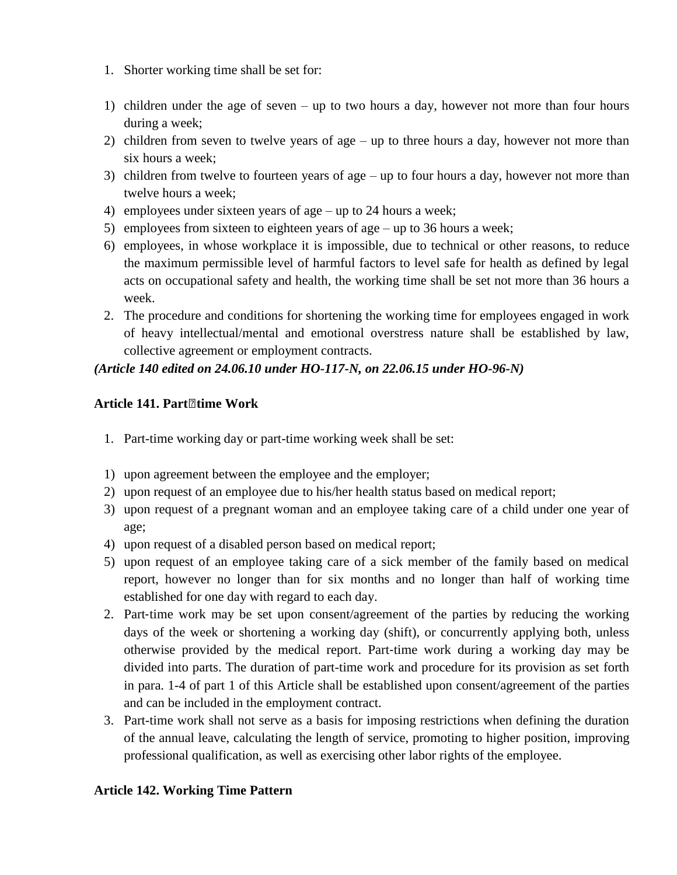- 1. Shorter working time shall be set for:
- 1) children under the age of seven up to two hours a day, however not more than four hours during a week;
- 2) children from seven to twelve years of age up to three hours a day, however not more than six hours a week;
- 3) children from twelve to fourteen years of age up to four hours a day, however not more than twelve hours a week;
- 4) employees under sixteen years of age up to 24 hours a week;
- 5) employees from sixteen to eighteen years of age up to 36 hours a week;
- 6) employees, in whose workplace it is impossible, due to technical or other reasons, to reduce the maximum permissible level of harmful factors to level safe for health as defined by legal acts on occupational safety and health, the working time shall be set not more than 36 hours a week.
- 2. The procedure and conditions for shortening the working time for employees engaged in work of heavy intellectual/mental and emotional overstress nature shall be established by law, collective agreement or employment contracts.

# *(Article 140 edited on 24.06.10 under HO-117-N, on 22.06.15 under HO-96-N)*

# **Article 141. Part‐time Work**

- 1. Part-time working day or part-time working week shall be set:
- 1) upon agreement between the employee and the employer;
- 2) upon request of an employee due to his/her health status based on medical report;
- 3) upon request of a pregnant woman and an employee taking care of a child under one year of age;
- 4) upon request of a disabled person based on medical report;
- 5) upon request of an employee taking care of a sick member of the family based on medical report, however no longer than for six months and no longer than half of working time established for one day with regard to each day.
- 2. Part‐time work may be set upon consent/agreement of the parties by reducing the working days of the week or shortening a working day (shift), or concurrently applying both, unless otherwise provided by the medical report. Part‐time work during a working day may be divided into parts. The duration of part-time work and procedure for its provision as set forth in para. 1-4 of part 1 of this Article shall be established upon consent/agreement of the parties and can be included in the employment contract.
- 3. Part-time work shall not serve as a basis for imposing restrictions when defining the duration of the annual leave, calculating the length of service, promoting to higher position, improving professional qualification, as well as exercising other labor rights of the employee.

# **Article 142. Working Time Pattern**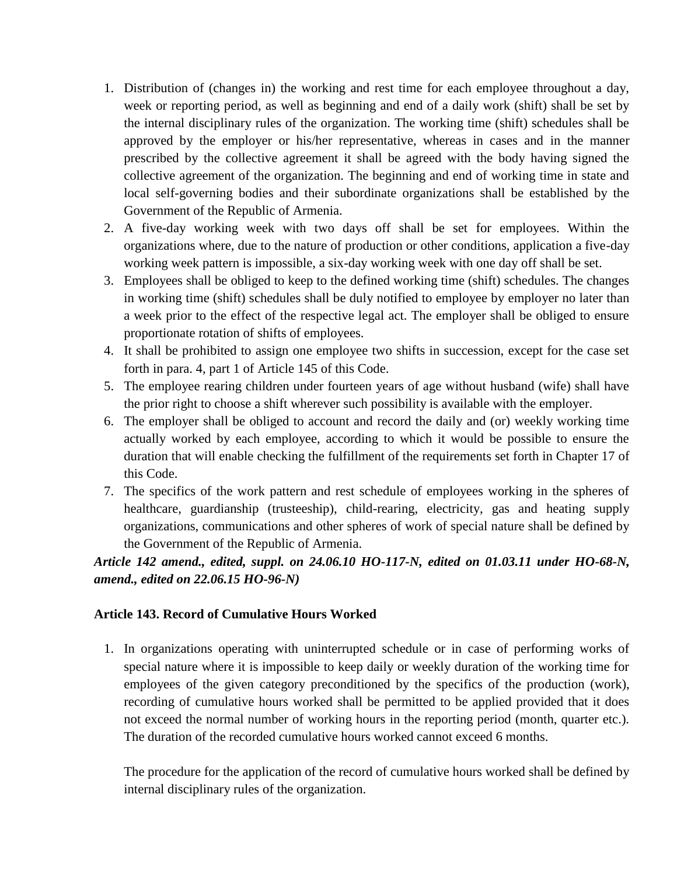- 1. Distribution of (changes in) the working and rest time for each employee throughout a day, week or reporting period, as well as beginning and end of a daily work (shift) shall be set by the internal disciplinary rules of the organization. The working time (shift) schedules shall be approved by the employer or his/her representative, whereas in cases and in the manner prescribed by the collective agreement it shall be agreed with the body having signed the collective agreement of the organization. The beginning and end of working time in state and local self-governing bodies and their subordinate organizations shall be established by the Government of the Republic of Armenia.
- 2. A five-day working week with two days off shall be set for employees. Within the organizations where, due to the nature of production or other conditions, application a five-day working week pattern is impossible, a six-day working week with one day off shall be set.
- 3. Employees shall be obliged to keep to the defined working time (shift) schedules. The changes in working time (shift) schedules shall be duly notified to employee by employer no later than a week prior to the effect of the respective legal act. The employer shall be obliged to ensure proportionate rotation of shifts of employees.
- 4. It shall be prohibited to assign one employee two shifts in succession, except for the case set forth in para. 4, part 1 of Article 145 of this Code.
- 5. The employee rearing children under fourteen years of age without husband (wife) shall have the prior right to choose a shift wherever such possibility is available with the employer.
- 6. The employer shall be obliged to account and record the daily and (or) weekly working time actually worked by each employee, according to which it would be possible to ensure the duration that will enable checking the fulfillment of the requirements set forth in Chapter 17 of this Code.
- 7. The specifics of the work pattern and rest schedule of employees working in the spheres of healthcare, guardianship (trusteeship), child-rearing, electricity, gas and heating supply organizations, communications and other spheres of work of special nature shall be defined by the Government of the Republic of Armenia.

# *Article 142 amend., edited, suppl. on 24.06.10 HO-117-N, edited on 01.03.11 under HO-68-N, amend., edited on 22.06.15 HO-96-N)*

# **Article 143. Record of Cumulative Hours Worked**

1. In organizations operating with uninterrupted schedule or in case of performing works of special nature where it is impossible to keep daily or weekly duration of the working time for employees of the given category preconditioned by the specifics of the production (work), recording of cumulative hours worked shall be permitted to be applied provided that it does not exceed the normal number of working hours in the reporting period (month, quarter etc.). The duration of the recorded cumulative hours worked cannot exceed 6 months.

The procedure for the application of the record of cumulative hours worked shall be defined by internal disciplinary rules of the organization.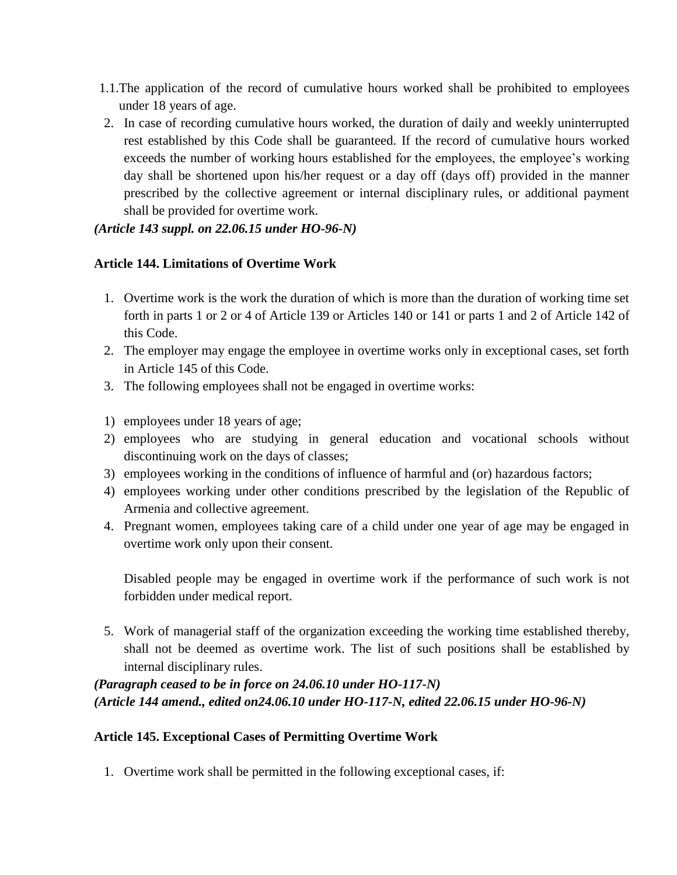- 1.1.The application of the record of cumulative hours worked shall be prohibited to employees under 18 years of age.
- 2. In case of recording cumulative hours worked, the duration of daily and weekly uninterrupted rest established by this Code shall be guaranteed. If the record of cumulative hours worked exceeds the number of working hours established for the employees, the employee's working day shall be shortened upon his/her request or a day off (days off) provided in the manner prescribed by the collective agreement or internal disciplinary rules, or additional payment shall be provided for overtime work.

# *(Article 143 suppl. on 22.06.15 under HO-96-N)*

### **Article 144. Limitations of Overtime Work**

- 1. Overtime work is the work the duration of which is more than the duration of working time set forth in parts 1 or 2 or 4 of Article 139 or Articles 140 or 141 or parts 1 and 2 of Article 142 of this Code.
- 2. The employer may engage the employee in overtime works only in exceptional cases, set forth in Article 145 of this Code.
- 3. The following employees shall not be engaged in overtime works:
- 1) employees under 18 years of age;
- 2) employees who are studying in general education and vocational schools without discontinuing work on the days of classes;
- 3) employees working in the conditions of influence of harmful and (or) hazardous factors;
- 4) employees working under other conditions prescribed by the legislation of the Republic of Armenia and collective agreement.
- 4. Pregnant women, employees taking care of a child under one year of age may be engaged in overtime work only upon their consent.

Disabled people may be engaged in overtime work if the performance of such work is not forbidden under medical report.

5. Work of managerial staff of the organization exceeding the working time established thereby, shall not be deemed as overtime work. The list of such positions shall be established by internal disciplinary rules.

# *(Paragraph ceased to be in force on 24.06.10 under HO-117-N) (Article 144 amend., edited on24.06.10 under HO-117-N, edited 22.06.15 under HO-96-N)*

#### **Article 145. Exceptional Cases of Permitting Overtime Work**

1. Overtime work shall be permitted in the following exceptional cases, if: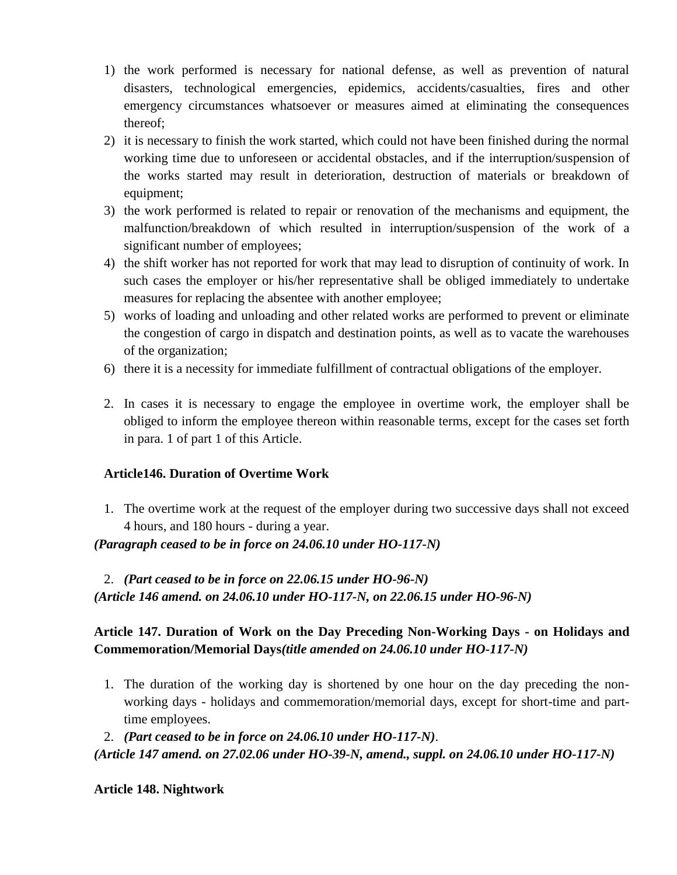- 1) the work performed is necessary for national defense, as well as prevention of natural disasters, technological emergencies, epidemics, accidents/casualties, fires and other emergency circumstances whatsoever or measures aimed at eliminating the consequences thereof;
- 2) it is necessary to finish the work started, which could not have been finished during the normal working time due to unforeseen or accidental obstacles, and if the interruption/suspension of the works started may result in deterioration, destruction of materials or breakdown of equipment;
- 3) the work performed is related to repair or renovation of the mechanisms and equipment, the malfunction/breakdown of which resulted in interruption/suspension of the work of a significant number of employees;
- 4) the shift worker has not reported for work that may lead to disruption of continuity of work. In such cases the employer or his/her representative shall be obliged immediately to undertake measures for replacing the absentee with another employee;
- 5) works of loading and unloading and other related works are performed to prevent or eliminate the congestion of cargo in dispatch and destination points, as well as to vacate the warehouses of the organization;
- 6) there it is a necessity for immediate fulfillment of contractual obligations of the employer.
- 2. In cases it is necessary to engage the employee in overtime work, the employer shall be obliged to inform the employee thereon within reasonable terms, except for the cases set forth in para. 1 of part 1 of this Article.

# **Article146. Duration of Overtime Work**

1. The overtime work at the request of the employer during two successive days shall not exceed 4 hours, and 180 hours - during a year.

*(Paragraph ceased to be in force on 24.06.10 under HO-117-N)*

2. *(Part ceased to be in force on 22.06.15 under HO-96-N) (Article 146 amend. on 24.06.10 under HO-117-N, on 22.06.15 under HO-96-N)*

# **Article 147. Duration of Work on the Day Preceding Non-Working Days - on Holidays and Commemoration/Memorial Days***(title amended on 24.06.10 under HO-117-N)*

- 1. The duration of the working day is shortened by one hour on the day preceding the nonworking days - holidays and commemoration/memorial days, except for short-time and parttime employees.
- 2. *(Part ceased to be in force on 24.06.10 under HO-117-N)*.

*(Article 147 amend. on 27.02.06 under HO-39-N, amend., suppl. on 24.06.10 under HO-117-N)*

# **Article 148. Nightwork**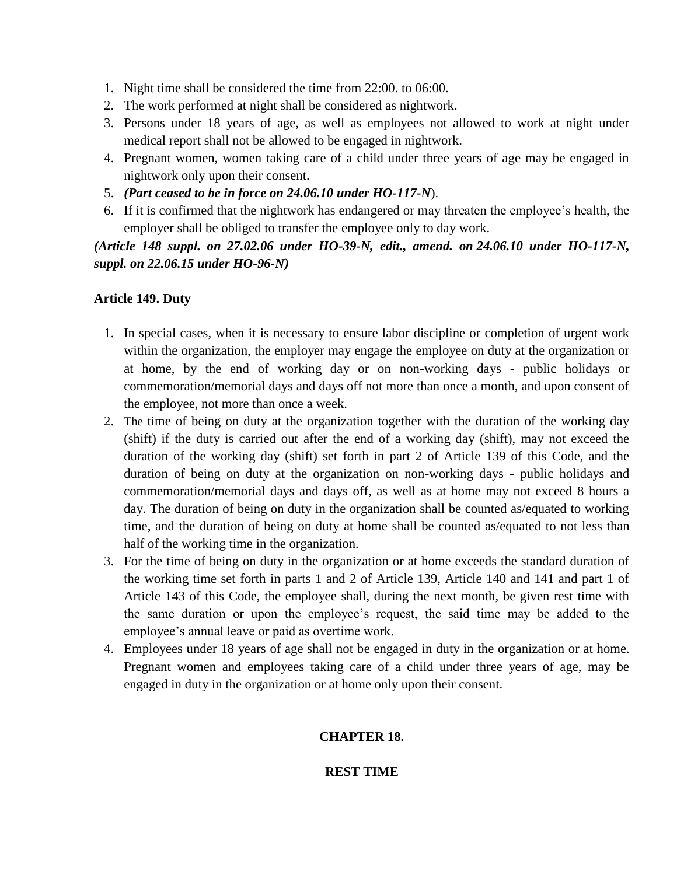- 1. Night time shall be considered the time from 22:00. to 06:00.
- 2. The work performed at night shall be considered as nightwork.
- 3. Persons under 18 years of age, as well as employees not allowed to work at night under medical report shall not be allowed to be engaged in nightwork.
- 4. Pregnant women, women taking care of a child under three years of age may be engaged in nightwork only upon their consent.
- 5. *(Part ceased to be in force on 24.06.10 under HO-117-N*).
- 6. If it is confirmed that the nightwork has endangered or may threaten the employee's health, the employer shall be obliged to transfer the employee only to day work.

*(Article 148 suppl. on 27.02.06 under HO-39-N, edit., amend. on 24.06.10 under HO-117-N, suppl. on 22.06.15 under HO-96-N)*

# **Article 149. Duty**

- 1. In special cases, when it is necessary to ensure labor discipline or completion of urgent work within the organization, the employer may engage the employee on duty at the organization or at home, by the end of working day or on non-working days - public holidays or commemoration/memorial days and days off not more than once a month, and upon consent of the employee, not more than once a week.
- 2. The time of being on duty at the organization together with the duration of the working day (shift) if the duty is carried out after the end of a working day (shift), may not exceed the duration of the working day (shift) set forth in part 2 of Article 139 of this Code, and the duration of being on duty at the organization on non-working days - public holidays and commemoration/memorial days and days off, as well as at home may not exceed 8 hours a day. The duration of being on duty in the organization shall be counted as/equated to working time, and the duration of being on duty at home shall be counted as/equated to not less than half of the working time in the organization.
- 3. For the time of being on duty in the organization or at home exceeds the standard duration of the working time set forth in parts 1 and 2 of Article 139, Article 140 and 141 and part 1 of Article 143 of this Code, the employee shall, during the next month, be given rest time with the same duration or upon the employee's request, the said time may be added to the employee's annual leave or paid as overtime work.
- 4. Employees under 18 years of age shall not be engaged in duty in the organization or at home. Pregnant women and employees taking care of a child under three years of age, may be engaged in duty in the organization or at home only upon their consent.

# **CHAPTER 18.**

# **REST TIME**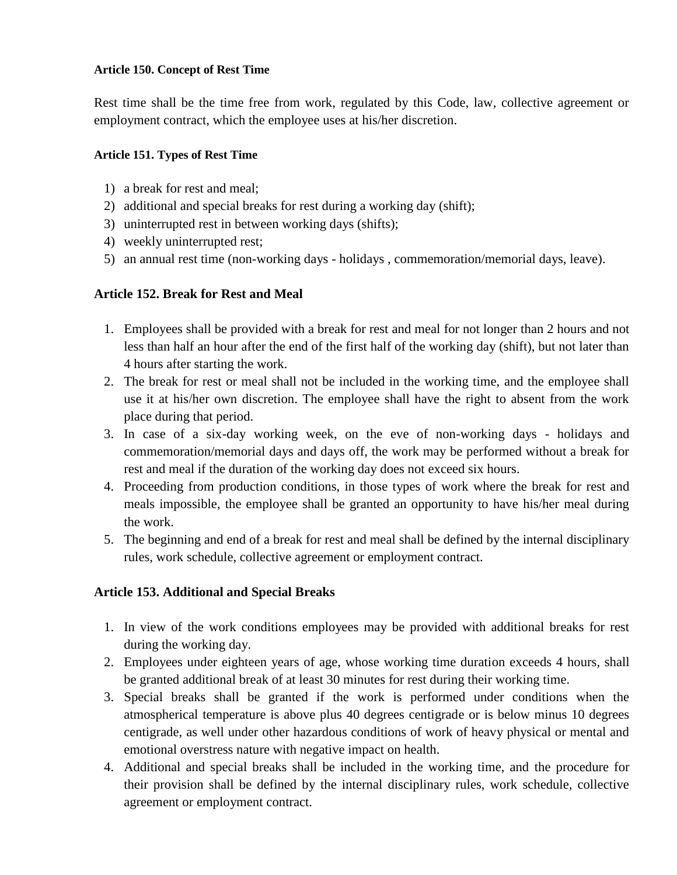#### **Article 150. Concept of Rest Time**

Rest time shall be the time free from work, regulated by this Code, law, collective agreement or employment contract, which the employee uses at his/her discretion.

### **Article 151. Types of Rest Time**

- 1) a break for rest and meal;
- 2) additional and special breaks for rest during a working day (shift);
- 3) uninterrupted rest in between working days (shifts);
- 4) weekly uninterrupted rest;
- 5) an annual rest time (non-working days holidays , commemoration/memorial days, leave).

# **Article 152. Break for Rest and Meal**

- 1. Employees shall be provided with a break for rest and meal for not longer than 2 hours and not less than half an hour after the end of the first half of the working day (shift), but not later than 4 hours after starting the work.
- 2. The break for rest or meal shall not be included in the working time, and the employee shall use it at his/her own discretion. The employee shall have the right to absent from the work place during that period.
- 3. In case of a six-day working week, on the eve of non-working days holidays and commemoration/memorial days and days off, the work may be performed without a break for rest and meal if the duration of the working day does not exceed six hours.
- 4. Proceeding from production conditions, in those types of work where the break for rest and meals impossible, the employee shall be granted an opportunity to have his/her meal during the work.
- 5. The beginning and end of a break for rest and meal shall be defined by the internal disciplinary rules, work schedule, collective agreement or employment contract.

# **Article 153. Additional and Special Breaks**

- 1. In view of the work conditions employees may be provided with additional breaks for rest during the working day.
- 2. Employees under eighteen years of age, whose working time duration exceeds 4 hours, shall be granted additional break of at least 30 minutes for rest during their working time.
- 3. Special breaks shall be granted if the work is performed under conditions when the atmospherical temperature is above plus 40 degrees centigrade or is below minus 10 degrees centigrade, as well under other hazardous conditions of work of heavy physical or mental and emotional overstress nature with negative impact on health.
- 4. Additional and special breaks shall be included in the working time, and the procedure for their provision shall be defined by the internal disciplinary rules, work schedule, collective agreement or employment contract.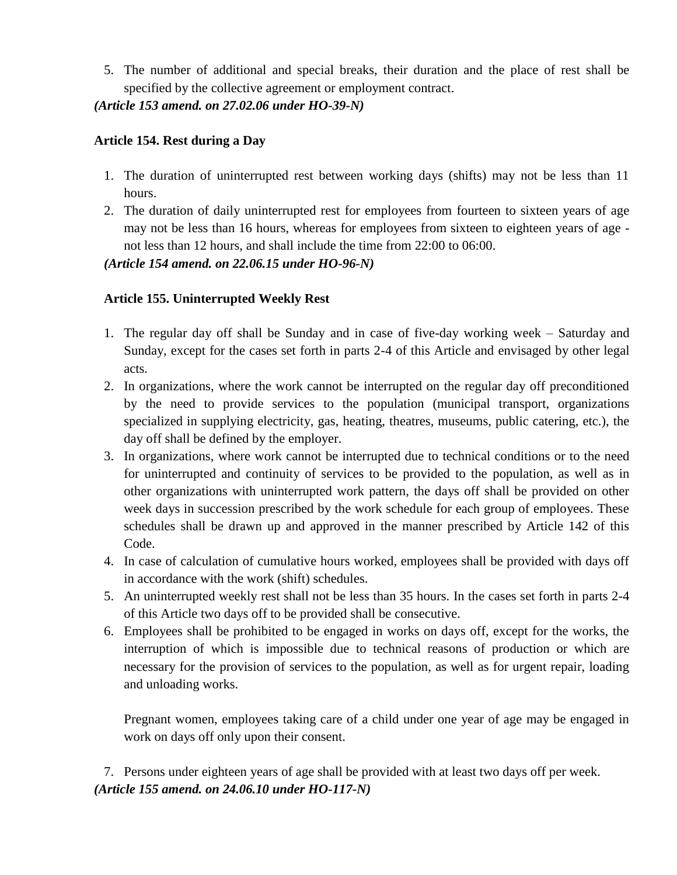5. The number of additional and special breaks, their duration and the place of rest shall be specified by the collective agreement or employment contract.

# *(Article 153 amend. on 27.02.06 under HO-39-N)*

# **Article 154. Rest during a Day**

- 1. The duration of uninterrupted rest between working days (shifts) may not be less than 11 hours.
- 2. The duration of daily uninterrupted rest for employees from fourteen to sixteen years of age may not be less than 16 hours, whereas for employees from sixteen to eighteen years of age not less than 12 hours, and shall include the time from 22:00 to 06:00.

*(Article 154 amend. on 22.06.15 under HO-96-N)*

# **Article 155. Uninterrupted Weekly Rest**

- 1. The regular day off shall be Sunday and in case of five-day working week Saturday and Sunday, except for the cases set forth in parts 2-4 of this Article and envisaged by other legal acts.
- 2. In organizations, where the work cannot be interrupted on the regular day off preconditioned by the need to provide services to the population (municipal transport, organizations specialized in supplying electricity, gas, heating, theatres, museums, public catering, etc.), the day off shall be defined by the employer.
- 3. In organizations, where work cannot be interrupted due to technical conditions or to the need for uninterrupted and continuity of services to be provided to the population, as well as in other organizations with uninterrupted work pattern, the days off shall be provided on other week days in succession prescribed by the work schedule for each group of employees. These schedules shall be drawn up and approved in the manner prescribed by Article 142 of this Code.
- 4. In case of calculation of cumulative hours worked, employees shall be provided with days off in accordance with the work (shift) schedules.
- 5. An uninterrupted weekly rest shall not be less than 35 hours. In the cases set forth in parts 2-4 of this Article two days off to be provided shall be consecutive.
- 6. Employees shall be prohibited to be engaged in works on days off, except for the works, the interruption of which is impossible due to technical reasons of production or which are necessary for the provision of services to the population, as well as for urgent repair, loading and unloading works.

Pregnant women, employees taking care of a child under one year of age may be engaged in work on days off only upon their consent.

7. Persons under eighteen years of age shall be provided with at least two days off per week. *(Article 155 amend. on 24.06.10 under HO-117-N)*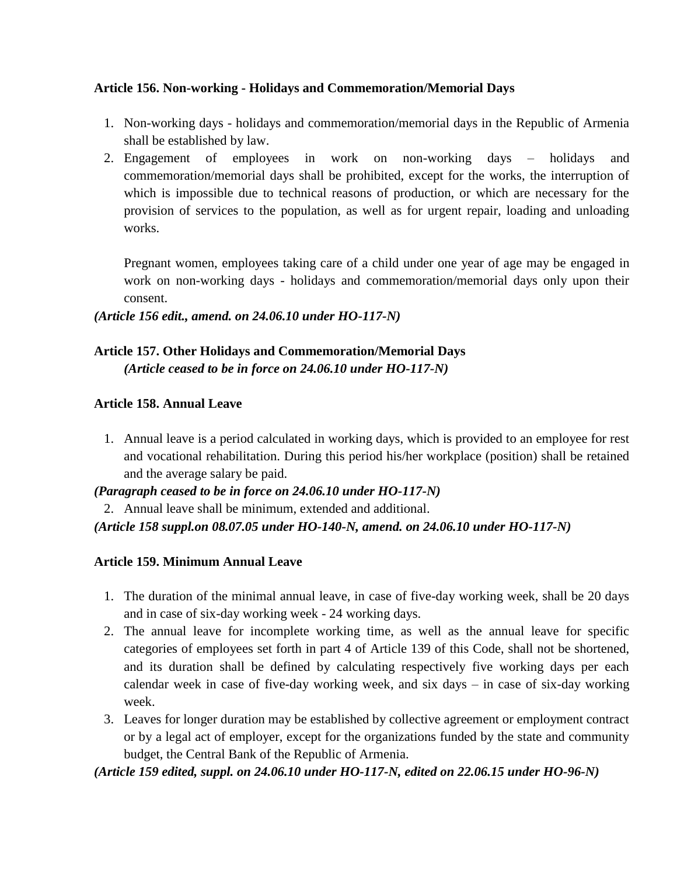# **Article 156. Non-working - Holidays and Commemoration/Memorial Days**

- 1. Non-working days holidays and commemoration/memorial days in the Republic of Armenia shall be established by law.
- 2. Engagement of employees in work on non-working days holidays and commemoration/memorial days shall be prohibited, except for the works, the interruption of which is impossible due to technical reasons of production, or which are necessary for the provision of services to the population, as well as for urgent repair, loading and unloading works.

Pregnant women, employees taking care of a child under one year of age may be engaged in work on non-working days - holidays and commemoration/memorial days only upon their consent.

# *(Article 156 edit., amend. on 24.06.10 under HO-117-N)*

# **Article 157. Other Holidays and Commemoration/Memorial Days** *(Article ceased to be in force on 24.06.10 under HO-117-N)*

# **Article 158. Annual Leave**

1. Annual leave is a period calculated in working days, which is provided to an employee for rest and vocational rehabilitation. During this period his/her workplace (position) shall be retained and the average salary be paid.

*(Paragraph ceased to be in force on 24.06.10 under HO-117-N)*

2. Annual leave shall be minimum, extended and additional.

*(Article 158 suppl.on 08.07.05 under HO-140-N, amend. on 24.06.10 under HO-117-N)*

# **Article 159. Minimum Annual Leave**

- 1. The duration of the minimal annual leave, in case of five-day working week, shall be 20 days and in case of six-day working week - 24 working days.
- 2. The annual leave for incomplete working time, as well as the annual leave for specific categories of employees set forth in part 4 of Article 139 of this Code, shall not be shortened, and its duration shall be defined by calculating respectively five working days per each calendar week in case of five-day working week, and six days – in case of six-day working week.
- 3. Leaves for longer duration may be established by collective agreement or employment contract or by a legal act of employer, except for the organizations funded by the state and community budget, the Central Bank of the Republic of Armenia.

# *(Article 159 edited, suppl. on 24.06.10 under HO-117-N, edited on 22.06.15 under HO-96-N)*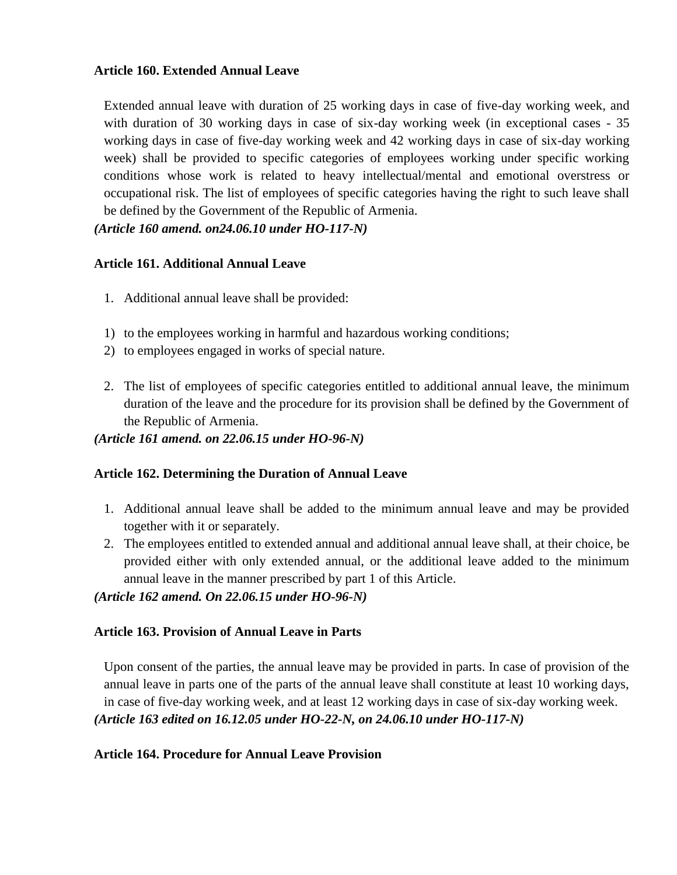### **Article 160. Extended Annual Leave**

Extended annual leave with duration of 25 working days in case of five-day working week, and with duration of 30 working days in case of six-day working week (in exceptional cases - 35 working days in case of five-day working week and 42 working days in case of six-day working week) shall be provided to specific categories of employees working under specific working conditions whose work is related to heavy intellectual/mental and emotional overstress or occupational risk. The list of employees of specific categories having the right to such leave shall be defined by the Government of the Republic of Armenia.

*(Article 160 amend. on24.06.10 under HO-117-N)*

### **Article 161. Additional Annual Leave**

- 1. Additional annual leave shall be provided:
- 1) to the employees working in harmful and hazardous working conditions;
- 2) to employees engaged in works of special nature.
- 2. The list of employees of specific categories entitled to additional annual leave, the minimum duration of the leave and the procedure for its provision shall be defined by the Government of the Republic of Armenia.

### *(Article 161 amend. on 22.06.15 under HO-96-N)*

# **Article 162. Determining the Duration of Annual Leave**

- 1. Additional annual leave shall be added to the minimum annual leave and may be provided together with it or separately.
- 2. The employees entitled to extended annual and additional annual leave shall, at their choice, be provided either with only extended annual, or the additional leave added to the minimum annual leave in the manner prescribed by part 1 of this Article.

*(Article 162 amend. On 22.06.15 under HO-96-N)*

# **Article 163. Provision of Annual Leave in Parts**

Upon consent of the parties, the annual leave may be provided in parts. In case of provision of the annual leave in parts one of the parts of the annual leave shall constitute at least 10 working days, in case of five-day working week, and at least 12 working days in case of six-day working week. *(Article 163 edited on 16.12.05 under HO-22-N, on 24.06.10 under HO-117-N)*

# **Article 164. Procedure for Annual Leave Provision**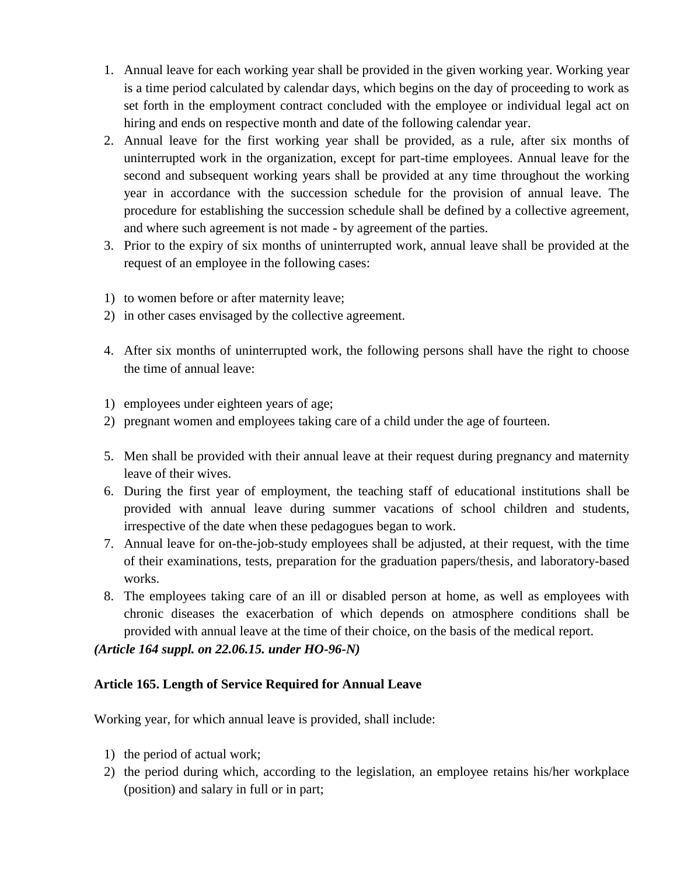- 1. Annual leave for each working year shall be provided in the given working year. Working year is a time period calculated by calendar days, which begins on the day of proceeding to work as set forth in the employment contract concluded with the employee or individual legal act on hiring and ends on respective month and date of the following calendar year.
- 2. Annual leave for the first working year shall be provided, as a rule, after six months of uninterrupted work in the organization, except for part-time employees. Annual leave for the second and subsequent working years shall be provided at any time throughout the working year in accordance with the succession schedule for the provision of annual leave. The procedure for establishing the succession schedule shall be defined by a collective agreement, and where such agreement is not made - by agreement of the parties.
- 3. Prior to the expiry of six months of uninterrupted work, annual leave shall be provided at the request of an employee in the following cases:
- 1) to women before or after maternity leave;
- 2) in other cases envisaged by the collective agreement.
- 4. After six months of uninterrupted work, the following persons shall have the right to choose the time of annual leave:
- 1) employees under eighteen years of age;
- 2) pregnant women and employees taking care of a child under the age of fourteen.
- 5. Men shall be provided with their annual leave at their request during pregnancy and maternity leave of their wives.
- 6. During the first year of employment, the teaching staff of educational institutions shall be provided with annual leave during summer vacations of school children and students, irrespective of the date when these pedagogues began to work.
- 7. Annual leave for on-the-job-study employees shall be adjusted, at their request, with the time of their examinations, tests, preparation for the graduation papers/thesis, and laboratory-based works.
- 8. The employees taking care of an ill or disabled person at home, as well as employees with chronic diseases the exacerbation of which depends on atmosphere conditions shall be provided with annual leave at the time of their choice, on the basis of the medical report.

*(Article 164 suppl. on 22.06.15. under HO-96-N)*

# **Article 165. Length of Service Required for Annual Leave**

Working year, for which annual leave is provided, shall include:

- 1) the period of actual work;
- 2) the period during which, according to the legislation, an employee retains his/her workplace (position) and salary in full or in part;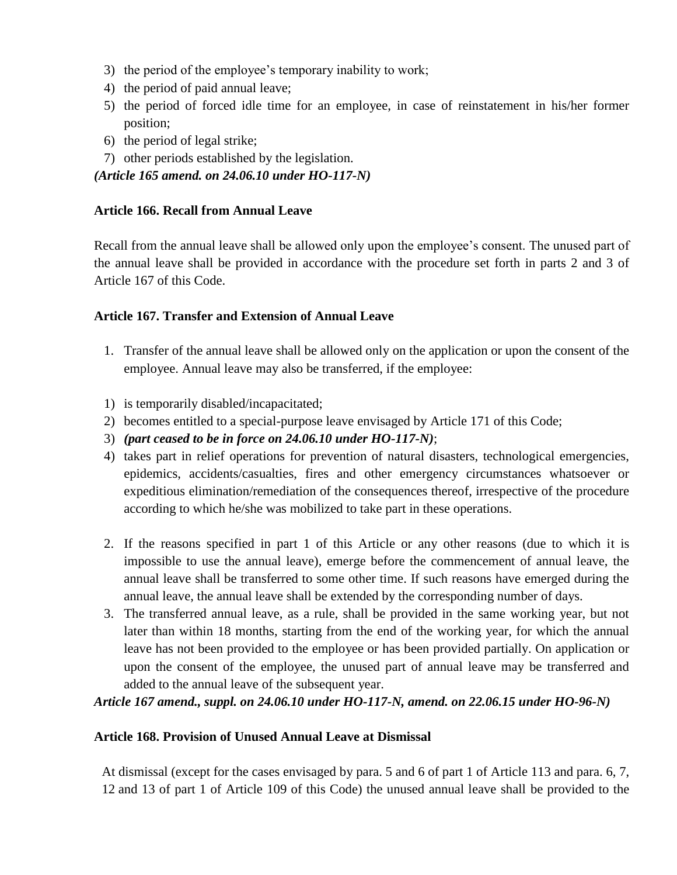- 3) the period of the employee's temporary inability to work;
- 4) the period of paid annual leave;
- 5) the period of forced idle time for an employee, in case of reinstatement in his/her former position;
- 6) the period of legal strike;
- 7) other periods established by the legislation.

# *(Article 165 amend. on 24.06.10 under HO-117-N)*

### **Article 166. Recall from Annual Leave**

Recall from the annual leave shall be allowed only upon the employee's consent. The unused part of the annual leave shall be provided in accordance with the procedure set forth in parts 2 and 3 of Article 167 of this Code.

### **Article 167. Transfer and Extension of Annual Leave**

- 1. Transfer of the annual leave shall be allowed only on the application or upon the consent of the employee. Annual leave may also be transferred, if the employee:
- 1) is temporarily disabled/incapacitated;
- 2) becomes entitled to a special-purpose leave envisaged by Article 171 of this Code;
- 3) *(part ceased to be in force on 24.06.10 under HO-117-N)*;
- 4) takes part in relief operations for prevention of natural disasters, technological emergencies, epidemics, accidents/casualties, fires and other emergency circumstances whatsoever or expeditious elimination/remediation of the consequences thereof, irrespective of the procedure according to which he/she was mobilized to take part in these operations.
- 2. If the reasons specified in part 1 of this Article or any other reasons (due to which it is impossible to use the annual leave), emerge before the commencement of annual leave, the annual leave shall be transferred to some other time. If such reasons have emerged during the annual leave, the annual leave shall be extended by the corresponding number of days.
- 3. The transferred annual leave, as a rule, shall be provided in the same working year, but not later than within 18 months, starting from the end of the working year, for which the annual leave has not been provided to the employee or has been provided partially. On application or upon the consent of the employee, the unused part of annual leave may be transferred and added to the annual leave of the subsequent year.

# *Article 167 amend., suppl. on 24.06.10 under HO-117-N, amend. on 22.06.15 under HO-96-N)*

#### **Article 168. Provision of Unused Annual Leave at Dismissal**

At dismissal (except for the cases envisaged by para. 5 and 6 of part 1 of Article 113 and para. 6, 7, 12 and 13 of part 1 of Article 109 of this Code) the unused annual leave shall be provided to the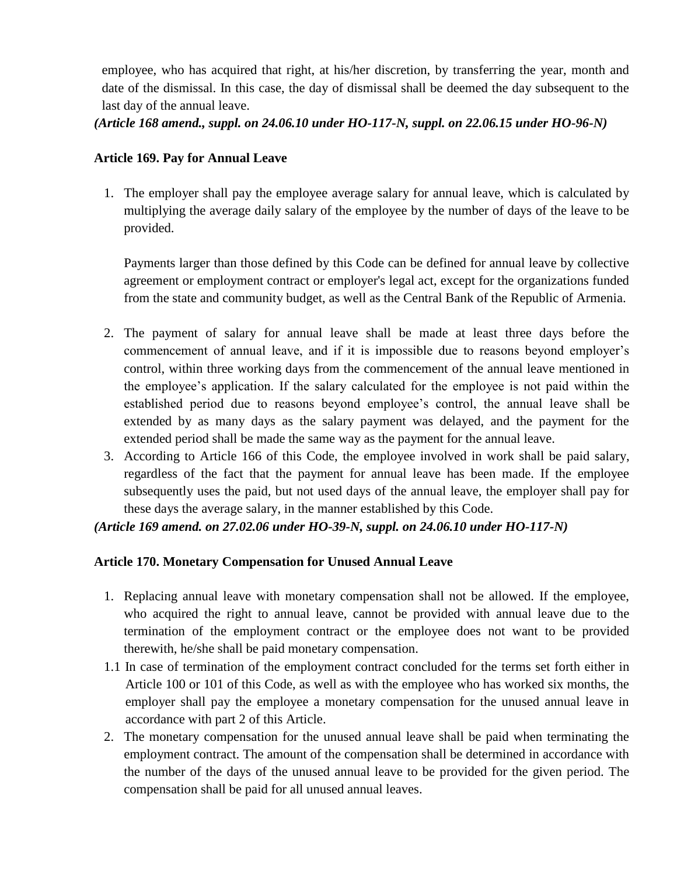employee, who has acquired that right, at his/her discretion, by transferring the year, month and date of the dismissal. In this case, the day of dismissal shall be deemed the day subsequent to the last day of the annual leave.

*(Article 168 amend., suppl. on 24.06.10 under HO-117-N, suppl. on 22.06.15 under HO-96-N)*

### **Article 169. Pay for Annual Leave**

1. The employer shall pay the employee average salary for annual leave, which is calculated by multiplying the average daily salary of the employee by the number of days of the leave to be provided.

Payments larger than those defined by this Code can be defined for annual leave by collective agreement or employment contract or employer's legal act, except for the organizations funded from the state and community budget, as well as the Central Bank of the Republic of Armenia.

- 2. The payment of salary for annual leave shall be made at least three days before the commencement of annual leave, and if it is impossible due to reasons beyond employer's control, within three working days from the commencement of the annual leave mentioned in the employee's application. If the salary calculated for the employee is not paid within the established period due to reasons beyond employee's control, the annual leave shall be extended by as many days as the salary payment was delayed, and the payment for the extended period shall be made the same way as the payment for the annual leave.
- 3. According to Article 166 of this Code, the employee involved in work shall be paid salary, regardless of the fact that the payment for annual leave has been made. If the employee subsequently uses the paid, but not used days of the annual leave, the employer shall pay for these days the average salary, in the manner established by this Code.

*(Article 169 amend. on 27.02.06 under HO-39-N, suppl. on 24.06.10 under HO-117-N)*

# **Article 170. Monetary Compensation for Unused Annual Leave**

- 1. Replacing annual leave with monetary compensation shall not be allowed. If the employee, who acquired the right to annual leave, cannot be provided with annual leave due to the termination of the employment contract or the employee does not want to be provided therewith, he/she shall be paid monetary compensation.
- 1.1 In case of termination of the employment contract concluded for the terms set forth either in Article 100 or 101 of this Code, as well as with the employee who has worked six months, the employer shall pay the employee a monetary compensation for the unused annual leave in accordance with part 2 of this Article.
- 2. The monetary compensation for the unused annual leave shall be paid when terminating the employment contract. The amount of the compensation shall be determined in accordance with the number of the days of the unused annual leave to be provided for the given period. The compensation shall be paid for all unused annual leaves.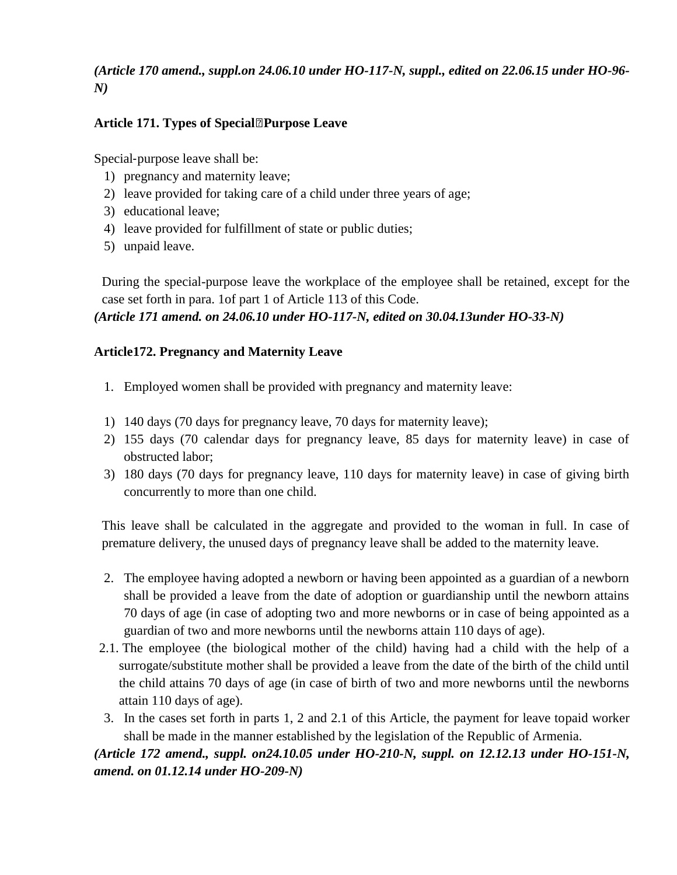# *(Article 170 amend., suppl.on 24.06.10 under HO-117-N, suppl., edited on 22.06.15 under HO-96- N)*

# **Article 171. Types of Special‐Purpose Leave**

Special‐purpose leave shall be:

- 1) pregnancy and maternity leave;
- 2) leave provided for taking care of a child under three years of age;
- 3) educational leave;
- 4) leave provided for fulfillment of state or public duties;
- 5) unpaid leave.

During the special-purpose leave the workplace of the employee shall be retained, except for the case set forth in para. 1of part 1 of Article 113 of this Code.

*(Article 171 amend. on 24.06.10 under HO-117-N, edited on 30.04.13under HO-33-N)*

# **Article172. Pregnancy and Maternity Leave**

- 1. Employed women shall be provided with pregnancy and maternity leave:
- 1) 140 days (70 days for pregnancy leave, 70 days for maternity leave);
- 2) 155 days (70 calendar days for pregnancy leave, 85 days for maternity leave) in case of obstructed labor;
- 3) 180 days (70 days for pregnancy leave, 110 days for maternity leave) in case of giving birth concurrently to more than one child.

This leave shall be calculated in the aggregate and provided to the woman in full. In case of premature delivery, the unused days of pregnancy leave shall be added to the maternity leave.

- 2. The employee having adopted a newborn or having been appointed as a guardian of a newborn shall be provided a leave from the date of adoption or guardianship until the newborn attains 70 days of age (in case of adopting two and more newborns or in case of being appointed as a guardian of two and more newborns until the newborns attain 110 days of age).
- 2.1. The employee (the biological mother of the child) having had a child with the help of a surrogate/substitute mother shall be provided a leave from the date of the birth of the child until the child attains 70 days of age (in case of birth of two and more newborns until the newborns attain 110 days of age).
- 3. In the cases set forth in parts 1, 2 and 2.1 of this Article, the payment for leave topaid worker shall be made in the manner established by the legislation of the Republic of Armenia.

# *(Article 172 amend., suppl. on24.10.05 under HO-210-N, suppl. on 12.12.13 under HO-151-N, amend. on 01.12.14 under HO-209-N)*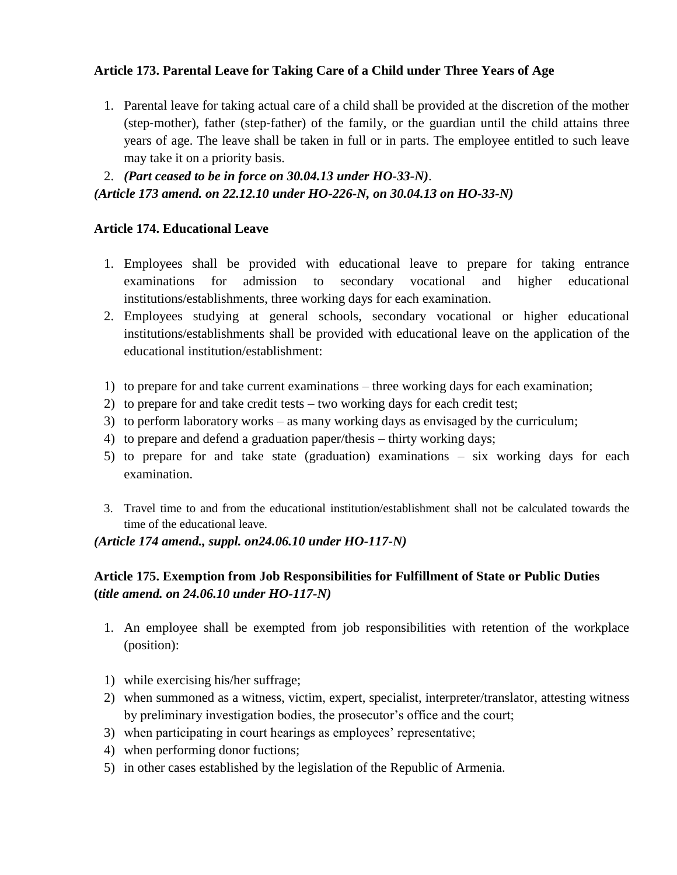# **Article 173. Parental Leave for Taking Care of a Child under Three Years of Age**

- 1. Parental leave for taking actual care of a child shall be provided at the discretion of the mother (step‐mother), father (step‐father) of the family, or the guardian until the child attains three years of age. The leave shall be taken in full or in parts. The employee entitled to such leave may take it on a priority basis.
- 2. *(Part ceased to be in force on 30.04.13 under HO-33-N)*.

*(Article 173 amend. on 22.12.10 under HO-226-N, on 30.04.13 on HO-33-N)*

# **Article 174. Educational Leave**

- 1. Employees shall be provided with educational leave to prepare for taking entrance examinations for admission to secondary vocational and higher educational institutions/establishments, three working days for each examination.
- 2. Employees studying at general schools, secondary vocational or higher educational institutions/establishments shall be provided with educational leave on the application of the educational institution/establishment:
- 1) to prepare for and take current examinations three working days for each examination;
- 2) to prepare for and take credit tests two working days for each credit test;
- 3) to perform laboratory works as many working days as envisaged by the curriculum;
- 4) to prepare and defend a graduation paper/thesis thirty working days;
- 5) to prepare for and take state (graduation) examinations six working days for each examination.
- 3. Travel time to and from the educational institution/establishment shall not be calculated towards the time of the educational leave.

*(Article 174 amend., suppl. on24.06.10 under HO-117-N)*

# **Article 175. Exemption from Job Responsibilities for Fulfillment of State or Public Duties (***title amend. on 24.06.10 under HO-117-N)*

- 1. An employee shall be exempted from job responsibilities with retention of the workplace (position):
- 1) while exercising his/her suffrage;
- 2) when summoned as a witness, victim, expert, specialist, interpreter/translator, attesting witness by preliminary investigation bodies, the prosecutor's office and the court;
- 3) when participating in court hearings as employees' representative;
- 4) when performing donor fuctions;
- 5) in other cases established by the legislation of the Republic of Armenia.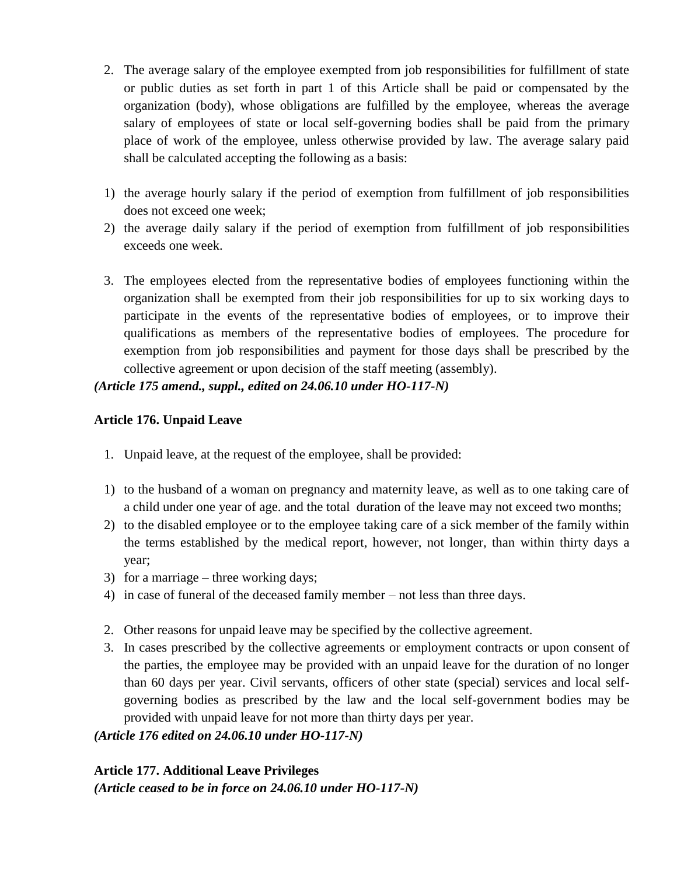- 2. The average salary of the employee exempted from job responsibilities for fulfillment of state or public duties as set forth in part 1 of this Article shall be paid or compensated by the organization (body), whose obligations are fulfilled by the employee, whereas the average salary of employees of state or local self-governing bodies shall be paid from the primary place of work of the employee, unless otherwise provided by law. The average salary paid shall be calculated accepting the following as a basis:
- 1) the average hourly salary if the period of exemption from fulfillment of job responsibilities does not exceed one week;
- 2) the average daily salary if the period of exemption from fulfillment of job responsibilities exceeds one week.
- 3. The employees elected from the representative bodies of employees functioning within the organization shall be exempted from their job responsibilities for up to six working days to participate in the events of the representative bodies of employees, or to improve their qualifications as members of the representative bodies of employees. The procedure for exemption from job responsibilities and payment for those days shall be prescribed by the collective agreement or upon decision of the staff meeting (assembly).

# *(Article 175 amend., suppl., edited on 24.06.10 under HO-117-N)*

# **Article 176. Unpaid Leave**

- 1. Unpaid leave, at the request of the employee, shall be provided:
- 1) to the husband of a woman on pregnancy and maternity leave, as well as to one taking care of a child under one year of age. and the total duration of the leave may not exceed two months;
- 2) to the disabled employee or to the employee taking care of a sick member of the family within the terms established by the medical report, however, not longer, than within thirty days a year;
- 3) for a marriage three working days;
- 4) in case of funeral of the deceased family member not less than three days.
- 2. Other reasons for unpaid leave may be specified by the collective agreement.
- 3. In cases prescribed by the collective agreements or employment contracts or upon consent of the parties, the employee may be provided with an unpaid leave for the duration of no longer than 60 days per year. Civil servants, officers of other state (special) services and local selfgoverning bodies as prescribed by the law and the local self-government bodies may be provided with unpaid leave for not more than thirty days per year.

*(Article 176 edited on 24.06.10 under HO-117-N)*

**Article 177. Additional Leave Privileges** *(Article ceased to be in force on 24.06.10 under HO-117-N)*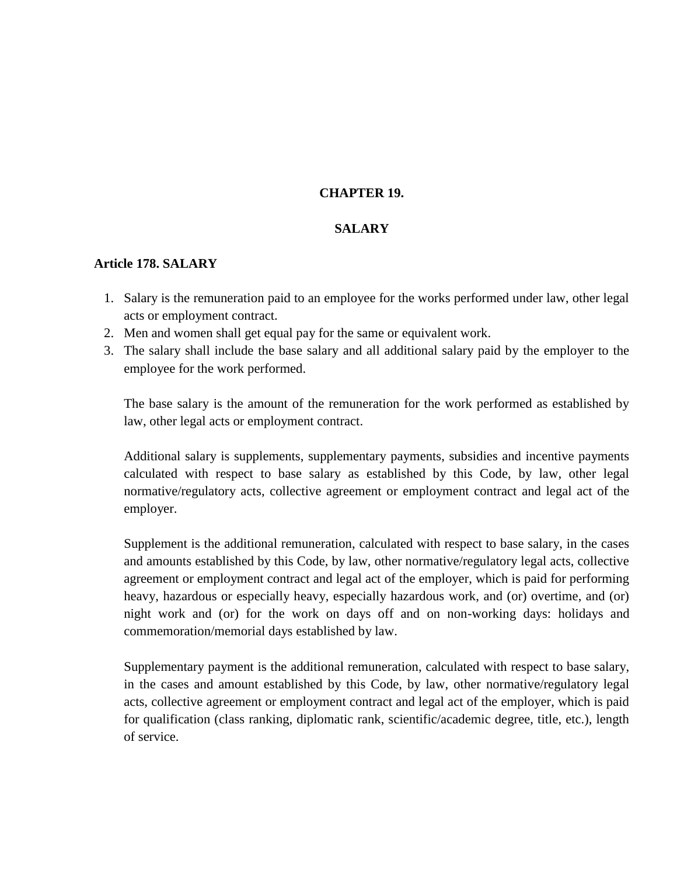### **CHAPTER 19.**

#### **SALARY**

#### **Article 178. SALARY**

- 1. Salary is the remuneration paid to an employee for the works performed under law, other legal acts or employment contract.
- 2. Men and women shall get equal pay for the same or equivalent work.
- 3. The salary shall include the base salary and all additional salary paid by the employer to the employee for the work performed.

The base salary is the amount of the remuneration for the work performed as established by law, other legal acts or employment contract.

Additional salary is supplements, supplementary payments, subsidies and incentive payments calculated with respect to base salary as established by this Code, by law, other legal normative/regulatory acts, collective agreement or employment contract and legal act of the employer.

Supplement is the additional remuneration, calculated with respect to base salary, in the cases and amounts established by this Code, by law, other normative/regulatory legal acts, collective agreement or employment contract and legal act of the employer, which is paid for performing heavy, hazardous or especially heavy, especially hazardous work, and (or) overtime, and (or) night work and (or) for the work on days off and on non-working days: holidays and commemoration/memorial days established by law.

Supplementary payment is the additional remuneration, calculated with respect to base salary, in the cases and amount established by this Code, by law, other normative/regulatory legal acts, collective agreement or employment contract and legal act of the employer, which is paid for qualification (class ranking, diplomatic rank, scientific/academic degree, title, etc.), length of service.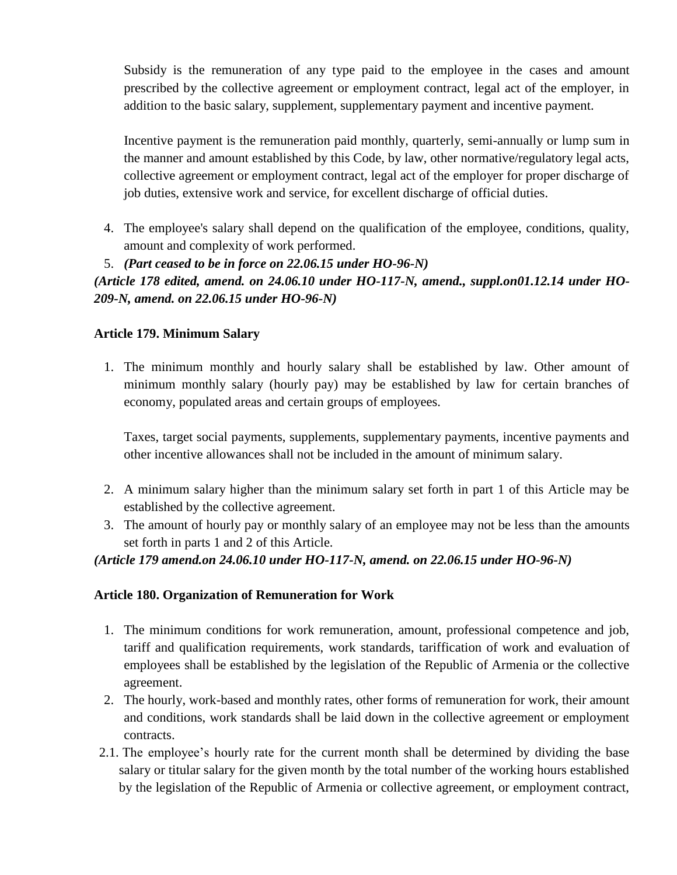Subsidy is the remuneration of any type paid to the employee in the cases and amount prescribed by the collective agreement or employment contract, legal act of the employer, in addition to the basic salary, supplement, supplementary payment and incentive payment.

Incentive payment is the remuneration paid monthly, quarterly, semi-annually or lump sum in the manner and amount established by this Code, by law, other normative/regulatory legal acts, collective agreement or employment contract, legal act of the employer for proper discharge of job duties, extensive work and service, for excellent discharge of official duties.

- 4. The employee's salary shall depend on the qualification of the employee, conditions, quality, amount and complexity of work performed.
- 5. *(Part ceased to be in force on 22.06.15 under HO-96-N)*

*(Article 178 edited, amend. on 24.06.10 under HO-117-N, amend., suppl.on01.12.14 under HO-209-N, amend. on 22.06.15 under HO-96-N)*

# **Article 179. Minimum Salary**

1. The minimum monthly and hourly salary shall be established by law. Other amount of minimum monthly salary (hourly pay) may be established by law for certain branches of economy, populated areas and certain groups of employees.

Taxes, target social payments, supplements, supplementary payments, incentive payments and other incentive allowances shall not be included in the amount of minimum salary.

- 2. A minimum salary higher than the minimum salary set forth in part 1 of this Article may be established by the collective agreement.
- 3. The amount of hourly pay or monthly salary of an employee may not be less than the amounts set forth in parts 1 and 2 of this Article.

# *(Article 179 amend.on 24.06.10 under HO-117-N, amend. on 22.06.15 under HO-96-N)*

# **Article 180. Organization of Remuneration for Work**

- 1. The minimum conditions for work remuneration, amount, professional competence and job, tariff and qualification requirements, work standards, tariffication of work and evaluation of employees shall be established by the legislation of the Republic of Armenia or the collective agreement.
- 2. The hourly, work-based and monthly rates, other forms of remuneration for work, their amount and conditions, work standards shall be laid down in the collective agreement or employment contracts.
- 2.1. The employee's hourly rate for the current month shall be determined by dividing the base salary or titular salary for the given month by the total number of the working hours established by the legislation of the Republic of Armenia or collective agreement, or employment contract,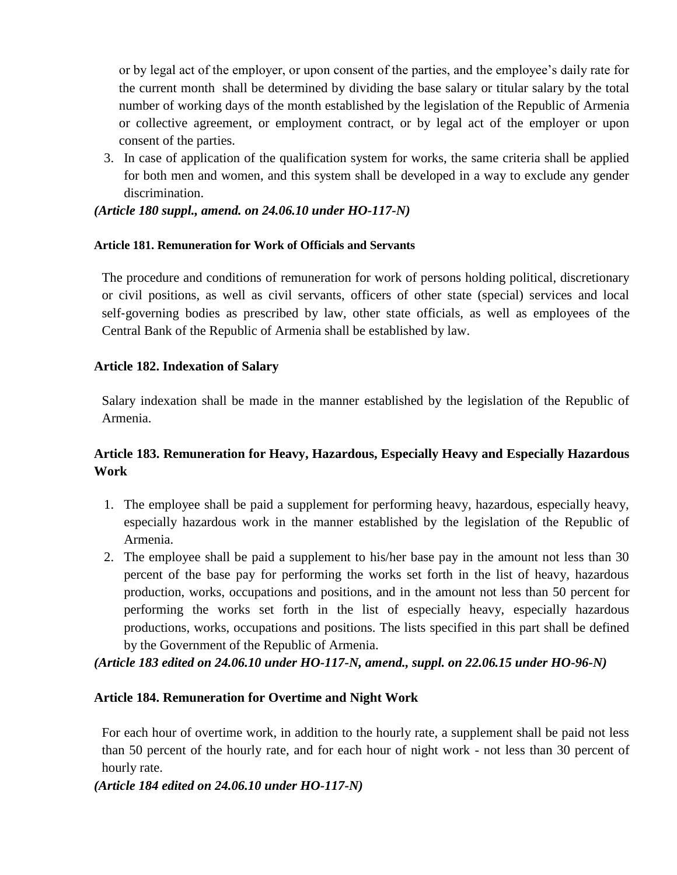or by legal act of the employer, or upon consent of the parties, and the employee's daily rate for the current month shall be determined by dividing the base salary or titular salary by the total number of working days of the month established by the legislation of the Republic of Armenia or collective agreement, or employment contract, or by legal act of the employer or upon consent of the parties.

3. In case of application of the qualification system for works, the same criteria shall be applied for both men and women, and this system shall be developed in a way to exclude any gender discrimination.

*(Article 180 suppl., amend. on 24.06.10 under HO-117-N)*

### **Article 181. Remuneration for Work of Officials and Servants**

The procedure and conditions of remuneration for work of persons holding political, discretionary or civil positions, as well as civil servants, officers of other state (special) services and local self-governing bodies as prescribed by law, other state officials, as well as employees of the Central Bank of the Republic of Armenia shall be established by law.

# **Article 182. Indexation of Salary**

Salary indexation shall be made in the manner established by the legislation of the Republic of Armenia.

# **Article 183. Remuneration for Heavy, Hazardous, Especially Heavy and Especially Hazardous Work**

- 1. The employee shall be paid a supplement for performing heavy, hazardous, especially heavy, especially hazardous work in the manner established by the legislation of the Republic of Armenia.
- 2. The employee shall be paid a supplement to his/her base pay in the amount not less than 30 percent of the base pay for performing the works set forth in the list of heavy, hazardous production, works, occupations and positions, and in the amount not less than 50 percent for performing the works set forth in the list of especially heavy, especially hazardous productions, works, occupations and positions. The lists specified in this part shall be defined by the Government of the Republic of Armenia.

*(Article 183 edited on 24.06.10 under HO-117-N, amend., suppl. on 22.06.15 under HO-96-N)*

# **Article 184. Remuneration for Overtime and Night Work**

For each hour of overtime work, in addition to the hourly rate, a supplement shall be paid not less than 50 percent of the hourly rate, and for each hour of night work - not less than 30 percent of hourly rate.

*(Article 184 edited on 24.06.10 under HO-117-N)*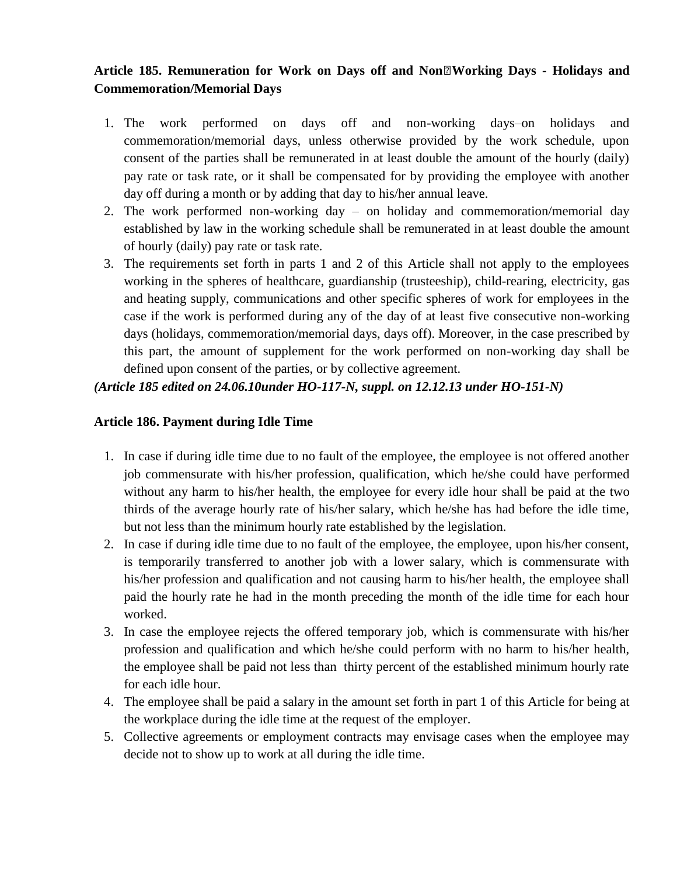# Article 185. Remuneration for Work on Days off and Non<sup>o</sup><sub>*I*</sub> Working Days - Holidays and **Commemoration/Memorial Days**

- 1. The work performed on days off and non-working days–on holidays and commemoration/memorial days, unless otherwise provided by the work schedule, upon consent of the parties shall be remunerated in at least double the amount of the hourly (daily) pay rate or task rate, or it shall be compensated for by providing the employee with another day off during a month or by adding that day to his/her annual leave.
- 2. The work performed non-working day on holiday and commemoration/memorial day established by law in the working schedule shall be remunerated in at least double the amount of hourly (daily) pay rate or task rate.
- 3. The requirements set forth in parts 1 and 2 of this Article shall not apply to the employees working in the spheres of healthcare, guardianship (trusteeship), child-rearing, electricity, gas and heating supply, communications and other specific spheres of work for employees in the case if the work is performed during any of the day of at least five consecutive non-working days (holidays, commemoration/memorial days, days off). Moreover, in the case prescribed by this part, the amount of supplement for the work performed on non-working day shall be defined upon consent of the parties, or by collective agreement.

# *(Article 185 edited on 24.06.10under HO-117-N, suppl. on 12.12.13 under HO-151-N)*

# **Article 186. Payment during Idle Time**

- 1. In case if during idle time due to no fault of the employee, the employee is not offered another job commensurate with his/her profession, qualification, which he/she could have performed without any harm to his/her health, the employee for every idle hour shall be paid at the two thirds of the average hourly rate of his/her salary, which he/she has had before the idle time, but not less than the minimum hourly rate established by the legislation.
- 2. In case if during idle time due to no fault of the employee, the employee, upon his/her consent, is temporarily transferred to another job with a lower salary, which is commensurate with his/her profession and qualification and not causing harm to his/her health, the employee shall paid the hourly rate he had in the month preceding the month of the idle time for each hour worked.
- 3. In case the employee rejects the offered temporary job, which is commensurate with his/her profession and qualification and which he/she could perform with no harm to his/her health, the employee shall be paid not less than thirty percent of the established minimum hourly rate for each idle hour.
- 4. The employee shall be paid a salary in the amount set forth in part 1 of this Article for being at the workplace during the idle time at the request of the employer.
- 5. Collective agreements or employment contracts may envisage cases when the employee may decide not to show up to work at all during the idle time.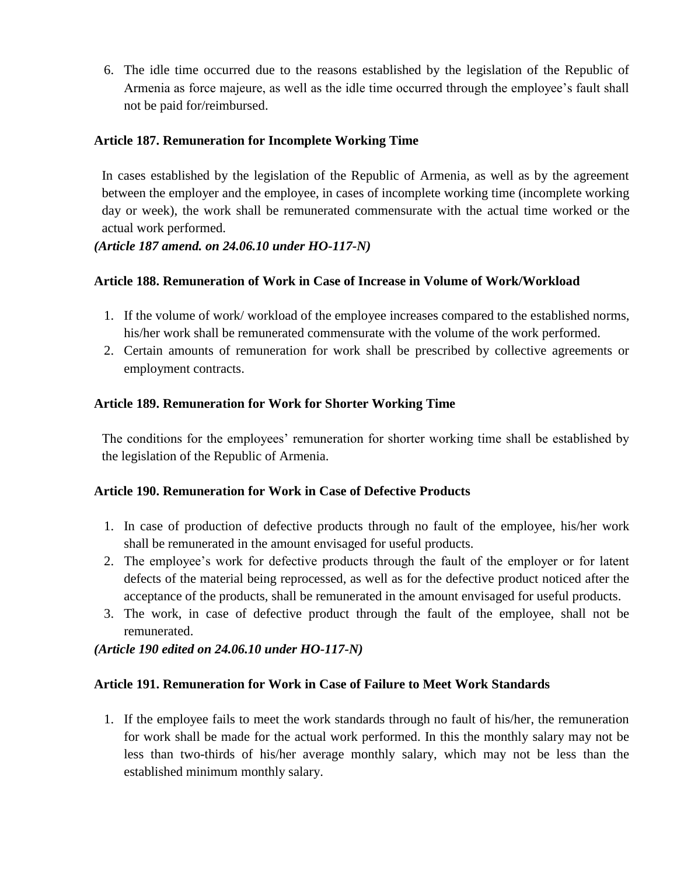6. The idle time occurred due to the reasons established by the legislation of the Republic of Armenia as force majeure, as well as the idle time occurred through the employee's fault shall not be paid for/reimbursed.

## **Article 187. Remuneration for Incomplete Working Time**

In cases established by the legislation of the Republic of Armenia, as well as by the agreement between the employer and the employee, in cases of incomplete working time (incomplete working day or week), the work shall be remunerated commensurate with the actual time worked or the actual work performed.

### *(Article 187 amend. on 24.06.10 under HO-117-N)*

### **Article 188. Remuneration of Work in Case of Increase in Volume of Work/Workload**

- 1. If the volume of work/ workload of the employee increases compared to the established norms, his/her work shall be remunerated commensurate with the volume of the work performed.
- 2. Certain amounts of remuneration for work shall be prescribed by collective agreements or employment contracts.

### **Article 189. Remuneration for Work for Shorter Working Time**

The conditions for the employees' remuneration for shorter working time shall be established by the legislation of the Republic of Armenia.

#### **Article 190. Remuneration for Work in Case of Defective Products**

- 1. In case of production of defective products through no fault of the employee, his/her work shall be remunerated in the amount envisaged for useful products.
- 2. The employee's work for defective products through the fault of the employer or for latent defects of the material being reprocessed, as well as for the defective product noticed after the acceptance of the products, shall be remunerated in the amount envisaged for useful products.
- 3. The work, in case of defective product through the fault of the employee, shall not be remunerated.

# *(Article 190 edited on 24.06.10 under HO-117-N)*

#### **Article 191. Remuneration for Work in Case of Failure to Meet Work Standards**

1. If the employee fails to meet the work standards through no fault of his/her, the remuneration for work shall be made for the actual work performed. In this the monthly salary may not be less than two-thirds of his/her average monthly salary, which may not be less than the established minimum monthly salary.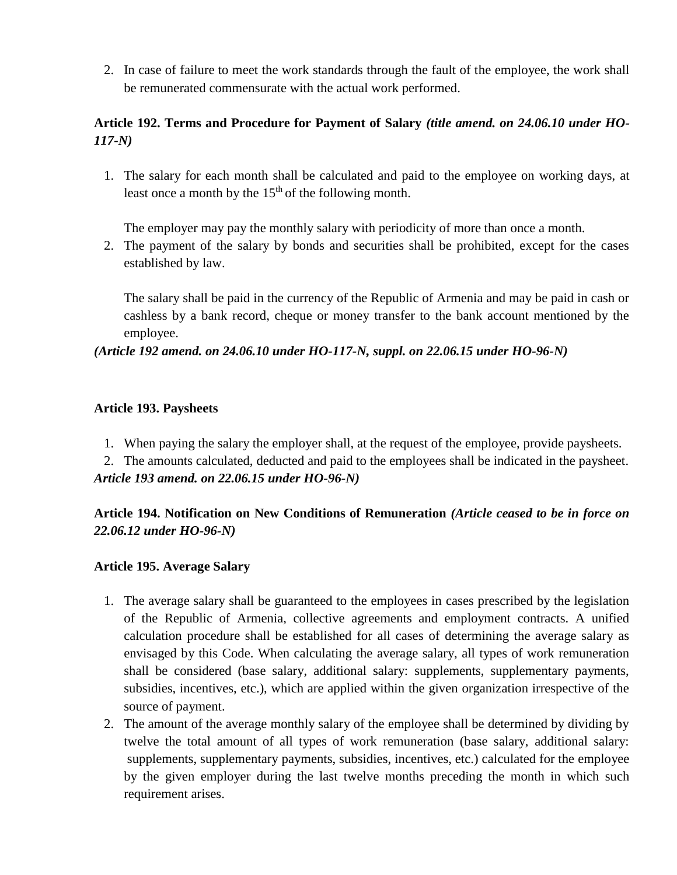2. In case of failure to meet the work standards through the fault of the employee, the work shall be remunerated commensurate with the actual work performed.

# **Article 192. Terms and Procedure for Payment of Salary** *(title amend. on 24.06.10 under HO-117-N)*

1. The salary for each month shall be calculated and paid to the employee on working days, at least once a month by the  $15<sup>th</sup>$  of the following month.

The employer may pay the monthly salary with periodicity of more than once a month.

2. The payment of the salary by bonds and securities shall be prohibited, except for the cases established by law.

The salary shall be paid in the currency of the Republic of Armenia and may be paid in cash or cashless by a bank record, cheque or money transfer to the bank account mentioned by the employee.

*(Article 192 amend. on 24.06.10 under HO-117-N, suppl. on 22.06.15 under HO-96-N)*

# **Article 193. Paysheets**

1. When paying the salary the employer shall, at the request of the employee, provide paysheets.

2. The amounts calculated, deducted and paid to the employees shall be indicated in the paysheet. *Article 193 amend. on 22.06.15 under HO-96-N)*

# **Article 194. Notification on New Conditions of Remuneration** *(Article ceased to be in force on 22.06.12 under HO-96-N)*

# **Article 195. Average Salary**

- 1. The average salary shall be guaranteed to the employees in cases prescribed by the legislation of the Republic of Armenia, collective agreements and employment contracts. A unified calculation procedure shall be established for all cases of determining the average salary as envisaged by this Code. When calculating the average salary, all types of work remuneration shall be considered (base salary, additional salary: supplements, supplementary payments, subsidies, incentives, etc.), which are applied within the given organization irrespective of the source of payment.
- 2. The amount of the average monthly salary of the employee shall be determined by dividing by twelve the total amount of all types of work remuneration (base salary, additional salary: supplements, supplementary payments, subsidies, incentives, etc.) calculated for the employee by the given employer during the last twelve months preceding the month in which such requirement arises.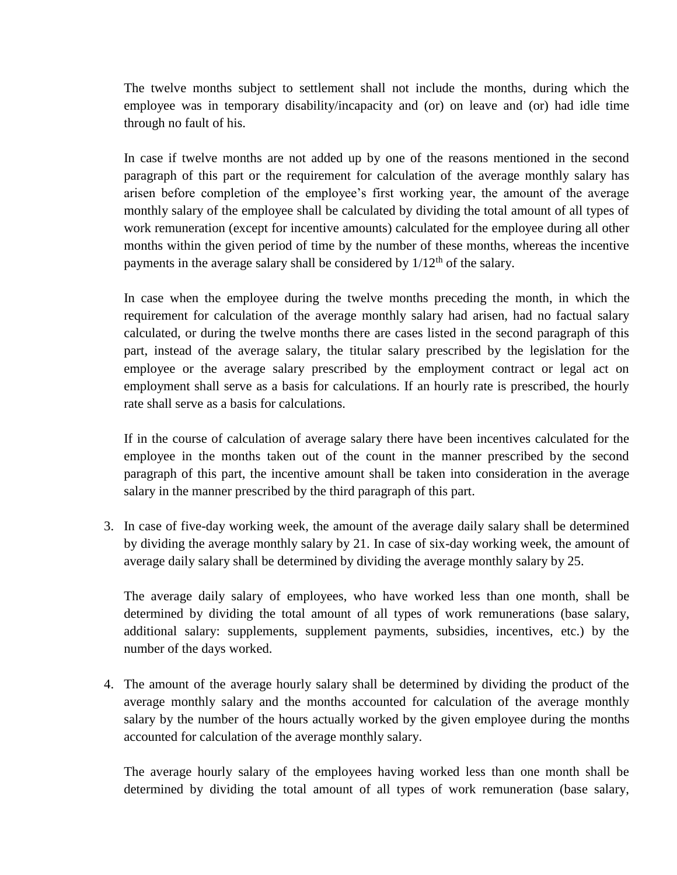The twelve months subject to settlement shall not include the months, during which the employee was in temporary disability/incapacity and (or) on leave and (or) had idle time through no fault of his.

In case if twelve months are not added up by one of the reasons mentioned in the second paragraph of this part or the requirement for calculation of the average monthly salary has arisen before completion of the employee's first working year, the amount of the average monthly salary of the employee shall be calculated by dividing the total amount of all types of work remuneration (except for incentive amounts) calculated for the employee during all other months within the given period of time by the number of these months, whereas the incentive payments in the average salary shall be considered by  $1/12<sup>th</sup>$  of the salary.

In case when the employee during the twelve months preceding the month, in which the requirement for calculation of the average monthly salary had arisen, had no factual salary calculated, or during the twelve months there are cases listed in the second paragraph of this part, instead of the average salary, the titular salary prescribed by the legislation for the employee or the average salary prescribed by the employment contract or legal act on employment shall serve as a basis for calculations. If an hourly rate is prescribed, the hourly rate shall serve as a basis for calculations.

If in the course of calculation of average salary there have been incentives calculated for the employee in the months taken out of the count in the manner prescribed by the second paragraph of this part, the incentive amount shall be taken into consideration in the average salary in the manner prescribed by the third paragraph of this part.

3. In case of five-day working week, the amount of the average daily salary shall be determined by dividing the average monthly salary by 21. In case of six-day working week, the amount of average daily salary shall be determined by dividing the average monthly salary by 25.

The average daily salary of employees, who have worked less than one month, shall be determined by dividing the total amount of all types of work remunerations (base salary, additional salary: supplements, supplement payments, subsidies, incentives, etc.) by the number of the days worked.

4. The amount of the average hourly salary shall be determined by dividing the product of the average monthly salary and the months accounted for calculation of the average monthly salary by the number of the hours actually worked by the given employee during the months accounted for calculation of the average monthly salary.

The average hourly salary of the employees having worked less than one month shall be determined by dividing the total amount of all types of work remuneration (base salary,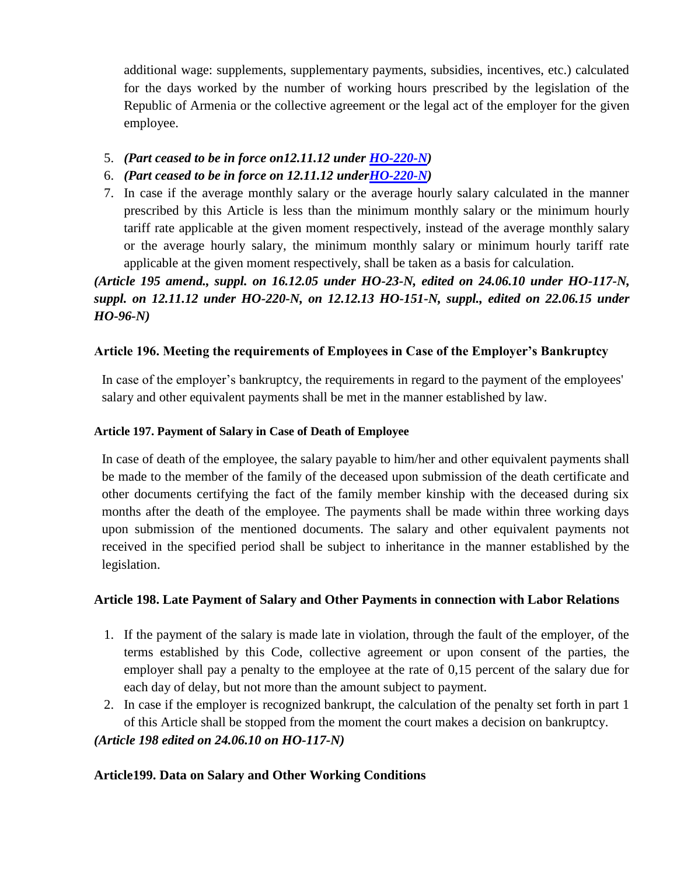additional wage: supplements, supplementary payments, subsidies, incentives, etc.) calculated for the days worked by the number of working hours prescribed by the legislation of the Republic of Armenia or the collective agreement or the legal act of the employer for the given employee.

- 5. *(Part ceased to be in force on12.11.12 under [HO-220-N\)](http://www.arlis.am/DocumentView.aspx?docid=80024)*
- 6. *(Part ceased to be in force on 12.11.12 unde[rHO-220-N\)](http://www.arlis.am/DocumentView.aspx?docid=80024)*
- 7. In case if the average monthly salary or the average hourly salary calculated in the manner prescribed by this Article is less than the minimum monthly salary or the minimum hourly tariff rate applicable at the given moment respectively, instead of the average monthly salary or the average hourly salary, the minimum monthly salary or minimum hourly tariff rate applicable at the given moment respectively, shall be taken as a basis for calculation.

*(Article 195 amend., suppl. on 16.12.05 under HO-23-N, edited on 24.06.10 under HO-117-N, suppl. on 12.11.12 under HO-220-N, on 12.12.13 HO-151-N, suppl., edited on 22.06.15 under HO-96-N)*

# **Article 196. Meeting the requirements of Employees in Case of the Employer's Bankruptcy**

In case of the employer's bankruptcy, the requirements in regard to the payment of the employees' salary and other equivalent payments shall be met in the manner established by law.

## **Article 197. Payment of Salary in Case of Death of Employee**

In case of death of the employee, the salary payable to him/her and other equivalent payments shall be made to the member of the family of the deceased upon submission of the death certificate and other documents certifying the fact of the family member kinship with the deceased during six months after the death of the employee. The payments shall be made within three working days upon submission of the mentioned documents. The salary and other equivalent payments not received in the specified period shall be subject to inheritance in the manner established by the legislation.

# **Article 198. Late Payment of Salary and Other Payments in connection with Labor Relations**

- 1. If the payment of the salary is made late in violation, through the fault of the employer, of the terms established by this Code, collective agreement or upon consent of the parties, the employer shall pay a penalty to the employee at the rate of 0,15 percent of the salary due for each day of delay, but not more than the amount subject to payment.
- 2. In case if the employer is recognized bankrupt, the calculation of the penalty set forth in part 1 of this Article shall be stopped from the moment the court makes a decision on bankruptcy. *(Article 198 edited on 24.06.10 on HO-117-N)*

# **Article199. Data on Salary and Other Working Conditions**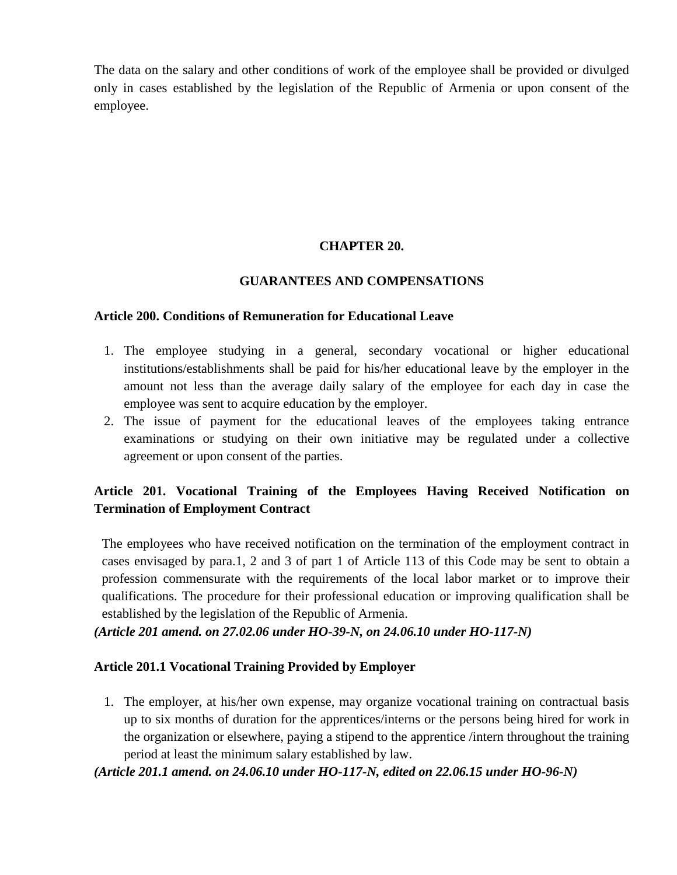The data on the salary and other conditions of work of the employee shall be provided or divulged only in cases established by the legislation of the Republic of Armenia or upon consent of the employee.

# **CHAPTER 20.**

### **GUARANTEES AND COMPENSATIONS**

#### **Article 200. Conditions of Remuneration for Educational Leave**

- 1. The employee studying in a general, secondary vocational or higher educational institutions/establishments shall be paid for his/her educational leave by the employer in the amount not less than the average daily salary of the employee for each day in case the employee was sent to acquire education by the employer.
- 2. The issue of payment for the educational leaves of the employees taking entrance examinations or studying on their own initiative may be regulated under a collective agreement or upon consent of the parties.

# **Article 201. Vocational Training of the Employees Having Received Notification on Termination of Employment Contract**

The employees who have received notification on the termination of the employment contract in cases envisaged by para.1, 2 and 3 of part 1 of Article 113 of this Code may be sent to obtain a profession commensurate with the requirements of the local labor market or to improve their qualifications. The procedure for their professional education or improving qualification shall be established by the legislation of the Republic of Armenia.

*(Article 201 amend. on 27.02.06 under HO-39-N, on 24.06.10 under HO-117-N)*

# **Article 201.1 Vocational Training Provided by Employer**

1. The employer, at his/her own expense, may organize vocational training on contractual basis up to six months of duration for the apprentices/interns or the persons being hired for work in the organization or elsewhere, paying a stipend to the apprentice /intern throughout the training period at least the minimum salary established by law.

# *(Article 201.1 amend. on 24.06.10 under HO-117-N, edited on 22.06.15 under HO-96-N)*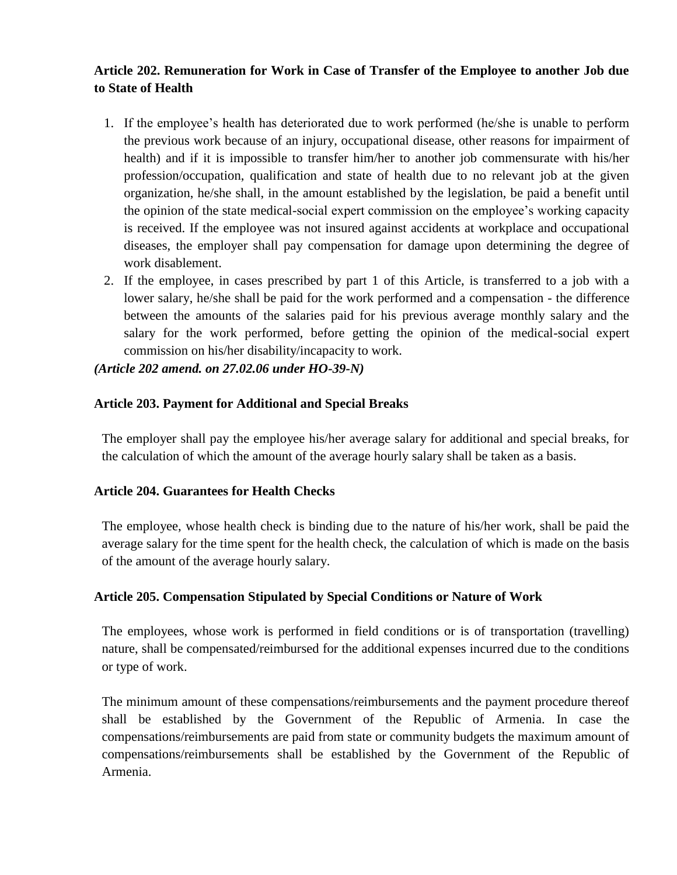# **Article 202. Remuneration for Work in Case of Transfer of the Employee to another Job due to State of Health**

- 1. If the employee's health has deteriorated due to work performed (he/she is unable to perform the previous work because of an injury, occupational disease, other reasons for impairment of health) and if it is impossible to transfer him/her to another job commensurate with his/her profession/occupation, qualification and state of health due to no relevant job at the given organization, he/she shall, in the amount established by the legislation, be paid a benefit until the opinion of the state medical-social expert commission on the employee's working capacity is received. If the employee was not insured against accidents at workplace and occupational diseases, the employer shall pay compensation for damage upon determining the degree of work disablement.
- 2. If the employee, in cases prescribed by part 1 of this Article, is transferred to a job with a lower salary, he/she shall be paid for the work performed and a compensation - the difference between the amounts of the salaries paid for his previous average monthly salary and the salary for the work performed, before getting the opinion of the medical-social expert commission on his/her disability/incapacity to work.

*(Article 202 amend. on 27.02.06 under HO-39-N)*

# **Article 203. Payment for Additional and Special Breaks**

The employer shall pay the employee his/her average salary for additional and special breaks, for the calculation of which the amount of the average hourly salary shall be taken as a basis.

# **Article 204. Guarantees for Health Checks**

The employee, whose health check is binding due to the nature of his/her work, shall be paid the average salary for the time spent for the health check, the calculation of which is made on the basis of the amount of the average hourly salary.

# **Article 205. Compensation Stipulated by Special Conditions or Nature of Work**

The employees, whose work is performed in field conditions or is of transportation (travelling) nature, shall be compensated/reimbursed for the additional expenses incurred due to the conditions or type of work.

The minimum amount of these compensations/reimbursements and the payment procedure thereof shall be established by the Government of the Republic of Armenia. In case the compensations/reimbursements are paid from state or community budgets the maximum amount of compensations/reimbursements shall be established by the Government of the Republic of Armenia.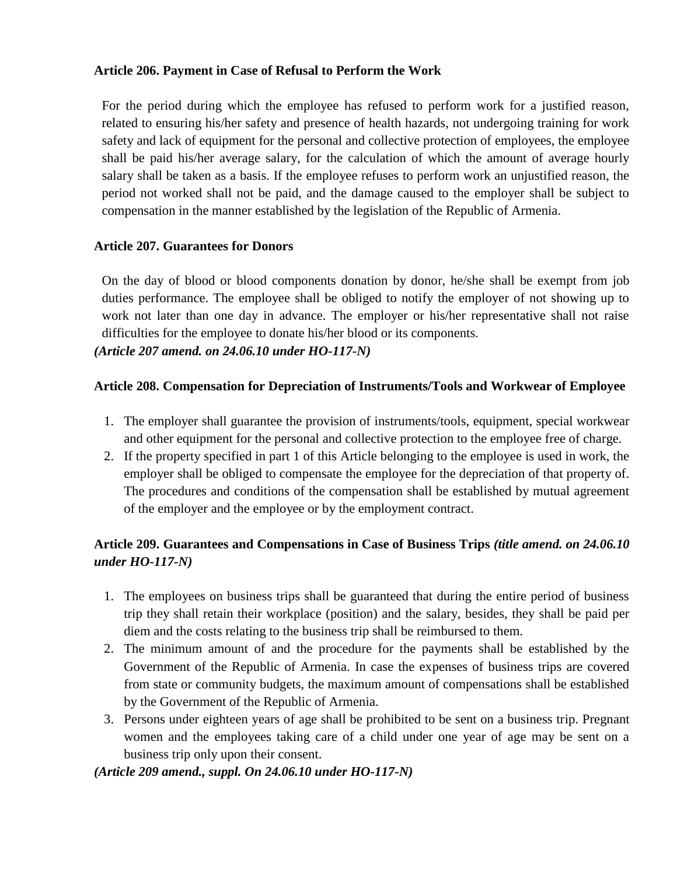# **Article 206. Payment in Case of Refusal to Perform the Work**

For the period during which the employee has refused to perform work for a justified reason, related to ensuring his/her safety and presence of health hazards, not undergoing training for work safety and lack of equipment for the personal and collective protection of employees, the employee shall be paid his/her average salary, for the calculation of which the amount of average hourly salary shall be taken as a basis. If the employee refuses to perform work an unjustified reason, the period not worked shall not be paid, and the damage caused to the employer shall be subject to compensation in the manner established by the legislation of the Republic of Armenia.

### **Article 207. Guarantees for Donors**

On the day of blood or blood components donation by donor, he/she shall be exempt from job duties performance. The employee shall be obliged to notify the employer of not showing up to work not later than one day in advance. The employer or his/her representative shall not raise difficulties for the employee to donate his/her blood or its components. *(Article 207 amend. on 24.06.10 under HO-117-N)*

### **Article 208. Compensation for Depreciation of Instruments/Tools and Workwear of Employee**

- 1. The employer shall guarantee the provision of instruments/tools, equipment, special workwear and other equipment for the personal and collective protection to the employee free of charge.
- 2. If the property specified in part 1 of this Article belonging to the employee is used in work, the employer shall be obliged to compensate the employee for the depreciation of that property of. The procedures and conditions of the compensation shall be established by mutual agreement of the employer and the employee or by the employment contract.

# **Article 209. Guarantees and Compensations in Case of Business Trips** *(title amend. on 24.06.10 under HO-117-N)*

- 1. The employees on business trips shall be guaranteed that during the entire period of business trip they shall retain their workplace (position) and the salary, besides, they shall be paid per diem and the costs relating to the business trip shall be reimbursed to them.
- 2. The minimum amount of and the procedure for the payments shall be established by the Government of the Republic of Armenia. In case the expenses of business trips are covered from state or community budgets, the maximum amount of compensations shall be established by the Government of the Republic of Armenia.
- 3. Persons under eighteen years of age shall be prohibited to be sent on a business trip. Pregnant women and the employees taking care of a child under one year of age may be sent on a business trip only upon their consent.

# *(Article 209 amend., suppl. On 24.06.10 under HO-117-N)*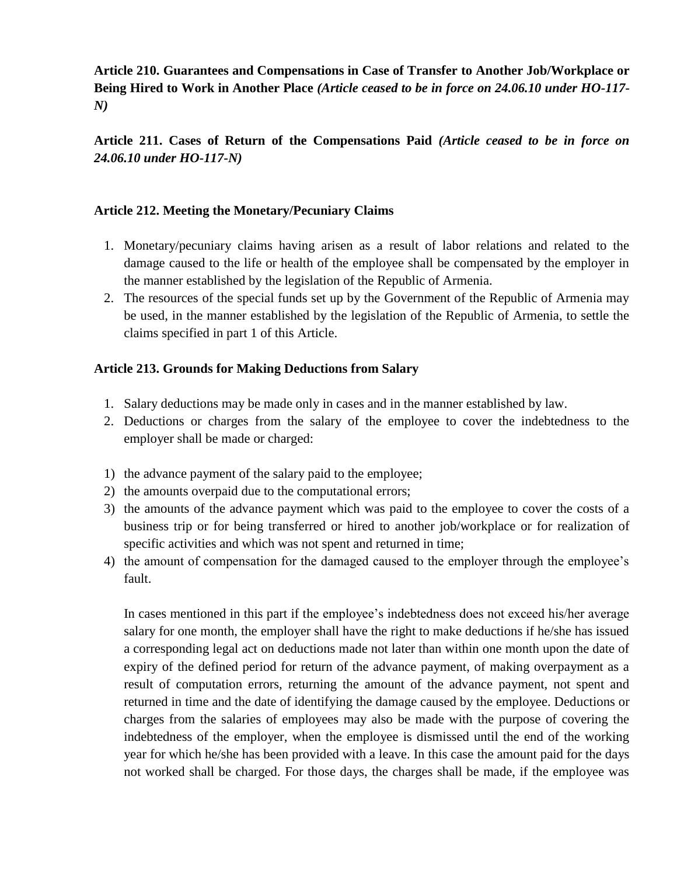**Article 210. Guarantees and Compensations in Case of Transfer to Another Job/Workplace or Being Hired to Work in Another Place** *(Article ceased to be in force on 24.06.10 under HO-117- N)*

**Article 211. Cases of Return of the Compensations Paid** *(Article ceased to be in force on 24.06.10 under HO-117-N)*

## **Article 212. Meeting the Monetary/Pecuniary Claims**

- 1. Monetary/pecuniary claims having arisen as a result of labor relations and related to the damage caused to the life or health of the employee shall be compensated by the employer in the manner established by the legislation of the Republic of Armenia.
- 2. The resources of the special funds set up by the Government of the Republic of Armenia may be used, in the manner established by the legislation of the Republic of Armenia, to settle the claims specified in part 1 of this Article.

### **Article 213. Grounds for Making Deductions from Salary**

- 1. Salary deductions may be made only in cases and in the manner established by law.
- 2. Deductions or charges from the salary of the employee to cover the indebtedness to the employer shall be made or charged:
- 1) the advance payment of the salary paid to the employee;
- 2) the amounts overpaid due to the computational errors;
- 3) the amounts of the advance payment which was paid to the employee to cover the costs of a business trip or for being transferred or hired to another job/workplace or for realization of specific activities and which was not spent and returned in time;
- 4) the amount of compensation for the damaged caused to the employer through the employee's fault.

In cases mentioned in this part if the employee's indebtedness does not exceed his/her average salary for one month, the employer shall have the right to make deductions if he/she has issued a corresponding legal act on deductions made not later than within one month upon the date of expiry of the defined period for return of the advance payment, of making overpayment as a result of computation errors, returning the amount of the advance payment, not spent and returned in time and the date of identifying the damage caused by the employee. Deductions or charges from the salaries of employees may also be made with the purpose of covering the indebtedness of the employer, when the employee is dismissed until the end of the working year for which he/she has been provided with a leave. In this case the amount paid for the days not worked shall be charged. For those days, the charges shall be made, if the employee was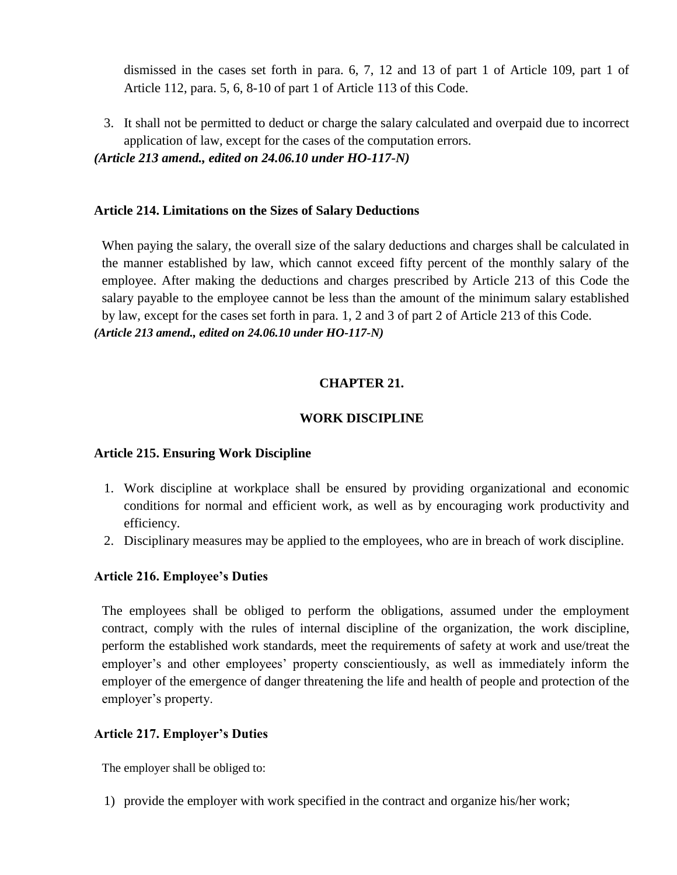dismissed in the cases set forth in para. 6, 7, 12 and 13 of part 1 of Article 109, part 1 of Article 112, para. 5, 6, 8-10 of part 1 of Article 113 of this Code.

3. It shall not be permitted to deduct or charge the salary calculated and overpaid due to incorrect application of law, except for the cases of the computation errors. *(Article 213 amend., edited on 24.06.10 under HO-117-N)*

#### **Article 214. Limitations on the Sizes of Salary Deductions**

When paying the salary, the overall size of the salary deductions and charges shall be calculated in the manner established by law, which cannot exceed fifty percent of the monthly salary of the employee. After making the deductions and charges prescribed by Article 213 of this Code the salary payable to the employee cannot be less than the amount of the minimum salary established by law, except for the cases set forth in para. 1, 2 and 3 of part 2 of Article 213 of this Code. *(Article 213 amend., edited on 24.06.10 under HO-117-N)*

#### **CHAPTER 21.**

#### **WORK DISCIPLINE**

#### **Article 215. Ensuring Work Discipline**

- 1. Work discipline at workplace shall be ensured by providing organizational and economic conditions for normal and efficient work, as well as by encouraging work productivity and efficiency.
- 2. Disciplinary measures may be applied to the employees, who are in breach of work discipline.

#### **Article 216. Employee's Duties**

The employees shall be obliged to perform the obligations, assumed under the employment contract, comply with the rules of internal discipline of the organization, the work discipline, perform the established work standards, meet the requirements of safety at work and use/treat the employer's and other employees' property conscientiously, as well as immediately inform the employer of the emergence of danger threatening the life and health of people and protection of the employer's property.

#### **Article 217. Employer's Duties**

The employer shall be obliged to:

1) provide the employer with work specified in the contract and organize his/her work;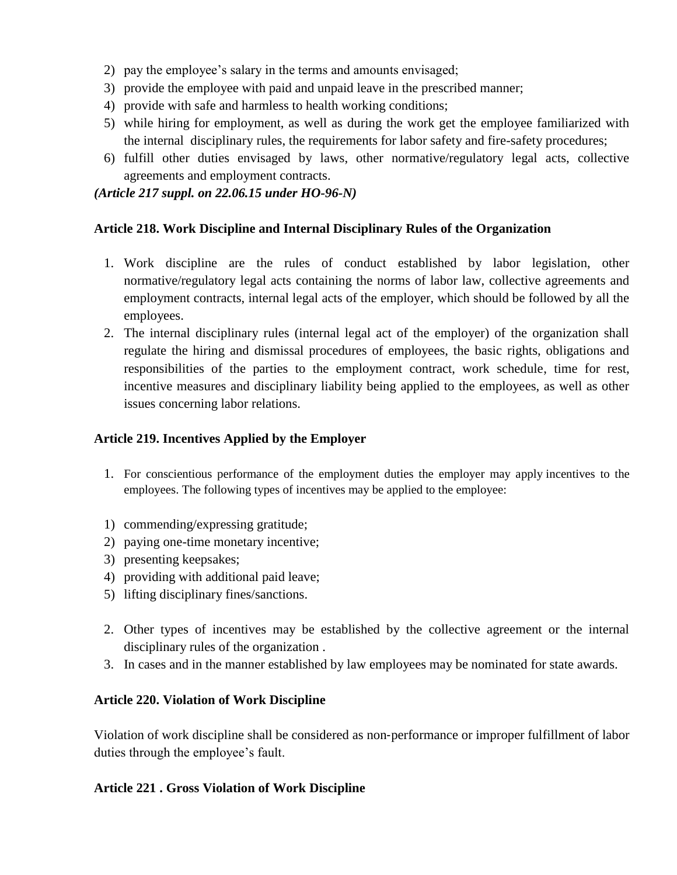- 2) pay the employee's salary in the terms and amounts envisaged;
- 3) provide the employee with paid and unpaid leave in the prescribed manner;
- 4) provide with safe and harmless to health working conditions;
- 5) while hiring for employment, as well as during the work get the employee familiarized with the internal disciplinary rules, the requirements for labor safety and fire-safety procedures;
- 6) fulfill other duties envisaged by laws, other normative/regulatory legal acts, collective agreements and employment contracts.

*(Article 217 suppl. on 22.06.15 under HO-96-N)*

### **Article 218. Work Discipline and Internal Disciplinary Rules of the Organization**

- 1. Work discipline are the rules of conduct established by labor legislation, other normative/regulatory legal acts containing the norms of labor law, collective agreements and employment contracts, internal legal acts of the employer, which should be followed by all the employees.
- 2. The internal disciplinary rules (internal legal act of the employer) of the organization shall regulate the hiring and dismissal procedures of employees, the basic rights, obligations and responsibilities of the parties to the employment contract, work schedule, time for rest, incentive measures and disciplinary liability being applied to the employees, as well as other issues concerning labor relations.

# **Article 219. Incentives Applied by the Employer**

- 1. For conscientious performance of the employment duties the employer may apply incentives to the employees. The following types of incentives may be applied to the employee:
- 1) commending/expressing gratitude;
- 2) paying one-time monetary incentive;
- 3) presenting keepsakes;
- 4) providing with additional paid leave;
- 5) lifting disciplinary fines/sanctions.
- 2. Other types of incentives may be established by the collective agreement or the internal disciplinary rules of the organization .
- 3. In cases and in the manner established by law employees may be nominated for state awards.

# **Article 220. Violation of Work Discipline**

Violation of work discipline shall be considered as non‐performance or improper fulfillment of labor duties through the employee's fault.

# **Article 221 . Gross Violation of Work Discipline**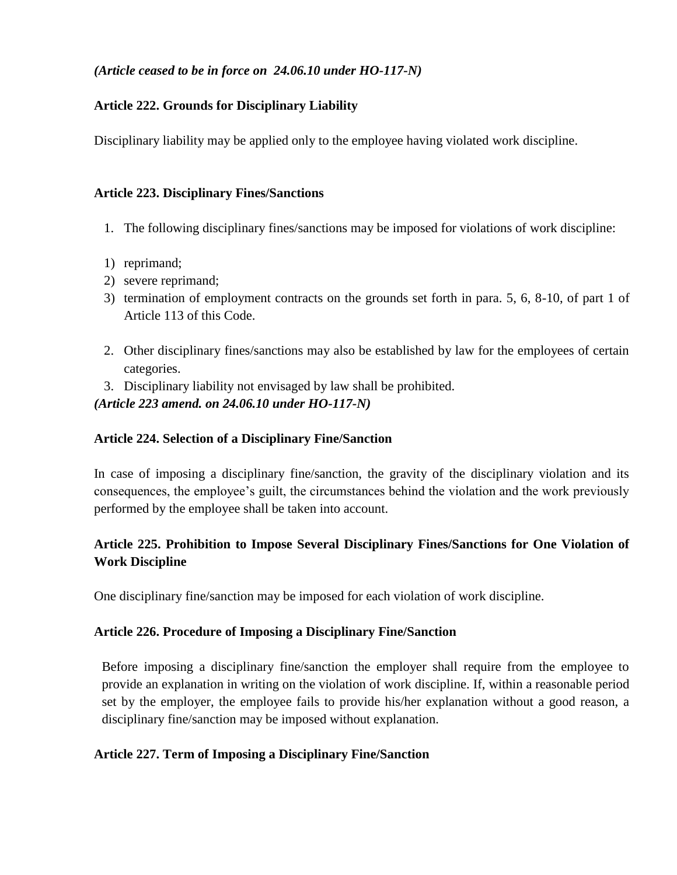# *(Article ceased to be in force on 24.06.10 under HO-117-N)*

# **Article 222. Grounds for Disciplinary Liability**

Disciplinary liability may be applied only to the employee having violated work discipline.

# **Article 223. Disciplinary Fines/Sanctions**

- 1. The following disciplinary fines/sanctions may be imposed for violations of work discipline:
- 1) reprimand;
- 2) severe reprimand;
- 3) termination of employment contracts on the grounds set forth in para. 5, 6, 8-10, of part 1 of Article 113 of this Code.
- 2. Other disciplinary fines/sanctions may also be established by law for the employees of certain categories.
- 3. Disciplinary liability not envisaged by law shall be prohibited.

*(Article 223 amend. on 24.06.10 under HO-117-N)*

# **Article 224. Selection of a Disciplinary Fine/Sanction**

In case of imposing a disciplinary fine/sanction, the gravity of the disciplinary violation and its consequences, the employee's guilt, the circumstances behind the violation and the work previously performed by the employee shall be taken into account.

# **Article 225. Prohibition to Impose Several Disciplinary Fines/Sanctions for One Violation of Work Discipline**

One disciplinary fine/sanction may be imposed for each violation of work discipline.

# **Article 226. Procedure of Imposing a Disciplinary Fine/Sanction**

Before imposing a disciplinary fine/sanction the employer shall require from the employee to provide an explanation in writing on the violation of work discipline. If, within a reasonable period set by the employer, the employee fails to provide his/her explanation without a good reason, a disciplinary fine/sanction may be imposed without explanation.

# **Article 227. Term of Imposing a Disciplinary Fine/Sanction**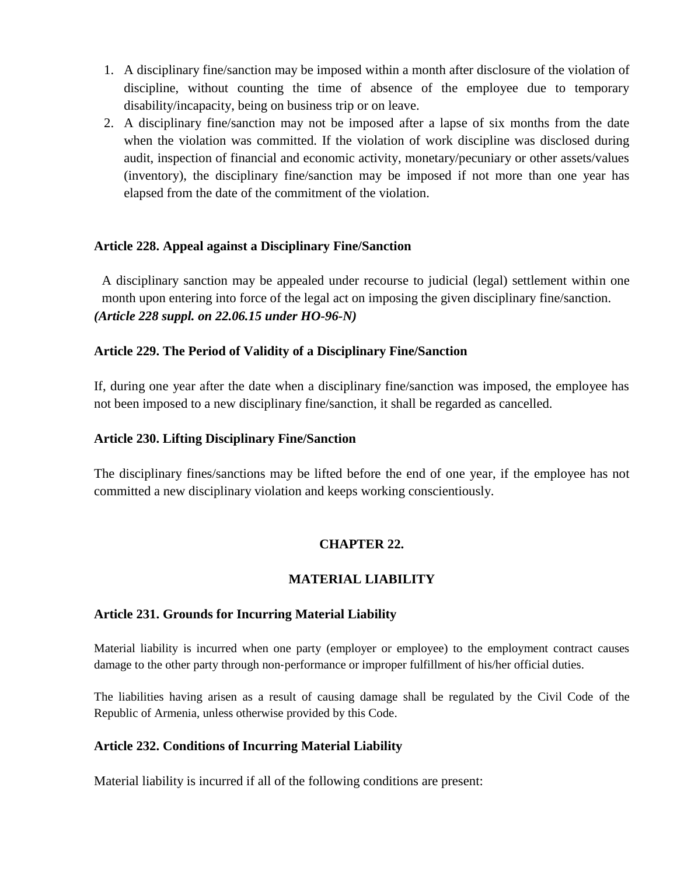- 1. A disciplinary fine/sanction may be imposed within a month after disclosure of the violation of discipline, without counting the time of absence of the employee due to temporary disability/incapacity, being on business trip or on leave.
- 2. A disciplinary fine/sanction may not be imposed after a lapse of six months from the date when the violation was committed. If the violation of work discipline was disclosed during audit, inspection of financial and economic activity, monetary/pecuniary or other assets/values (inventory), the disciplinary fine/sanction may be imposed if not more than one year has elapsed from the date of the commitment of the violation.

### **Article 228. Appeal against a Disciplinary Fine/Sanction**

A disciplinary sanction may be appealed under recourse to judicial (legal) settlement within one month upon entering into force of the legal act on imposing the given disciplinary fine/sanction. *(Article 228 suppl. on 22.06.15 under HO-96-N)*

### **Article 229. The Period of Validity of a Disciplinary Fine/Sanction**

If, during one year after the date when a disciplinary fine/sanction was imposed, the employee has not been imposed to a new disciplinary fine/sanction, it shall be regarded as cancelled.

#### **Article 230. Lifting Disciplinary Fine/Sanction**

The disciplinary fines/sanctions may be lifted before the end of one year, if the employee has not committed a new disciplinary violation and keeps working conscientiously.

# **CHAPTER 22.**

# **MATERIAL LIABILITY**

#### **Article 231. Grounds for Incurring Material Liability**

Material liability is incurred when one party (employer or employee) to the employment contract causes damage to the other party through non‐performance or improper fulfillment of his/her official duties.

The liabilities having arisen as a result of causing damage shall be regulated by the Civil Code of the Republic of Armenia, unless otherwise provided by this Code.

#### **Article 232. Conditions of Incurring Material Liability**

Material liability is incurred if all of the following conditions are present: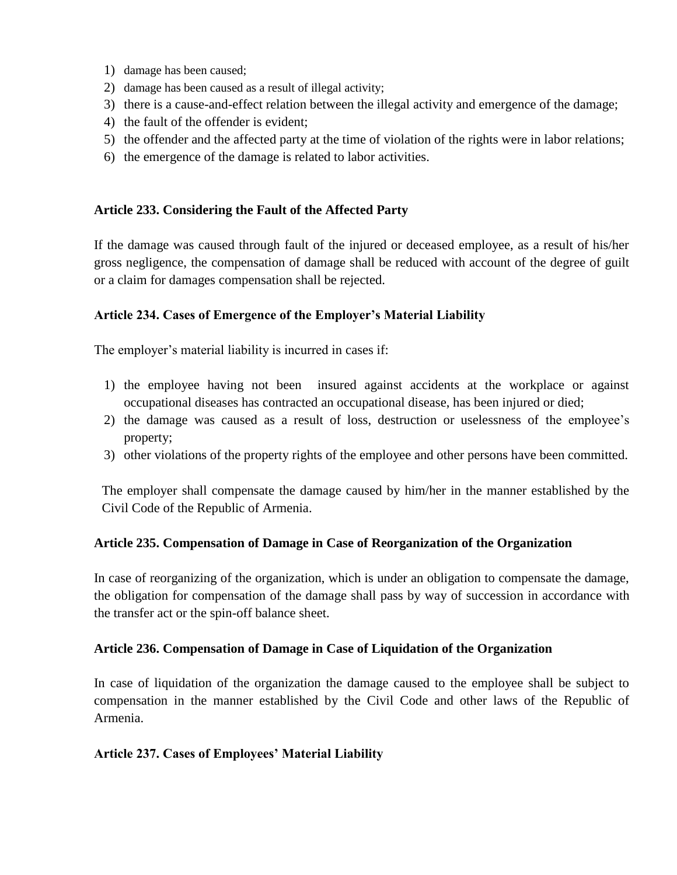- 1) damage has been caused;
- 2) damage has been caused as a result of illegal activity;
- 3) there is a cause-and-effect relation between the illegal activity and emergence of the damage;
- 4) the fault of the offender is evident;
- 5) the offender and the affected party at the time of violation of the rights were in labor relations;
- 6) the emergence of the damage is related to labor activities.

# **Article 233. Considering the Fault of the Affected Party**

If the damage was caused through fault of the injured or deceased employee, as a result of his/her gross negligence, the compensation of damage shall be reduced with account of the degree of guilt or a claim for damages compensation shall be rejected.

# **Article 234. Cases of Emergence of the Employer's Material Liability**

The employer's material liability is incurred in cases if:

- 1) the employee having not been insured against accidents at the workplace or against occupational diseases has contracted an occupational disease, has been injured or died;
- 2) the damage was caused as a result of loss, destruction or uselessness of the employee's property;
- 3) other violations of the property rights of the employee and other persons have been committed.

The employer shall compensate the damage caused by him/her in the manner established by the Civil Code of the Republic of Armenia.

# **Article 235. Compensation of Damage in Case of Reorganization of the Organization**

In case of reorganizing of the organization, which is under an obligation to compensate the damage, the obligation for compensation of the damage shall pass by way of succession in accordance with the transfer act or the spin-off balance sheet.

# **Article 236. Compensation of Damage in Case of Liquidation of the Organization**

In case of liquidation of the organization the damage caused to the employee shall be subject to compensation in the manner established by the Civil Code and other laws of the Republic of Armenia.

# **Article 237. Cases of Employees' Material Liability**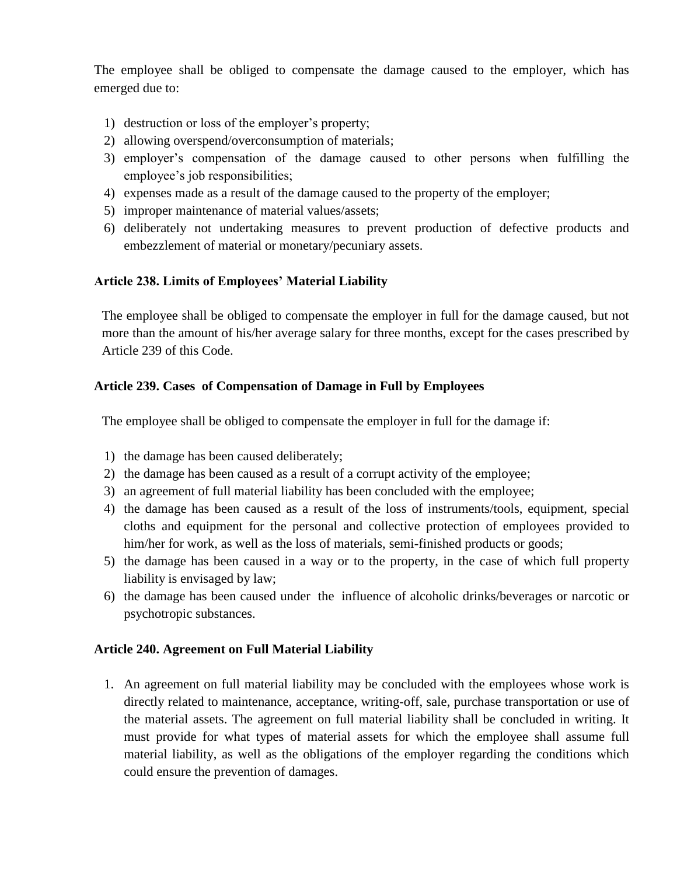The employee shall be obliged to compensate the damage caused to the employer, which has emerged due to:

- 1) destruction or loss of the employer's property;
- 2) allowing overspend/overconsumption of materials;
- 3) employer's compensation of the damage caused to other persons when fulfilling the employee's job responsibilities;
- 4) expenses made as a result of the damage caused to the property of the employer;
- 5) improper maintenance of material values/assets;
- 6) deliberately not undertaking measures to prevent production of defective products and embezzlement of material or monetary/pecuniary assets.

# **Article 238. Limits of Employees' Material Liability**

The employee shall be obliged to compensate the employer in full for the damage caused, but not more than the amount of his/her average salary for three months, except for the cases prescribed by Article 239 of this Code.

# **Article 239. Cases of Compensation of Damage in Full by Employees**

The employee shall be obliged to compensate the employer in full for the damage if:

- 1) the damage has been caused deliberately;
- 2) the damage has been caused as a result of a corrupt activity of the employee;
- 3) an agreement of full material liability has been concluded with the employee;
- 4) the damage has been caused as a result of the loss of instruments/tools, equipment, special cloths and equipment for the personal and collective protection of employees provided to him/her for work, as well as the loss of materials, semi-finished products or goods;
- 5) the damage has been caused in a way or to the property, in the case of which full property liability is envisaged by law;
- 6) the damage has been caused under the influence of alcoholic drinks/beverages or narcotic or psychotropic substances.

# **Article 240. Agreement on Full Material Liability**

1. An agreement on full material liability may be concluded with the employees whose work is directly related to maintenance, acceptance, writing-off, sale, purchase transportation or use of the material assets. The agreement on full material liability shall be concluded in writing. It must provide for what types of material assets for which the employee shall assume full material liability, as well as the obligations of the employer regarding the conditions which could ensure the prevention of damages.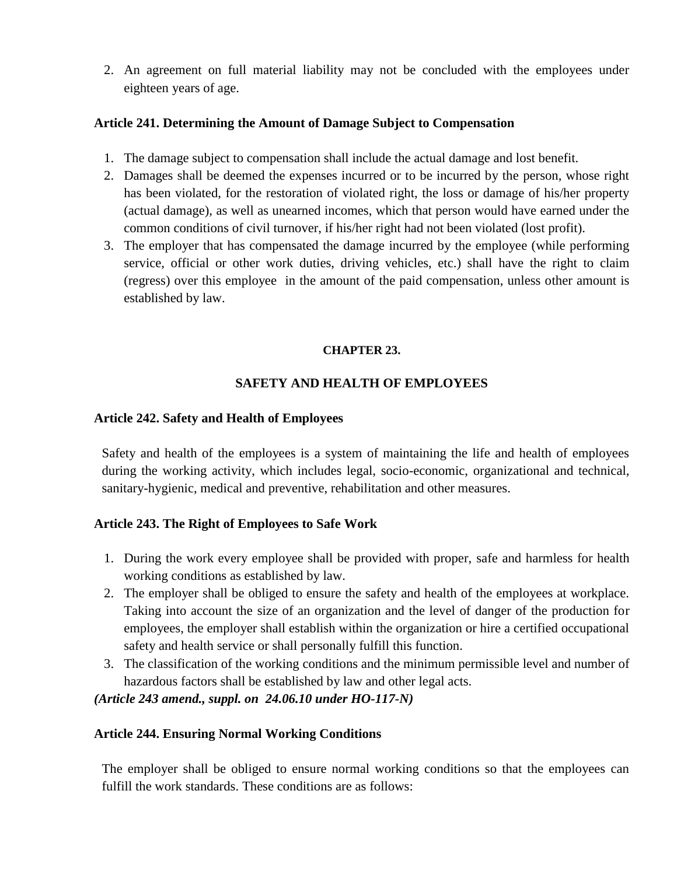2. An agreement on full material liability may not be concluded with the employees under eighteen years of age.

#### **Article 241. Determining the Amount of Damage Subject to Compensation**

- 1. The damage subject to compensation shall include the actual damage and lost benefit.
- 2. Damages shall be deemed the expenses incurred or to be incurred by the person, whose right has been violated, for the restoration of violated right, the loss or damage of his/her property (actual damage), as well as unearned incomes, which that person would have earned under the common conditions of civil turnover, if his/her right had not been violated (lost profit).
- 3. The employer that has compensated the damage incurred by the employee (while performing service, official or other work duties, driving vehicles, etc.) shall have the right to claim (regress) over this employee in the amount of the paid compensation, unless other amount is established by law.

#### **CHAPTER 23.**

# **SAFETY AND HEALTH OF EMPLOYEES**

### **Article 242. Safety and Health of Employees**

Safety and health of the employees is a system of maintaining the life and health of employees during the working activity, which includes legal, socio-economic, organizational and technical, sanitary-hygienic, medical and preventive, rehabilitation and other measures.

# **Article 243. The Right of Employees to Safe Work**

- 1. During the work every employee shall be provided with proper, safe and harmless for health working conditions as established by law.
- 2. The employer shall be obliged to ensure the safety and health of the employees at workplace. Taking into account the size of an organization and the level of danger of the production for employees, the employer shall establish within the organization or hire a certified occupational safety and health service or shall personally fulfill this function.
- 3. The classification of the working conditions and the minimum permissible level and number of hazardous factors shall be established by law and other legal acts.

# *(Article 243 amend., suppl. on 24.06.10 under HO-117-N)*

# **Article 244. Ensuring Normal Working Conditions**

The employer shall be obliged to ensure normal working conditions so that the employees can fulfill the work standards. These conditions are as follows: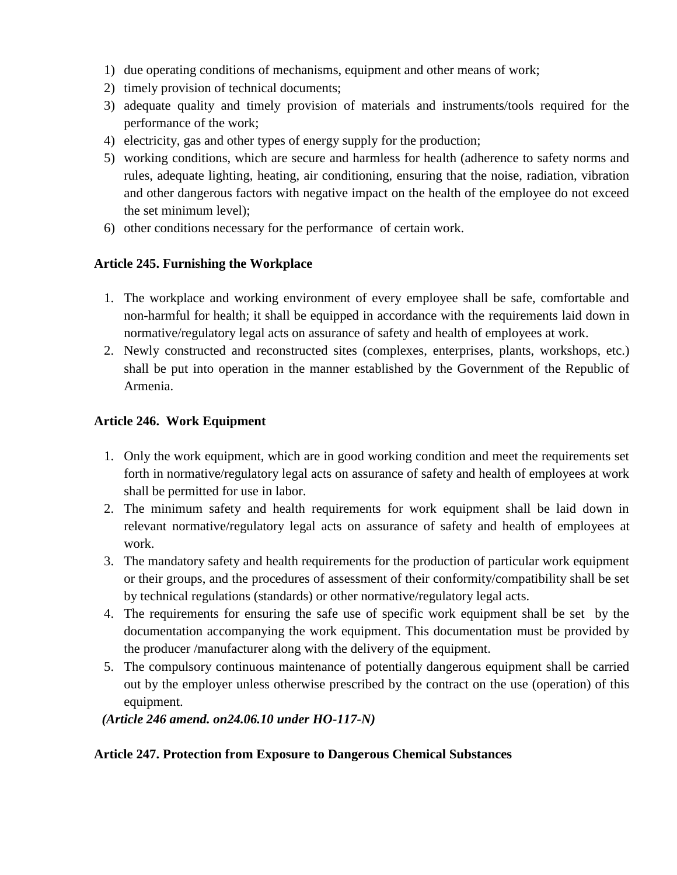- 1) due operating conditions of mechanisms, equipment and other means of work;
- 2) timely provision of technical documents;
- 3) adequate quality and timely provision of materials and instruments/tools required for the performance of the work;
- 4) electricity, gas and other types of energy supply for the production;
- 5) working conditions, which are secure and harmless for health (adherence to safety norms and rules, adequate lighting, heating, air conditioning, ensuring that the noise, radiation, vibration and other dangerous factors with negative impact on the health of the employee do not exceed the set minimum level);
- 6) other conditions necessary for the performance of certain work.

# **Article 245. Furnishing the Workplace**

- 1. The workplace and working environment of every employee shall be safe, comfortable and non-harmful for health; it shall be equipped in accordance with the requirements laid down in normative/regulatory legal acts on assurance of safety and health of employees at work.
- 2. Newly constructed and reconstructed sites (complexes, enterprises, plants, workshops, etc.) shall be put into operation in the manner established by the Government of the Republic of Armenia.

# **Article 246. Work Equipment**

- 1. Only the work equipment, which are in good working condition and meet the requirements set forth in normative/regulatory legal acts on assurance of safety and health of employees at work shall be permitted for use in labor.
- 2. The minimum safety and health requirements for work equipment shall be laid down in relevant normative/regulatory legal acts on assurance of safety and health of employees at work.
- 3. The mandatory safety and health requirements for the production of particular work equipment or their groups, and the procedures of assessment of their conformity/compatibility shall be set by technical regulations (standards) or other normative/regulatory legal acts.
- 4. The requirements for ensuring the safe use of specific work equipment shall be set by the documentation accompanying the work equipment. This documentation must be provided by the producer /manufacturer along with the delivery of the equipment.
- 5. The compulsory continuous maintenance of potentially dangerous equipment shall be carried out by the employer unless otherwise prescribed by the contract on the use (operation) of this equipment.

*(Article 246 amend. on24.06.10 under HO-117-N)*

# **Article 247. Protection from Exposure to Dangerous Chemical Substances**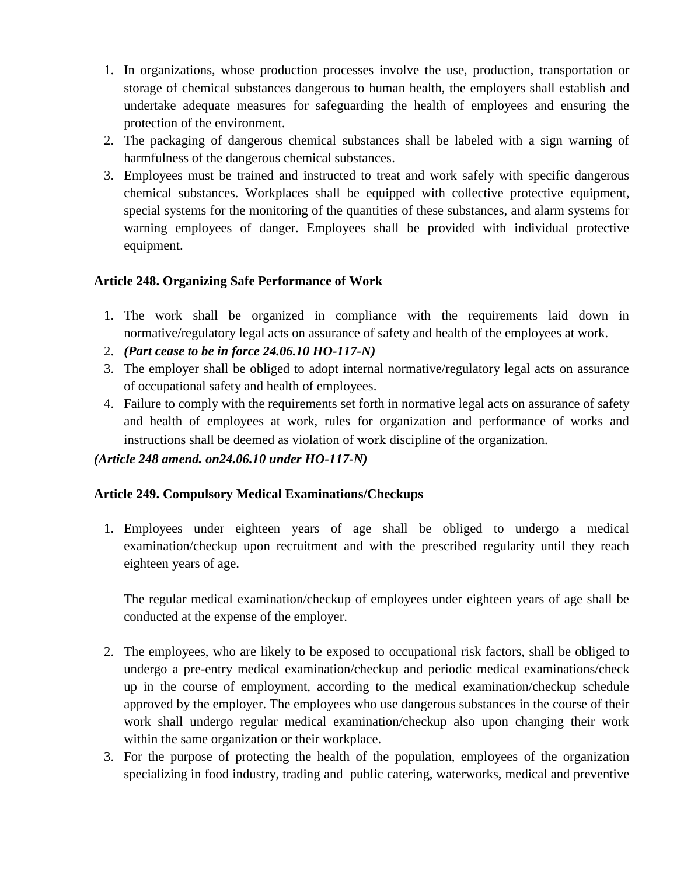- 1. In organizations, whose production processes involve the use, production, transportation or storage of chemical substances dangerous to human health, the employers shall establish and undertake adequate measures for safeguarding the health of employees and ensuring the protection of the environment.
- 2. The packaging of dangerous chemical substances shall be labeled with a sign warning of harmfulness of the dangerous chemical substances.
- 3. Employees must be trained and instructed to treat and work safely with specific dangerous chemical substances. Workplaces shall be equipped with collective protective equipment, special systems for the monitoring of the quantities of these substances, and alarm systems for warning employees of danger. Employees shall be provided with individual protective equipment.

# **Article 248. Organizing Safe Performance of Work**

- 1. The work shall be organized in compliance with the requirements laid down in normative/regulatory legal acts on assurance of safety and health of the employees at work.
- 2. *(Part cease to be in force 24.06.10 HO-117-N)*
- 3. The employer shall be obliged to adopt internal normative/regulatory legal acts on assurance of occupational safety and health of employees.
- 4. Failure to comply with the requirements set forth in normative legal acts on assurance of safety and health of employees at work, rules for organization and performance of works and instructions shall be deemed as violation of work discipline of the organization.

# *(Article 248 amend. on24.06.10 under HO-117-N)*

# **Article 249. Compulsory Medical Examinations/Checkups**

1. Employees under eighteen years of age shall be obliged to undergo a medical examination/checkup upon recruitment and with the prescribed regularity until they reach eighteen years of age.

The regular medical examination/checkup of employees under eighteen years of age shall be conducted at the expense of the employer.

- 2. The employees, who are likely to be exposed to occupational risk factors, shall be obliged to undergo a pre-entry medical examination/checkup and periodic medical examinations/check up in the course of employment, according to the medical examination/checkup schedule approved by the employer. The employees who use dangerous substances in the course of their work shall undergo regular medical examination/checkup also upon changing their work within the same organization or their workplace.
- 3. For the purpose of protecting the health of the population, employees of the organization specializing in food industry, trading and public catering, waterworks, medical and preventive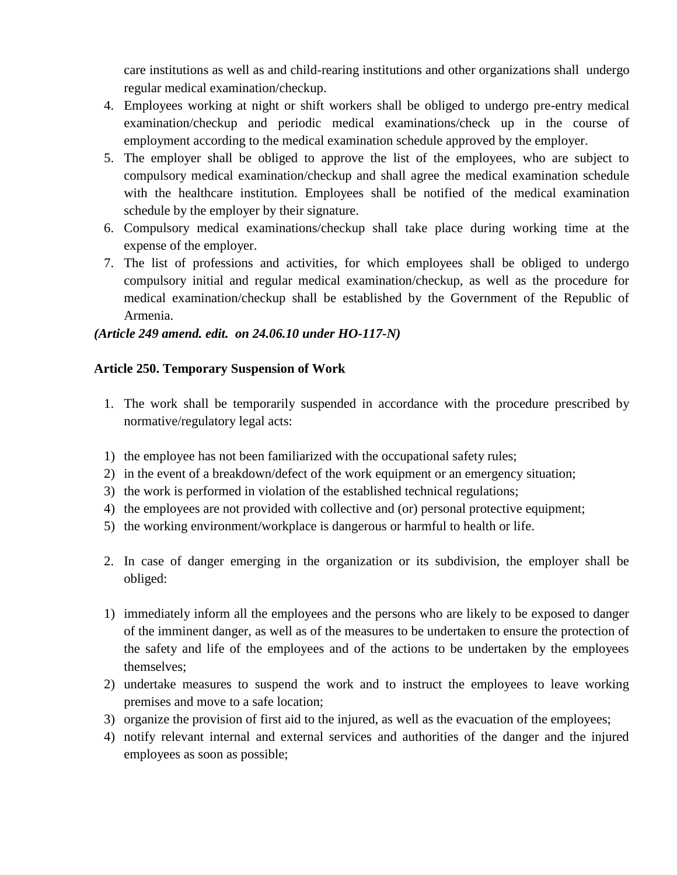care institutions as well as and child-rearing institutions and other organizations shall undergo regular medical examination/checkup.

- 4. Employees working at night or shift workers shall be obliged to undergo pre-entry medical examination/checkup and periodic medical examinations/check up in the course of employment according to the medical examination schedule approved by the employer.
- 5. The employer shall be obliged to approve the list of the employees, who are subject to compulsory medical examination/checkup and shall agree the medical examination schedule with the healthcare institution. Employees shall be notified of the medical examination schedule by the employer by their signature.
- 6. Compulsory medical examinations/checkup shall take place during working time at the expense of the employer.
- 7. The list of professions and activities, for which employees shall be obliged to undergo compulsory initial and regular medical examination/checkup, as well as the procedure for medical examination/checkup shall be established by the Government of the Republic of Armenia.

### *(Article 249 amend. edit. on 24.06.10 under HO-117-N)*

#### **Article 250. Temporary Suspension of Work**

- 1. The work shall be temporarily suspended in accordance with the procedure prescribed by normative/regulatory legal acts:
- 1) the employee has not been familiarized with the occupational safety rules;
- 2) in the event of a breakdown/defect of the work equipment or an emergency situation;
- 3) the work is performed in violation of the established technical regulations;
- 4) the employees are not provided with collective and (or) personal protective equipment;
- 5) the working environment/workplace is dangerous or harmful to health or life.
- 2. In case of danger emerging in the organization or its subdivision, the employer shall be obliged:
- 1) immediately inform all the employees and the persons who are likely to be exposed to danger of the imminent danger, as well as of the measures to be undertaken to ensure the protection of the safety and life of the employees and of the actions to be undertaken by the employees themselves;
- 2) undertake measures to suspend the work and to instruct the employees to leave working premises and move to a safe location;
- 3) organize the provision of first aid to the injured, as well as the evacuation of the employees;
- 4) notify relevant internal and external services and authorities of the danger and the injured employees as soon as possible;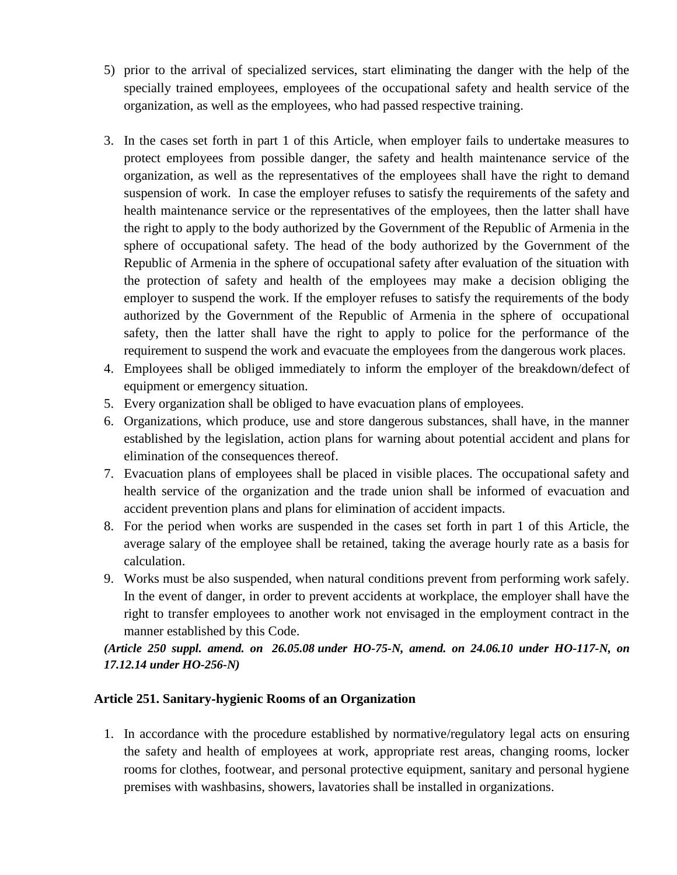- 5) prior to the arrival of specialized services, start eliminating the danger with the help of the specially trained employees, employees of the occupational safety and health service of the organization, as well as the employees, who had passed respective training.
- 3. In the cases set forth in part 1 of this Article, when employer fails to undertake measures to protect employees from possible danger, the safety and health maintenance service of the organization, as well as the representatives of the employees shall have the right to demand suspension of work. In case the employer refuses to satisfy the requirements of the safety and health maintenance service or the representatives of the employees, then the latter shall have the right to apply to the body authorized by the Government of the Republic of Armenia in the sphere of occupational safety. The head of the body authorized by the Government of the Republic of Armenia in the sphere of occupational safety after evaluation of the situation with the protection of safety and health of the employees may make a decision obliging the employer to suspend the work. If the employer refuses to satisfy the requirements of the body authorized by the Government of the Republic of Armenia in the sphere of occupational safety, then the latter shall have the right to apply to police for the performance of the requirement to suspend the work and evacuate the employees from the dangerous work places.
- 4. Employees shall be obliged immediately to inform the employer of the breakdown/defect of equipment or emergency situation.
- 5. Every organization shall be obliged to have evacuation plans of employees.
- 6. Organizations, which produce, use and store dangerous substances, shall have, in the manner established by the legislation, action plans for warning about potential accident and plans for elimination of the consequences thereof.
- 7. Evacuation plans of employees shall be placed in visible places. The occupational safety and health service of the organization and the trade union shall be informed of evacuation and accident prevention plans and plans for elimination of accident impacts.
- 8. For the period when works are suspended in the cases set forth in part 1 of this Article, the average salary of the employee shall be retained, taking the average hourly rate as a basis for calculation.
- 9. Works must be also suspended, when natural conditions prevent from performing work safely. In the event of danger, in order to prevent accidents at workplace, the employer shall have the right to transfer employees to another work not envisaged in the employment contract in the manner established by this Code.

*(Article 250 suppl. amend. on 26.05.08 under HO-75-N, amend. on 24.06.10 under HO-117-N, on 17.12.14 under HO-256-N)*

# **Article 251. Sanitary**‐**hygienic Rooms of an Organization**

1. In accordance with the procedure established by normative/regulatory legal acts on ensuring the safety and health of employees at work, appropriate rest areas, changing rooms, locker rooms for clothes, footwear, and personal protective equipment, sanitary and personal hygiene premises with washbasins, showers, lavatories shall be installed in organizations.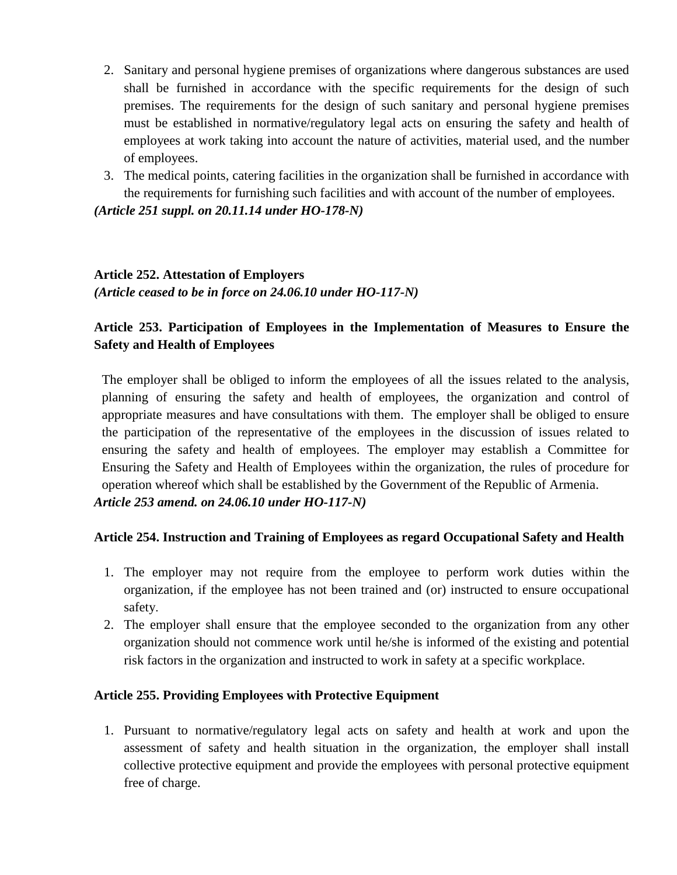- 2. Sanitary and personal hygiene premises of organizations where dangerous substances are used shall be furnished in accordance with the specific requirements for the design of such premises. The requirements for the design of such sanitary and personal hygiene premises must be established in normative/regulatory legal acts on ensuring the safety and health of employees at work taking into account the nature of activities, material used, and the number of employees.
- 3. The medical points, catering facilities in the organization shall be furnished in accordance with the requirements for furnishing such facilities and with account of the number of employees.

*(Article 251 suppl. on 20.11.14 under HO-178-N)*

# **Article 252. Attestation of Employers**

*(Article ceased to be in force on 24.06.10 under HO-117-N)*

# **Article 253. Participation of Employees in the Implementation of Measures to Ensure the Safety and Health of Employees**

The employer shall be obliged to inform the employees of all the issues related to the analysis, planning of ensuring the safety and health of employees, the organization and control of appropriate measures and have consultations with them. The employer shall be obliged to ensure the participation of the representative of the employees in the discussion of issues related to ensuring the safety and health of employees. The employer may establish a Committee for Ensuring the Safety and Health of Employees within the organization, the rules of procedure for operation whereof which shall be established by the Government of the Republic of Armenia. *Article 253 amend. on 24.06.10 under HO-117-N)*

# **Article 254. Instruction and Training of Employees as regard Occupational Safety and Health**

- 1. The employer may not require from the employee to perform work duties within the organization, if the employee has not been trained and (or) instructed to ensure occupational safety.
- 2. The employer shall ensure that the employee seconded to the organization from any other organization should not commence work until he/she is informed of the existing and potential risk factors in the organization and instructed to work in safety at a specific workplace.

#### **Article 255. Providing Employees with Protective Equipment**

1. Pursuant to normative/regulatory legal acts on safety and health at work and upon the assessment of safety and health situation in the organization, the employer shall install collective protective equipment and provide the employees with personal protective equipment free of charge.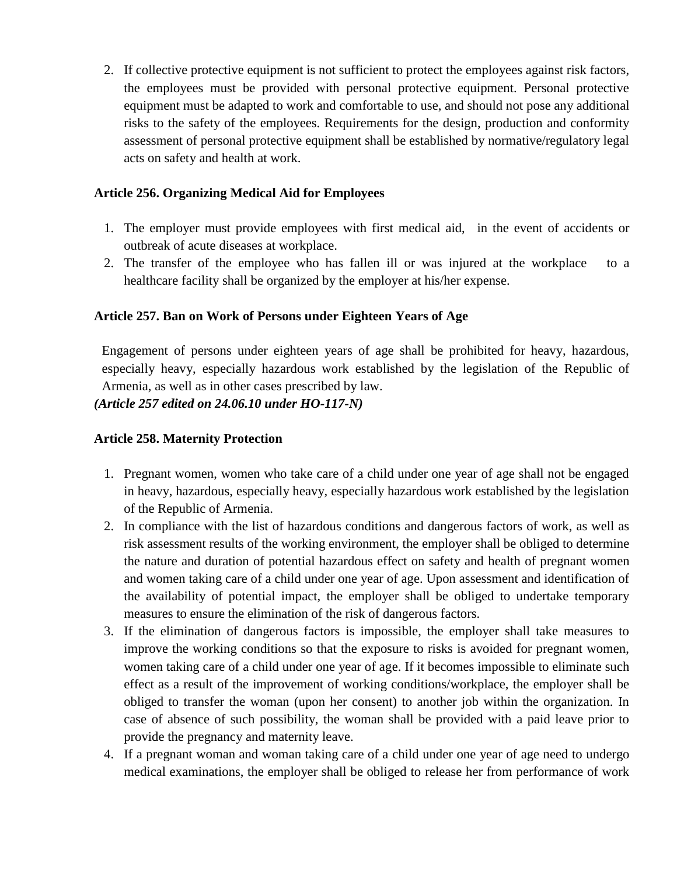2. If collective protective equipment is not sufficient to protect the employees against risk factors, the employees must be provided with personal protective equipment. Personal protective equipment must be adapted to work and comfortable to use, and should not pose any additional risks to the safety of the employees. Requirements for the design, production and conformity assessment of personal protective equipment shall be established by normative/regulatory legal acts on safety and health at work.

## **Article 256. Organizing Medical Aid for Employees**

- 1. The employer must provide employees with first medical aid, in the event of accidents or outbreak of acute diseases at workplace.
- 2. The transfer of the employee who has fallen ill or was injured at the workplace to a healthcare facility shall be organized by the employer at his/her expense.

### **Article 257. Ban on Work of Persons under Eighteen Years of Age**

Engagement of persons under eighteen years of age shall be prohibited for heavy, hazardous, especially heavy, especially hazardous work established by the legislation of the Republic of Armenia, as well as in other cases prescribed by law.

*(Article 257 edited on 24.06.10 under HO-117-N)*

## **Article 258. Maternity Protection**

- 1. Pregnant women, women who take care of a child under one year of age shall not be engaged in heavy, hazardous, especially heavy, especially hazardous work established by the legislation of the Republic of Armenia.
- 2. In compliance with the list of hazardous conditions and dangerous factors of work, as well as risk assessment results of the working environment, the employer shall be obliged to determine the nature and duration of potential hazardous effect on safety and health of pregnant women and women taking care of a child under one year of age. Upon assessment and identification of the availability of potential impact, the employer shall be obliged to undertake temporary measures to ensure the elimination of the risk of dangerous factors.
- 3. If the elimination of dangerous factors is impossible, the employer shall take measures to improve the working conditions so that the exposure to risks is avoided for pregnant women, women taking care of a child under one year of age. If it becomes impossible to eliminate such effect as a result of the improvement of working conditions/workplace, the employer shall be obliged to transfer the woman (upon her consent) to another job within the organization. In case of absence of such possibility, the woman shall be provided with a paid leave prior to provide the pregnancy and maternity leave.
- 4. If a pregnant woman and woman taking care of a child under one year of age need to undergo medical examinations, the employer shall be obliged to release her from performance of work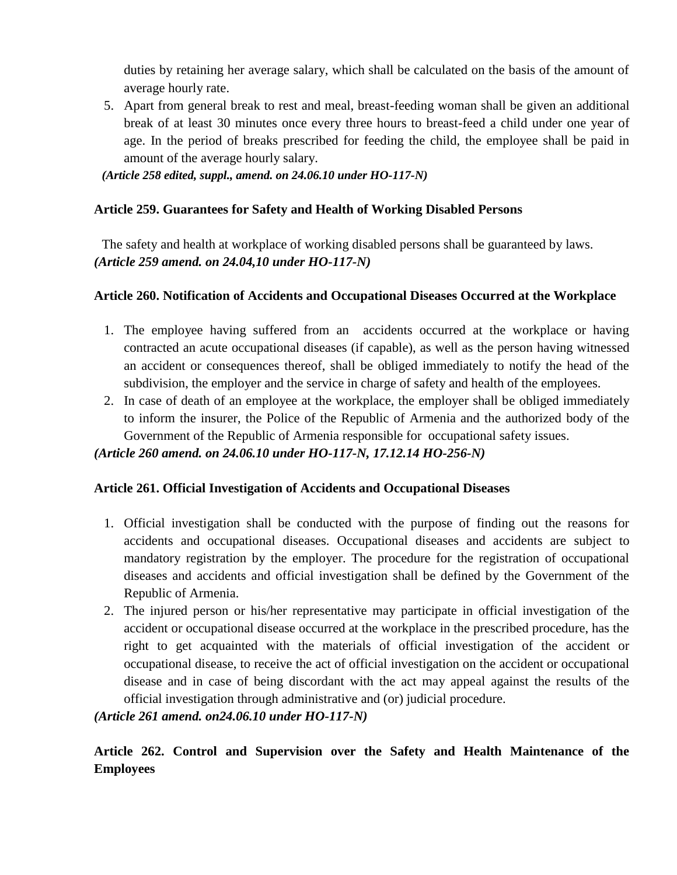duties by retaining her average salary, which shall be calculated on the basis of the amount of average hourly rate.

5. Apart from general break to rest and meal, breast-feeding woman shall be given an additional break of at least 30 minutes once every three hours to breast-feed a child under one year of age. In the period of breaks prescribed for feeding the child, the employee shall be paid in amount of the average hourly salary.

*(Article 258 edited, suppl., amend. on 24.06.10 under HO-117-N)*

# **Article 259. Guarantees for Safety and Health of Working Disabled Persons**

The safety and health at workplace of working disabled persons shall be guaranteed by laws. *(Article 259 amend. on 24.04,10 under HO-117-N)*

# **Article 260. Notification of Accidents and Occupational Diseases Occurred at the Workplace**

- 1. The employee having suffered from an accidents occurred at the workplace or having contracted an acute occupational diseases (if capable), as well as the person having witnessed an accident or consequences thereof, shall be obliged immediately to notify the head of the subdivision, the employer and the service in charge of safety and health of the employees.
- 2. In case of death of an employee at the workplace, the employer shall be obliged immediately to inform the insurer, the Police of the Republic of Armenia and the authorized body of the Government of the Republic of Armenia responsible for occupational safety issues.

# *(Article 260 amend. on 24.06.10 under HO-117-N, 17.12.14 HO-256-N)*

# **Article 261. Official Investigation of Accidents and Occupational Diseases**

- 1. Official investigation shall be conducted with the purpose of finding out the reasons for accidents and occupational diseases. Occupational diseases and accidents are subject to mandatory registration by the employer. The procedure for the registration of occupational diseases and accidents and official investigation shall be defined by the Government of the Republic of Armenia.
- 2. The injured person or his/her representative may participate in official investigation of the accident or occupational disease occurred at the workplace in the prescribed procedure, has the right to get acquainted with the materials of official investigation of the accident or occupational disease, to receive the act of official investigation on the accident or occupational disease and in case of being discordant with the act may appeal against the results of the official investigation through administrative and (or) judicial procedure.

# *(Article 261 amend. on24.06.10 under HO-117-N)*

**Article 262. Control and Supervision over the Safety and Health Maintenance of the Employees**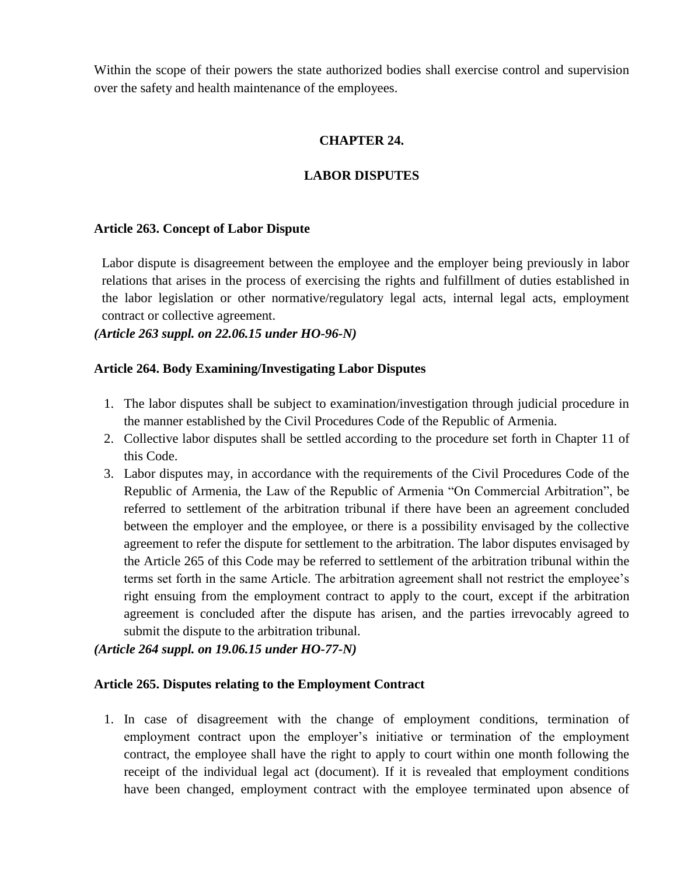Within the scope of their powers the state authorized bodies shall exercise control and supervision over the safety and health maintenance of the employees.

## **CHAPTER 24.**

## **LABOR DISPUTES**

#### **Article 263. Concept of Labor Dispute**

Labor dispute is disagreement between the employee and the employer being previously in labor relations that arises in the process of exercising the rights and fulfillment of duties established in the labor legislation or other normative/regulatory legal acts, internal legal acts, employment contract or collective agreement.

*(Article 263 suppl. on 22.06.15 under HO-96-N)*

### **Article 264. Body Examining/Investigating Labor Disputes**

- 1. The labor disputes shall be subject to examination/investigation through judicial procedure in the manner established by the Civil Procedures Code of the Republic of Armenia.
- 2. Collective labor disputes shall be settled according to the procedure set forth in Chapter 11 of this Code.
- 3. Labor disputes may, in accordance with the requirements of the Civil Procedures Code of the Republic of Armenia, the Law of the Republic of Armenia "On Commercial Arbitration", be referred to settlement of the arbitration tribunal if there have been an agreement concluded between the employer and the employee, or there is a possibility envisaged by the collective agreement to refer the dispute for settlement to the arbitration. The labor disputes envisaged by the Article 265 of this Code may be referred to settlement of the arbitration tribunal within the terms set forth in the same Article. The arbitration agreement shall not restrict the employee's right ensuing from the employment contract to apply to the court, except if the arbitration agreement is concluded after the dispute has arisen, and the parties irrevocably agreed to submit the dispute to the arbitration tribunal.

*(Article 264 suppl. on 19.06.15 under HO-77-N)*

#### **Article 265. Disputes relating to the Employment Contract**

1. In case of disagreement with the change of employment conditions, termination of employment contract upon the employer's initiative or termination of the employment contract, the employee shall have the right to apply to court within one month following the receipt of the individual legal act (document). If it is revealed that employment conditions have been changed, employment contract with the employee terminated upon absence of